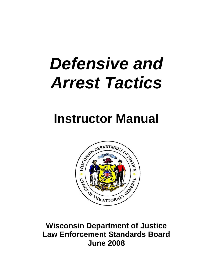# *Defensive and Arrest Tactics*

## **Instructor Manual**



### **Wisconsin Department of Justice Law Enforcement Standards Board June 2008**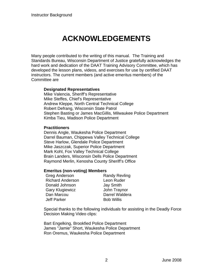### **ACKNOWLEDGEMENTS**

<span id="page-1-0"></span>Many people contributed to the writing of this manual. The Training and Standards Bureau, Wisconsin Department of Justice gratefully acknowledges the hard work and dedication of the DAAT Training Advisory Committee, which has developed the lesson plans, videos, and exercises for use by certified DAAT instructors. The current members (and active emeritus members) of the Committee are

#### **Designated Representatives**

Mike Valencia, Sheriff's Representative Mike Steffes, Chief's Representative Andrew Kleppe, North Central Technical College Robert Defrang, Wisconsin State Patrol Stephen Basting or James MacGillis, Milwaukee Police Department Kimba Tieu, Madison Police Department

#### **Practitioners**

Dennis Angle, Waukesha Police Department Darrel Bauman, Chippewa Valley Technical College Steve Harlow, Glendale Police Department Mike Jaszczak, Superior Police Department Mark Kohl, Fox Valley Technical College Brain Landers, Wisconsin Dells Police Department Raymond Merlin, Kenosha County Sheriff's Office

#### **Emeritus (non-voting) Members**

| Greg Anderson           | <b>Randy Revling</b> |
|-------------------------|----------------------|
| <b>Richard Anderson</b> | Leon Ruder           |
| Donald Johnson          | <b>Jay Smith</b>     |
| <b>Gary Klugiewicz</b>  | John Traynor         |
| Dan Marcou              | Darrel Waldera       |
| Jeff Parker             | <b>Bob Willis</b>    |
|                         |                      |

Special thanks to the following individuals for assisting in the Deadly Force Decision Making Video clips:

Bart Engelking, Brookfied Police Department James "Jamie" Short, Waukesha Police Department Ron Oremus, Waukesha Police Department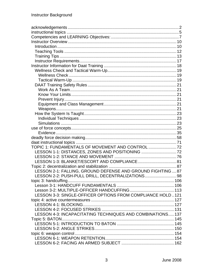| TOPIC 1: FUNDAMENTALS OF MOVEMENT AND CONTROL               |  |
|-------------------------------------------------------------|--|
|                                                             |  |
| LESSON 1-1: DISTANCES, ZONES AND POSITIONING 72             |  |
| LESSON 1-3: BLANKET/ESCORT AND COMPLIANCE 81                |  |
|                                                             |  |
|                                                             |  |
| LESSON 2-1: FALLING, GROUND DEFENSE AND GROUND FIGHTING  87 |  |
| LESSON 2-2: PUSH-PULL DRILL, DECENTRALIZATIONS 98           |  |
|                                                             |  |
|                                                             |  |
|                                                             |  |
| LESSON 3-3: SINGLE-OFFICER OPTIONS FROM COMPLIANCE HOLD121  |  |
|                                                             |  |
|                                                             |  |
|                                                             |  |
| LESSON 4-3: INCAPACITATING TECHNIQUES AND COMBINATIONS 137  |  |
|                                                             |  |
|                                                             |  |
|                                                             |  |
|                                                             |  |
|                                                             |  |
|                                                             |  |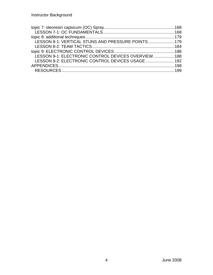| LESSON 8-1: VERTICAL STUNS AND PRESSURE POINTS  179 |  |
|-----------------------------------------------------|--|
|                                                     |  |
|                                                     |  |
| LESSON 9-1: ELECTRONIC CONTROL DEVICES OVERVIEW 188 |  |
| LESSON 9-2: ELECTRONIC CONTROL DEVICES USAGE  192   |  |
|                                                     |  |
|                                                     |  |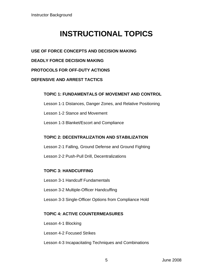### **INSTRUCTIONAL TOPICS**

#### <span id="page-4-0"></span>**USE OF FORCE CONCEPTS AND DECISION MAKING**

**DEADLY FORCE DECISION MAKING** 

#### **PROTOCOLS FOR OFF-DUTY ACTIONS**

#### **DEFENSIVE AND ARREST TACTICS**

#### **TOPIC 1: FUNDAMENTALS OF MOVEMENT AND CONTROL**

Lesson 1-1 Distances, Danger Zones, and Relative Positioning

Lesson 1-2 Stance and Movement

Lesson 1-3 Blanket/Escort and Compliance

#### **TOPIC 2: DECENTRALIZATION AND STABILIZATION**

Lesson 2-1 Falling, Ground Defense and Ground Fighting

Lesson 2-2 Push-Pull Drill, Decentralizations

#### **TOPIC 3: HANDCUFFING**

Lesson 3-1 Handcuff Fundamentals

Lesson 3-2 Multiple-Officer Handcuffing

Lesson 3-3 Single-Officer Options from Compliance Hold

#### **TOPIC 4: ACTIVE COUNTERMEASURES**

Lesson 4-1 Blocking

Lesson 4-2 Focused Strikes

Lesson 4-3 Incapacitating Techniques and Combinations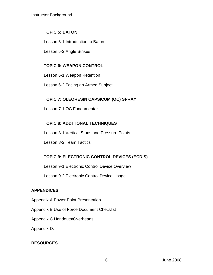#### **TOPIC 5: BATON**

Lesson 5-1 Introduction to Baton

Lesson 5-2 Angle Strikes

#### **TOPIC 6: WEAPON CONTROL**

Lesson 6-1 Weapon Retention

Lesson 6-2 Facing an Armed Subject

#### **TOPIC 7: OLEORESIN CAPSICUM (OC) SPRAY**

Lesson 7-1 OC Fundamentals

#### **TOPIC 8: ADDITIONAL TECHNIQUES**

Lesson 8-1 Vertical Stuns and Pressure Points

Lesson 8-2 Team Tactics

#### **TOPIC 9: ELECTRONIC CONTROL DEVICES (ECD'S)**

Lesson 9-1 Electronic Control Device Overview

Lesson 9-2 Electronic Control Device Usage

#### **APPENDICES**

Appendix A Power Point Presentation

Appendix B Use of Force Document Checklist

Appendix C Handouts/Overheads

Appendix D:

#### **RESOURCES**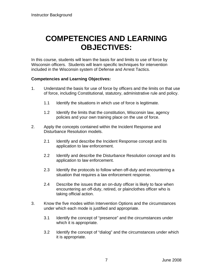### <span id="page-6-0"></span>**COMPETENCIES AND LEARNING OBJECTIVES:**

In this course, students will learn the basis for and limits to use of force by Wisconsin officers. Students will learn specific techniques for intervention included in the Wisconsin system of Defense and Arrest Tactics.

#### **Competencies and Learning Objectives:**

- 1. Understand the basis for use of force by officers and the limits on that use of force, including Constitutional, statutory, administrative rule and policy.
	- 1.1 Identify the situations in which use of force is legitimate.
	- 1.2 Identify the limits that the constitution, Wisconsin law, agency policies and your own training place on the use of force.
- 2. Apply the concepts contained within the Incident Response and Disturbance Resolution models.
	- 2.1 Identify and describe the Incident Response concept and its application to law enforcement.
	- 2.2 Identify and describe the Disturbance Resolution concept and its application to law enforcement.
	- 2.3 Identify the protocols to follow when off-duty and encountering a situation that requires a law enforcement response.
	- 2.4 Describe the issues that an on-duty officer is likely to face when encountering an off-duty, retired, or plainclothes officer who is taking official action.
- 3. Know the five modes within Intervention Options and the circumstances under which each mode is justified and appropriate.
	- 3.1 Identify the concept of "presence" and the circumstances under which it is appropriate.
	- 3.2 Identify the concept of "dialog" and the circumstances under which it is appropriate.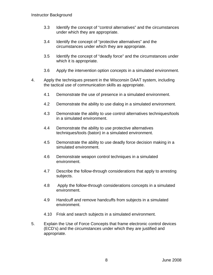- 3.3 Identify the concept of "control alternatives" and the circumstances under which they are appropriate.
- 3.4 Identify the concept of "protective alternatives" and the circumstances under which they are appropriate.
- 3.5 Identify the concept of "deadly force" and the circumstances under which it is appropriate.
- 3.6 Apply the intervention option concepts in a simulated environment.
- 4. Apply the techniques present in the Wisconsin DAAT system, including the tactical use of communication skills as appropriate.
	- 4.1 Demonstrate the use of presence in a simulated environment.
	- 4.2 Demonstrate the ability to use dialog in a simulated environment.
	- 4.3 Demonstrate the ability to use control alternatives techniques/tools in a simulated environment.
	- 4.4 Demonstrate the ability to use protective alternatives techniques/tools (baton) in a simulated environment.
	- 4.5 Demonstrate the ability to use deadly force decision making in a simulated environment.
	- 4.6 Demonstrate weapon control techniques in a simulated environment.
	- 4.7 Describe the follow-through considerations that apply to arresting subjects.
	- 4.8 Apply the follow-through considerations concepts in a simulated environment.
	- 4.9 Handcuff and remove handcuffs from subjects in a simulated environment.
	- 4.10 Frisk and search subjects in a simulated environment.
- 5. Explain the Use of Force Concepts that frame electronic control devices (ECD's) and the circumstances under which they are justified and appropriate.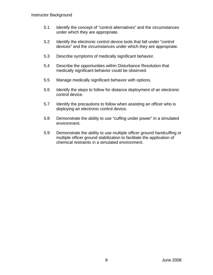- 5.1 Identify the concept of "control alternatives" and the circumstances under which they are appropriate.
- 5.2 Identify the electronic control device tools that fall under "control devices" and the circumstances under which they are appropriate.
- 5.3 Describe symptoms of medically significant behavior.
- 5.4 Describe the opportunities within Disturbance Resolution that medically significant behavior could be observed.
- 5.5 Manage medically significant behavior with options.
- 5.6 Identify the steps to follow for distance deployment of an electronic control device.
- 5.7 Identify the precautions to follow when assisting an officer who is deploying an electronic control device.
- 5.8 Demonstrate the ability to use "cuffing under power" in a simulated environment.
- 5.9 Demonstrate the ability to use multiple officer ground handcuffing or multiple officer ground stabilization to facilitate the application of chemical restraints in a simulated environment.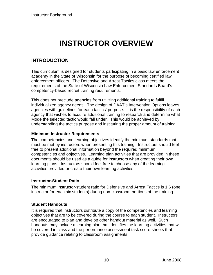### **INSTRUCTOR OVERVIEW**

#### <span id="page-9-0"></span>**INTRODUCTION**

This curriculum is designed for students participating in a basic law enforcement academy in the State of Wisconsin for the purpose of becoming certified law enforcement officers. The Defensive and Arrest Tactics class meets the requirements of the State of Wisconsin Law Enforcement Standards Board's competency-based recruit training requirements.

This does not preclude agencies from utilizing additional training to fulfill individualized agency needs. The design of DAAT's Intervention Options leaves agencies with guidelines for each tactics' purpose. It is the responsibility of each agency that wishes to acquire additional training to research and determine what Mode the selected tactic would fall under. This would be achieved by understanding the tactics purpose and instituting the proper amount of training.

#### **Minimum Instructor Requirements**

The competencies and learning objectives identify the minimum standards that must be met by instructors when presenting this training. Instructors should feel free to present additional information beyond the required minimum competencies and objectives. Learning plan activities that are provided in these documents should be used as a guide for instructors when creating their own learning plans. Instructors should feel free to choose any of the learning activities provided or create their own learning activities.

#### **Instructor-Student Ratio**

The minimum instructor-student ratio for Defensive and Arrest Tactics is 1:6 (one instructor for each six students) during non-classroom portions of the training.

#### **Student Handouts**

It is required that instructors distribute a copy of the competencies and learning objectives that are to be covered during the course to each student. Instructors are encouraged to plan and develop other handout material as well. Such handouts may include a learning plan that identifies the learning activities that will be covered in class and the performance assessment task score-sheets that provide guidance relating to classroom assignments.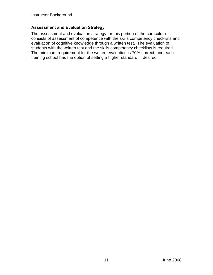#### **Assessment and Evaluation Strategy**

The assessment and evaluation strategy for this portion of the curriculum consists of assessment of competence with the skills competency checklists and evaluation of cognitive knowledge through a written test. The evaluation of students with the written test and the skills competency checklists is required. The minimum requirement for the written evaluation is 70% correct, and each training school has the option of setting a higher standard, if desired.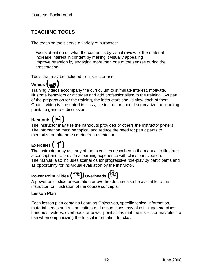#### <span id="page-11-0"></span>**TEACHING TOOLS**

The teaching tools serve a variety of purposes:

Focus attention on what the content is by visual review of the material Increase interest in content by making it visually appealing Improve retention by engaging more than one of the senses during the presentation

Tools that may be included for instructor use:

#### **Videos ()**

Training videos accompany the curriculum to stimulate interest, motivate, illustrate behaviors or attitudes and add professionalism to the training. As part of the preparation for the training, the instructors should view each of them. Once a video is presented in class, the instructor should summarize the learning points to generate discussion.

### **Handouts** ( $\mathbf{E}$ )

The instructor may use the handouts provided or others the instructor prefers. The information must be topical and reduce the need for participants to memorize or take notes during a presentation.

### **Exercises (**h**)**

The instructor may use any of the exercises described in the manual to illustrate a concept and to provide a learning experience with class participation. The manual also includes scenarios for progressive role-play by participants and as opportunity for individual evaluation by the instructor.

### **Power Point Slides ( )/Overheads ( )**

A power point slide presentation or overheads may also be available to the instructor for illustration of the course concepts.

#### **Lesson Plan**

Each lesson plan contains Learning Objectives, specific topical information, material needs and a time estimate. Lesson plans may also include exercises, handouts, videos, overheads or power point slides that the instructor may elect to use when emphasizing the topical information for class.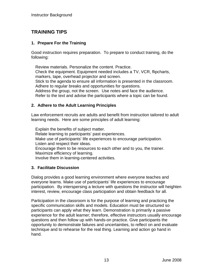#### <span id="page-12-0"></span>**TRAINING TIPS**

#### **1. Prepare For the Training**

Good instruction requires preparation. To prepare to conduct training, do the following:

Review materials. Personalize the content. Practice. Check the equipment. Equipment needed includes a TV, VCR, flipcharts, markers, tape, overhead projector and screen. Stick to the agenda to ensure all information is presented in the classroom. Adhere to regular breaks and opportunities for questions. Address the group, not the screen. Use notes and face the audience. Refer to the text and advise the participants where a topic can be found.

#### **2. Adhere to the Adult Learning Principles**

Law enforcement recruits are adults and benefit from instruction tailored to adult learning needs. Here are some principles of adult learning:

Explain the benefits of subject matter. Relate learning to participants' past experiences. Make use of participants' life experiences to encourage participation. Listen and respect their ideas. Encourage them to be resources to each other and to you, the trainer. Maximize efficiency of learning. Involve them in learning-centered activities.

#### **3. Facilitate Discussion**

Dialog provides a good learning environment where everyone teaches and everyone learns. Make use of participants' life experiences to encourage participation. By interspersing a lecture with questions the instructor will heighten interest, review, encourage class participation and obtain feedback for all.

Participation in the classroom is for the purpose of learning and practicing the specific communication skills and models. Education must be structured so participants can apply what they learn. Demonstration is primarily a passive experience for the adult learner; therefore, effective instructors usually encourage questions and then follow up with hands-on practice. Give participants the opportunity to demonstrate failures and uncertainties, to reflect on and evaluate technique and to rehearse for the real thing. Learning and action go hand in hand.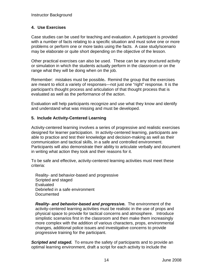#### **4. Use Exercises**

Case studies can be used for teaching and evaluation. A participant is provided with a number of facts relating to a specific situation and must solve one or more problems or perform one or more tasks using the facts. A case study/scenario may be elaborate or quite short depending on the objective of the lesson.

Other practical exercises can also be used. These can be any structured activity or simulation in which the students actually perform in the classroom or on the range what they will be doing when on the job.

Remember: mistakes must be possible**.** Remind the group that the exercises are meant to elicit a variety of responses—not just one "right" response. It is the participant's thought process and articulation of that thought process that is evaluated as well as the performance of the action.

Evaluation will help participants recognize and use what they know and identify and understand what was missing and must be developed.

#### **5. Include Activity-Centered Learning**

Activity-centered learning involves a series of progressive and realistic exercises designed for learner participation. In activity-centered learning, participants are able to practice and test their knowledge and decision-making as well as their communication and tactical skills, in a safe and controlled environment. Participants will also demonstrate their ability to articulate verbally and document in writing what action they took and their reasons for it.

To be safe and effective, activity-centered learning activities must meet these criteria:

Reality- and behavior-based and progressive Scripted and staged Evaluated Debriefed in a safe environment **Documented** 

*Reality- and behavior-based and progressive.* The environment of the activity-centered learning activities must be realistic in the use of props and physical space to provide for tactical concerns and atmosphere. Introduce simplistic scenarios first in the classroom and then make them increasingly more complex with the addition of various characters, props, environmental changes, additional police issues and investigative concerns to provide progressive training for the participant.

**Scripted and staged.** To ensure the safety of participants and to provide an optimal learning environment, draft a script for each activity to include the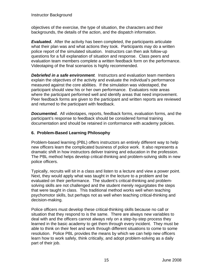objectives of the exercise, the type of situation, the characters and their backgrounds, the details of the action, and the dispatch information.

*Evaluated.* After the activity has been completed, the participants articulate what their plan was and what actions they took. Participants *may* do a written police report of the simulated situation. Instructors can then ask follow-up questions for a full explanation of situation and response. Class peers and evaluation team members complete a written feedback form on the performance. Videotaping of the final scenarios is highly recommended.

*Debriefed in a safe environment.* Instructors and evaluation team members explain the objectives of the activity and evaluate the individual's performance measured against the core abilities. If the simulation was videotaped, the participant should view his or her own performance. Evaluators note areas where the participant performed well and identify areas that need improvement. Peer feedback forms are given to the participant and written reports are reviewed and returned to the participant with feedback.

*Documented.* All videotapes, reports, feedback forms, evaluation forms, and the participant's response to feedback should be considered formal training documentation and should be retained in conformance with academy policies.

#### **6. Problem-Based Learning Philosophy**

Problem-based learning (PBL) offers instructors an entirely different way to help new officers learn the complicated business of police work. It also represents a dramatic shift in how instructors deliver training and education in the profession. The PBL method helps develop critical-thinking and problem-solving skills in new police officers.

Typically, recruits will sit in a class and listen to a lecture and view a power point. Next, they would apply what was taught in the lecture to a problem and be evaluated on their performance. The student's critical-thinking and problemsolving skills are not challenged and the student merely regurgitates the steps that were taught in class. This traditional method works well when teaching psychomotor skills, but perhaps not as well when teaching critical-thinking and decision-making.

Police officers must develop these critical-thinking skills because no call or situation that they respond to is the same. There are always new variables to deal with and the officers cannot always rely on a step-by-step process they learned in the basic academy to get them through every incident. They must be able to think on their feet and work through different situations to come to some resolution. Police PBL provides the means by which we can help new officers learn how to work safely, think critically, and adopt problem-solving as a daily part of their job.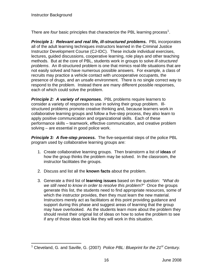There are *four* basic principles that characterize the PBL learning process<sup>[1](#page-15-0)</sup>.

*Principle 1: Relevant and real life, ill-structured problems. PBL incorporates* all of the adult learning techniques instructors learned in the Criminal Justice Instructor Development Course (CJ-IDC). These include individual exercises, lectures, guided discussions, cooperative learning, role plays and other teaching methods. But at the core of PBL, students work in groups to solve *ill-structured problems*. An ill-structured problem is one that mimics real-life situations that are not easily solved and have numerous possible answers. For example, a class of recruits may practice a vehicle contact with uncooperative occupants, the presence of drugs, and an unsafe environment. There is no single correct way to respond to the problem. Instead there are many different possible responses, each of which could solve the problem.

*Principle 2: A variety of responses.* PBL problems require learners to consider a variety of responses to use in solving their group problem. Illstructured problems promote creative thinking and, because learners work in collaborative learning groups and follow a five-step process, they also learn to apply positive communication and organizational skills. Each of these performance skills – teamwork, effective communication, and creative problem solving – are essential in good police work.

*Principle 3: A five-step process.* The five-sequential steps of the police PBL program used by collaborative learning groups are:

- 1. Create collaborative learning groups. Then brainstorm a list of **ideas** of how the group thinks the problem may be solved. In the classroom, the instructor facilitates the groups.
- 2. Discuss and list all the **known facts** about the problem.
- 3. Generate a third list of **learning issues** based on the question: *"What do we still need to know in order to resolve this problem?"* Once the groups generate this list, the students need to find appropriate resources, some of which the instructor provides, then they must learn the new material. Instructors merely act as facilitators at this point providing guidance and support during this phase and suggest areas of learning that the group may have overlooked. As the students learn more about the problem they should revisit their original list of ideas on how to solve the problem to see if any of those ideas look like they will work in this situation.

<span id="page-15-0"></span> 1 Cleveland, G. and Saville, G. (2007) *Police PBL: Blueprint for the 21st Century.*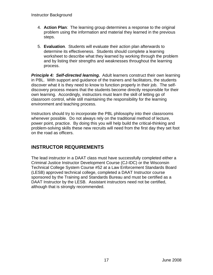- <span id="page-16-0"></span>4. **Action Plan**: The learning group determines a response to the original problem using the information and material they learned in the previous steps.
- 5. **Evaluation**. Students will evaluate their action plan afterwards to determine its effectiveness. Students should complete a learning worksheet to describe what they learned by working through the problem and by listing their strengths and weaknesses throughout the learning process.

**Principle 4: Self-directed learning.** Adult learners construct their own learning in PBL. With support and guidance of the trainers and facilitators, the students discover what it is they need to know to function properly in their job. The selfdiscovery process means that the students become directly responsible for their own learning. Accordingly, instructors must learn the skill of letting go of classroom control, while still maintaining the responsibility for the learning environment and teaching process.

Instructors should try to incorporate the PBL philosophy into their classrooms whenever possible. Do not always rely on the traditional method of lecture, power point, practice. By doing this you will help build the critical-thinking and problem-solving skills these new recruits will need from the first day they set foot on the road as officers.

#### **INSTRUCTOR REQUIREMENTS**

The lead instructor in a DAAT class must have successfully completed either a Criminal Justice Instructor Development Course (CJ-IDC) or the Wisconsin Technical College System Course #52 at a Law Enforcement Standards Board (LESB) approved technical college, completed a DAAT Instructor course sponsored by the Training and Standards Bureau and must be certified as a DAAT Instructor by the LESB. Assistant instructors need not be certified, although that is strongly recommended.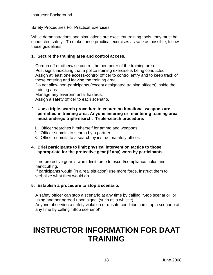#### <span id="page-17-0"></span>Safety Procedures For Practical Exercises

While demonstrations and simulations are excellent training tools, they must be conducted safely. To make these practical exercises as safe as possible, follow these guidelines:

#### **1. Secure the training area and control access.**

Cordon off or otherwise control the perimeter of the training area. Post signs indicating that a police training exercise is being conducted. Assign at least one access-control officer to control entry and to keep track of those entering and leaving the training area.

Do not allow non-participants (except designated training officers) inside the training area.

Manage any environmental hazards.

Assign a safety officer to each scenario.

#### 2. **Use a triple-search procedure to ensure no functional weapons are permitted in training area. Anyone entering or re-entering training area must undergo triple-search. Triple-search procedure:**

- 1. Officer searches him/herself for ammo and weapons.
- 2. Officer submits to search by a partner.
- 3. Officer submits to a search by instructor/safety officer.

#### **4. Brief participants to limit physical intervention tactics to those appropriate for the protective gear (if any) worn by participants.**

If no protective gear is worn, limit force to escort/compliance holds and handcuffing.

If participants would (in a real situation) use more force, instruct them to verbalize what they would do.

#### **5. Establish a procedure to stop a scenario.**

A safety officer can stop a scenario at any time by calling "Stop scenario!" or using another agreed-upon signal (such as a whistle).

Anyone observing a safety violation or unsafe condition can stop a scenario at any time by calling "Stop scenario!"

### **INSTRUCTOR INFORMATION FOR DAAT TRAINING**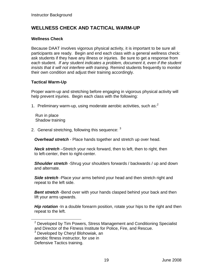#### <span id="page-18-0"></span>**WELLNESS CHECK AND TACTICAL WARM-UP**

#### **Wellness Check**

Because DAAT involves vigorous physical activity, it is important to be sure all participants are ready. Begin and end each class with a general wellness check: ask students if they have any illness or injuries. Be sure to get a response from *each* student. *If any student indicates a problem, document it, even if the student insists that it will not interfere with training.* Remind students frequently to monitor their own condition and adjust their training accordingly.

#### **Tactical Warm-Up**

Proper warm-up and stretching before engaging in vigorous physical activity will help prevent injuries. Begin each class with the following:

1. Preliminary warm-up, using moderate aerobic activities, such as: $<sup>2</sup>$  $<sup>2</sup>$  $<sup>2</sup>$ </sup>

Run in place Shadow training

2. General stretching, following this sequence:  $3$ 

*Overhead stretch* - Place hands together and stretch up over head.

*Neck stretch* –Stretch your neck forward, then to left, then to right, then to left-center, then to right-center.

*Shoulder stretch* -Shrug your shoulders forwards / backwards / up and down and alternate.

*Side stretch* -Place your arms behind your head and then stretch right and repeat to the left side.

**Bent stretch** -Bend over with your hands clasped behind your back and then lift your arms upwards.

*Hip rotation* - In a double forearm position, rotate your hips to the right and then repeat to the left.

<span id="page-18-1"></span>**EXECUTE:**<br><sup>2</sup> Developed by Tim Powers, Stress Management and Conditioning Specialist and Director of the Fitness Institute for Police, Fire, and Rescue.

<span id="page-18-2"></span> $3$  Developed by Cheryl Blohowiak, an

aerobic fitness instructor, for use in

Defensive Tactics training.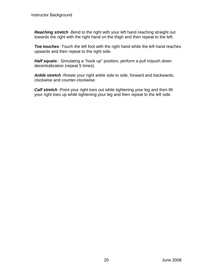**Reaching stretch** -Bend to the right with your left hand reaching straight out towards the right with the right hand on the thigh and then repeat to the left.

**Toe touches** - Touch the left foot with the right hand while the left hand reaches upwards and then repeat to the right side.

*Half squats* - Simulating a "hook up" position, perform a pull in/push down decentralization (repeat 5 times).

*Ankle stretch* -Rotate your right ankle side to side, forward and backwards, clockwise and counter-clockwise.

*Calf stretch* -Point your right toes out while tightening your leg and then lift your right toes up while tightening your leg and then repeat to the left side.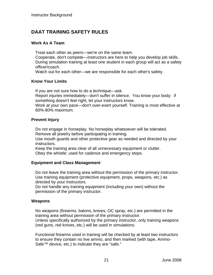#### <span id="page-20-0"></span>**DAAT TRAINING SAFETY RULES**

#### **Work As A Team**

Treat each other as peers—we're on the same team.

Cooperate, don't compete—instructors are here to help you develop job skills. During simulation training at least one student in each group will act as a safety officer/coach.

Watch out for each other—we are responsible for each other's safety.

#### **Know Your Limits**

If you are not sure how to do a technique—ask.

Report injuries immediately—don't suffer in silence. You know your body: if something doesn't feel right, let your instructors know.

Work at your own pace—don't over-exert yourself. Training is most effective at 60%-80% maximum.

#### **Prevent Injury**

Do not engage in horseplay. No horseplay whatsoever will be tolerated. Remove all jewelry before participating in training.

Use mouth guards and other protective gear as needed and directed by your instructors.

Keep the training area clear of all unnecessary equipment or clutter. Obey the whistle: used for cadence and emergency stops.

#### **Equipment and Class Management**

Do not leave the training area without the permission of the primary instructor. Use training equipment (protective equipment, props, weapons, etc.) as directed by your instructors.

Do not handle any training equipment (including your own) without the permission of the primary instructor.

#### **Weapons**

No weapons (firearms, batons, knives, OC spray, etc.) are permitted in the training area without permission of the primary instructor. Unless specifically authorized by the primary instructor, only training weapons (red guns, red knives, etc.) will be used in simulations.

Functional firearms used in training will be checked by at least two instructors to ensure they contain no live ammo, and then marked (with tape, Ammo-Safe™ device, etc.) to indicate they are "safe."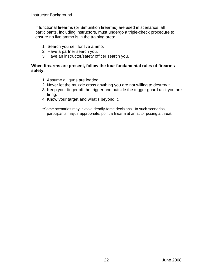If functional firearms (or Simunition firearms) are used in scenarios, all participants, including instructors, must undergo a triple-check procedure to ensure no live ammo is in the training area:

- 1. Search yourself for live ammo.
- 2. Have a partner search you.
- 3. Have an instructor/safety officer search you.

#### **When firearms are present, follow the four fundamental rules of firearms safety:**

- 1. Assume all guns are loaded.
- 2. Never let the muzzle cross anything you are not willing to destroy.\*
- 3. Keep your finger off the trigger and outside the trigger guard until you are firing.
- 4. Know your target and what's beyond it.
- \*Some scenarios may involve deadly-force decisions. In such scenarios, participants may, if appropriate, point a firearm at an actor posing a threat.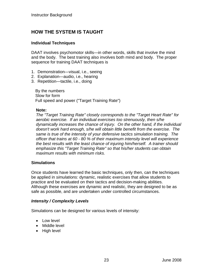#### <span id="page-22-0"></span>**HOW THE SYSTEM IS TAUGHT**

#### **Individual Techniques**

DAAT involves psychomotor skills—in other words, skills that involve the mind and the body. The best training also involves both mind and body. The proper sequence for training DAAT techniques is

- 1. Demonstration—visual, i.e., seeing
- 2. Explanation—audio, i.e., hearing
- 3. Repetition—tactile, i.e., doing

By the numbers Slow for form Full speed and power ("Target Training Rate")

#### **Note:**

*The "Target Training Rate" closely corresponds to the "Target Heart Rate" for aerobic exercise. If an individual exercises too strenuously, then s/he dynamically increases the chance of injury. On the other hand, if the individual doesn't work hard enough, s/he will obtain little benefit from the exercise. The same is true of the intensity of your defensive tactics simulation training. The officer that trains at 60 - 80 % of their maximum intensity level will experience the best results with the least chance of injuring him/herself. A trainer should emphasize this "Target Training Rate" so that his/her students can obtain maximum results with minimum risks.* 

#### **Simulations**

Once students have learned the basic techniques, only then, can the techniques be applied in *simulations:* dynamic, realistic exercises that allow students to practice and be evaluated on their tactics and decision-making abilities. Although these exercises are dynamic and realistic, they are designed to be as safe as possible, and are undertaken under controlled circumstances.

#### *Intensity / Complexity Levels*

Simulations can be designed for various levels of intensity:

- Low level
- Middle level
- High level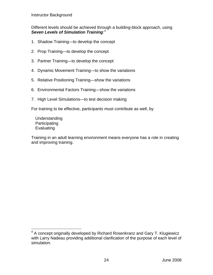#### Different levels should be achieved through a building-block approach, using *Seven Levels of Simulation Training*: [4](#page-23-0)

- 1. Shadow Training—to develop the concept
- 2. Prop Training—to develop the concept
- 3. Partner Training—to develop the concept
- 4. Dynamic Movement Training—to show the variations
- 5. Relative Positioning Training—show the variations
- 6. Environmental Factors Training—show the variations
- 7. High Level Simulations—to test decision making

For training to be effective, participants must contribute as well, by

Understanding **Participating** Evaluating

Training in an adult learning environment means everyone has a role in creating and improving training.

<span id="page-23-0"></span> $\overline{a}$ <sup>4</sup> A concept originally developed by Richard Rosenkranz and Gary T. Klugiewicz with Larry Nadeau providing additional clarification of the purpose of each level of simulation.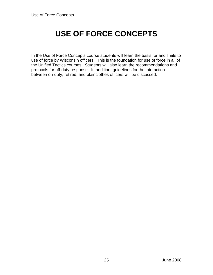### **USE OF FORCE CONCEPTS**

<span id="page-24-0"></span>In the Use of Force Concepts course students will learn the basis for and limits to use of force by Wisconsin officers. This is the foundation for use of force in all of the Unified Tactics courses. Students will also learn the recommendations and protocols for off-duty response. In addition, guidelines for the interaction between on-duty, retired, and plainclothes officers will be discussed.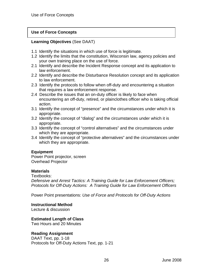#### **Use of Force Concepts**

#### **Learning Objectives** (See DAAT)

- 1.1 Identify the situations in which use of force is legitimate.
- 1.2 Identify the limits that the constitution, Wisconsin law, agency policies and your own training place on the use of force.
- 2.1 Identify and describe the Incident Response concept and its application to law enforcement.
- 2.2 Identify and describe the Disturbance Resolution concept and its application to law enforcement.
- 2.3 Identify the protocols to follow when off-duty and encountering a situation that requires a law enforcement response.
- 2.4 Describe the issues that an on-duty officer is likely to face when encountering an off-duty, retired, or plainclothes officer who is taking official action.
- 3.1 Identify the concept of "presence" and the circumstances under which it is appropriate.
- 3.2 Identify the concept of "dialog" and the circumstances under which it is appropriate.
- 3.3 Identify the concept of "control alternatives" and the circumstances under which they are appropriate.
- 3.4 Identify the concept of "protective alternatives" and the circumstances under which they are appropriate.

#### **Equipment**

Power Point projector, screen Overhead Projector

#### **Materials**

Textbooks:

*Defensive and Arrest Tactics: A Training Guide for Law Enforcement Officers; Protocols for Off-Duty Actions: A Training Guide for Law Enforcement Officers* 

Power Point presentations: *Use of Force and Protocols for Off-Duty Actions* 

#### **Instructional Method**

Lecture & discussion

#### **Estimated Length of Class**

Two Hours and 20 Minutes

#### **Reading Assignment**

DAAT Text, pp. 1-18 Protocols for Off-Duty Actions Text, pp. 1-21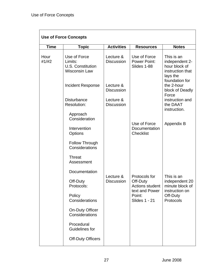$\overline{a}$ 

| <b>Time</b>   | <b>Topic</b>                                                         | <b>Activities</b>              | <b>Resources</b>                                   | <b>Notes</b>                                                                                    |
|---------------|----------------------------------------------------------------------|--------------------------------|----------------------------------------------------|-------------------------------------------------------------------------------------------------|
| Hour<br>#1/#2 | Use of Force<br>Limits:<br>U.S. Constitution<br><b>Wisconsin Law</b> | Lecture &<br><b>Discussion</b> | Use of Force<br><b>Power Point:</b><br>Slides 1-88 | This is an<br>independent 2-<br>hour block of<br>instruction that<br>lays the<br>foundation for |
|               | <b>Incident Response</b>                                             | Lecture &<br><b>Discussion</b> |                                                    | the 2-hour<br>block of Deadly<br>Force                                                          |
|               | <b>Disturbance</b><br>Resolution:                                    | Lecture &<br><b>Discussion</b> |                                                    | instruction and<br>the DAAT<br>instruction.                                                     |
|               | Approach<br>Consideration                                            |                                |                                                    |                                                                                                 |
|               | Intervention<br>Options                                              |                                | Use of Force<br>Documentation<br><b>Checklist</b>  | Appendix B                                                                                      |
|               | <b>Follow Through</b><br>Considerations                              |                                |                                                    |                                                                                                 |
|               | <b>Threat</b><br>Assessment                                          |                                |                                                    |                                                                                                 |
|               | Documentation                                                        | Lecture &                      | Protocols for                                      | This is an                                                                                      |
|               | Off-Duty<br>Protocols:                                               | <b>Discussion</b>              | Off-Duty<br>Actions student<br>text and Power      | independent 20<br>minute block of<br>instruction on                                             |
|               | Policy<br>Considerations                                             |                                | Point:<br><b>Slides 1 - 21</b>                     | Off-Duty<br>Protocols                                                                           |
|               | <b>On-Duty Officer</b><br>Considerations                             |                                |                                                    |                                                                                                 |
|               | Procedural<br>Guidelines for                                         |                                |                                                    |                                                                                                 |
|               | <b>Off-Duty Officers</b>                                             |                                |                                                    |                                                                                                 |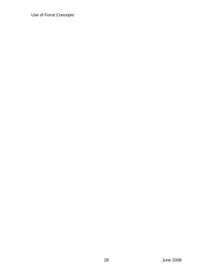Use of Force Concepts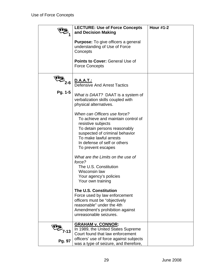|               | <b>LECTURE: Use of Force Concepts</b><br>and Decision Making                                                                                                                                                                               | <b>Hour #1-2</b> |
|---------------|--------------------------------------------------------------------------------------------------------------------------------------------------------------------------------------------------------------------------------------------|------------------|
|               | <b>Purpose:</b> To give officers a general<br>understanding of Use of Force<br>Concepts                                                                                                                                                    |                  |
|               | <b>Points to Cover: General Use of</b><br><b>Force Concepts</b>                                                                                                                                                                            |                  |
| $-2 - 6$      | <b>D.A.A.T.:</b><br><b>Defensive And Arrest Tactics</b>                                                                                                                                                                                    |                  |
| Pg. 1-5       | What is DAAT? DAAT is a system of<br>verbalization skills coupled with<br>physical alternatives.                                                                                                                                           |                  |
|               | When can Officers use force?<br>To achieve and maintain control of<br>resistive subjects<br>To detain persons reasonably<br>suspected of criminal behavior<br>To make lawful arrests<br>In defense of self or others<br>To prevent escapes |                  |
|               | What are the Limits on the use of<br>force?<br>The U.S. Constitution<br>Wisconsin law<br>Your agency's policies<br>Your own training                                                                                                       |                  |
|               | The U.S. Constitution<br>Force used by law enforcement<br>officers must be "objectively<br>reasonable" under the 4th<br>Amendment's prohibition against<br>unreasonable seizures.                                                          |                  |
| $\sum_{7-13}$ | <b>GRAHAM v. CONNOR:</b><br>In 1989, the United States Supreme<br>Court found that law enforcement<br>officers' use of force against subjects                                                                                              |                  |
| <b>Pg. 97</b> | was a type of seizure, and therefore,                                                                                                                                                                                                      |                  |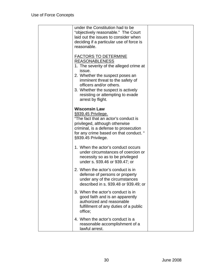| under the Constitution had to be<br>"objectively reasonable." The Court<br>laid out the issues to consider when<br>deciding if a particular use of force is<br>reasonable.                                                                                                                                 |  |
|------------------------------------------------------------------------------------------------------------------------------------------------------------------------------------------------------------------------------------------------------------------------------------------------------------|--|
| <b>FACTORS TO DETERMINE</b><br><b>REASONABLENESS</b><br>1. The severity of the alleged crime at<br>issue.<br>2. Whether the suspect poses an<br>imminent threat to the safety of<br>officers and/or others.<br>3. Whether the suspect is actively<br>resisting or attempting to evade<br>arrest by flight. |  |
| <b>Wisconsin Law</b><br>§939.45 Privilege.<br>"The fact that an actor's conduct is<br>privileged, although otherwise<br>criminal, is a defense to prosecution<br>for any crime based on that conduct. "<br>§939.45 Privilege.                                                                              |  |
| 1. When the actor's conduct occurs<br>under circumstances of coercion or<br>necessity so as to be privileged<br>under s. 939.46 or 939.47; or                                                                                                                                                              |  |
| 2. When the actor's conduct is in<br>defense of persons or property<br>under any of the circumstances<br>described in s. 939.48 or 939.49; or                                                                                                                                                              |  |
| 3. When the actor's conduct is in<br>good faith and is an apparently<br>authorized and reasonable<br>fulfillment of any duties of a public<br>office;                                                                                                                                                      |  |
| 4. When the actor's conduct is a<br>reasonable accomplishment of a<br>lawful arrest.                                                                                                                                                                                                                       |  |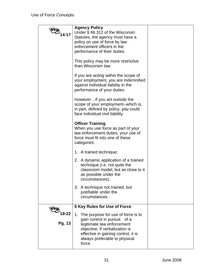| <b>PED</b> 14-17 | <b>Agency Policy</b><br>Under § 66.312 of the Wisconsin<br>Statutes, the agency must have a<br>policy on use of force by law<br>enforcement officers in the<br>performance of their duties. |  |
|------------------|---------------------------------------------------------------------------------------------------------------------------------------------------------------------------------------------|--|
|                  | This policy may be more restrictive<br>than Wisconsin law.                                                                                                                                  |  |
|                  | If you are acting within the scope of<br>your employment, you are indemnified<br>against individual liability in the<br>performance of your duties.                                         |  |
|                  | However If you act outside the<br>scope of your employment--which is,<br>in part, defined by policy, you could<br>face individual civil liability.                                          |  |
|                  | <b>Officer Training</b><br>When you use force as part of your<br>law enforcement duties, your use of<br>force must fit into one of these<br>categories:                                     |  |
|                  | 1. A trained technique;                                                                                                                                                                     |  |
|                  | 2. A dynamic application of a trained<br>technique (i.e. not quite the<br>classroom model, but as close to it<br>as possible under the<br>circumstances);                                   |  |
|                  | A technique not trained, but<br>3.<br>justifiable under the<br>circumstances.                                                                                                               |  |
|                  | <b>5 Key Rules for Use of Force</b>                                                                                                                                                         |  |
| $\sum_{18-22}$   | The purpose for use of force is to<br>1.                                                                                                                                                    |  |
| <b>Pg. 13</b>    | gain control in pursuit of a<br>legitimate law enforcement<br>objective. If verbalization is<br>effective in gaining control, it is<br>always preferable to physical<br>force.              |  |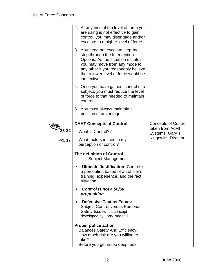|        | 2. At any time, if the level of force you<br>are using is not effective to gain<br>control, you may disengage and/or<br>escalate to a higher level of force.<br>3. You need not escalate step-by-<br>step through the Intervention<br>Options. As the situation dictates,<br>you may move from any mode to<br>any other if you reasonably believe<br>that a lower level of force would be<br>ineffective.<br>4. Once you have gained control of a<br>subject, you must reduce the level<br>of force to that needed to maintain<br>control. |                                    |
|--------|--------------------------------------------------------------------------------------------------------------------------------------------------------------------------------------------------------------------------------------------------------------------------------------------------------------------------------------------------------------------------------------------------------------------------------------------------------------------------------------------------------------------------------------------|------------------------------------|
|        | You must always maintain a<br>5.<br>position of advantage.                                                                                                                                                                                                                                                                                                                                                                                                                                                                                 |                                    |
|        | <b>DAAT Concepts of Control</b>                                                                                                                                                                                                                                                                                                                                                                                                                                                                                                            | <b>Concepts of Control</b>         |
| 23-32  | What is Control??                                                                                                                                                                                                                                                                                                                                                                                                                                                                                                                          | taken from AcMI<br>Systems, Gary T |
| Pg. 17 | What factors influence my<br>perception of control?                                                                                                                                                                                                                                                                                                                                                                                                                                                                                        | Klugewitz, Director                |
|        | The definition of Control<br>-Subject Management                                                                                                                                                                                                                                                                                                                                                                                                                                                                                           |                                    |
|        | <b>Ultimate Justification: Control is</b><br>٠<br>a perception based of an officer's<br>training, experience, and the fact<br>situation.                                                                                                                                                                                                                                                                                                                                                                                                   |                                    |
|        | Control is not a 50/50<br>٠<br>proposition                                                                                                                                                                                                                                                                                                                                                                                                                                                                                                 |                                    |
|        | <b>Defensive Tactics Focus:</b><br>٠<br><b>Subject Control versus Personal</b><br>Safety Issues -- a concept<br>developed by Larry Nadeau                                                                                                                                                                                                                                                                                                                                                                                                  |                                    |
|        | <b>Proper police action</b><br>Balances Safety And Efficiency.<br>How much risk are you willing to<br>take?<br>Before you get in too deep, ask                                                                                                                                                                                                                                                                                                                                                                                             |                                    |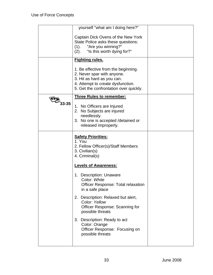|       | yourself "what am I doing here?"                                                                                                                                               |  |
|-------|--------------------------------------------------------------------------------------------------------------------------------------------------------------------------------|--|
|       | Captain Dick Ovens of the New York<br>State Police asks these questions:<br>"Are you winning?"<br>(1).<br>(2).<br>"Is this worth dying for?"                                   |  |
|       | <b>Fighting rules.</b>                                                                                                                                                         |  |
|       | 1. Be effective from the beginning.<br>2. Never spar with anyone.<br>3. Hit as hard as you can.<br>4. Attempt to create dysfunction.<br>5. Get the confrontation over quickly. |  |
|       | <b>Three Rules to remember:</b>                                                                                                                                                |  |
| 33-35 | 1. No Officers are Injured<br>2. No Subjects are injured<br>needlessly.<br>3. No one is accepted /detained or<br>released improperly.                                          |  |
|       | <b>Safety Priorities:</b><br>1. You<br>2. Fellow Officer(s)/Staff Members<br>3. Civilian(s)<br>4. Criminal(s)                                                                  |  |
|       | <b>Levels of Awareness:</b>                                                                                                                                                    |  |
|       | 1. Description: Unaware<br>Color: White<br><b>Officer Response: Total relaxation</b><br>in a safe place                                                                        |  |
|       | 2. Description: Relaxed but alert,<br>Color: Yellow<br>Officer Response: Scanning for<br>possible threats                                                                      |  |
|       | Description: Ready to act<br>3.<br>Color: Orange<br>Officer Response: Focusing on<br>possible threats                                                                          |  |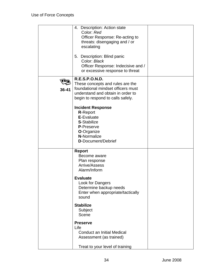|       | 4. Description: Action state<br>Color: Red<br>Officer Response: Re-acting to<br>threats: disengaging and / or<br>escalating<br>5. Description: Blind panic<br>Color: Black<br>Officer Response: Indecisive and /<br>or excessive response to threat |  |
|-------|-----------------------------------------------------------------------------------------------------------------------------------------------------------------------------------------------------------------------------------------------------|--|
| 36-41 | <b>R.E.S.P.O.N.D.</b><br>These concepts and rules are the<br>foundational mindset officers must<br>understand and obtain in order to<br>begin to respond to calls safely.                                                                           |  |
|       | <b>Incident Response</b><br><b>R-Report</b><br>E-Evaluate<br><b>S-Stabilize</b><br><b>P-Preserve</b><br>O-Organize<br>N-Normalize<br><b>D-Document/Debrief</b>                                                                                      |  |
|       | <b>Report</b><br>Become aware<br>Plan response<br>Arrive/Assess<br>Alarm/Inform                                                                                                                                                                     |  |
|       | <b>Evaluate</b><br>Look for Dangers<br>Determine backup needs<br>Enter when appropriate/tactically<br>sound                                                                                                                                         |  |
|       | <b>Stabilize</b><br>Subject<br>Scene                                                                                                                                                                                                                |  |
|       | <b>Preserve</b><br>Life<br><b>Conduct an Initial Medical</b><br>Assessment (as trained)                                                                                                                                                             |  |
|       | Treat to your level of training                                                                                                                                                                                                                     |  |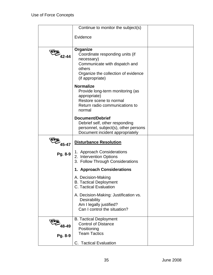<span id="page-34-0"></span>

|         | Continue to monitor the subject(s)                                                                                                                              |  |
|---------|-----------------------------------------------------------------------------------------------------------------------------------------------------------------|--|
|         | Evidence                                                                                                                                                        |  |
|         |                                                                                                                                                                 |  |
| 42-44   | Organize<br>Coordinate responding units (if<br>necessary)<br>Communicate with dispatch and<br>others<br>Organize the collection of evidence<br>(if appropriate) |  |
|         | <b>Normalize</b><br>Provide long-term monitoring (as<br>appropriate)<br>Restore scene to normal<br>Return radio communications to<br>normal                     |  |
|         | <b>Document/Debrief</b><br>Debrief self, other responding<br>personnel, subject(s), other persons<br>Document incident appropriately                            |  |
| 45-47   | <b>Disturbance Resolution</b>                                                                                                                                   |  |
| Pg. 8-9 | 1. Approach Considerations<br>2. Intervention Options<br>3. Follow Through Considerations                                                                       |  |
|         |                                                                                                                                                                 |  |
|         | 1. Approach Considerations                                                                                                                                      |  |
|         | A. Decision-Making<br><b>B. Tactical Deployment</b><br>C. Tactical Evaluation                                                                                   |  |
|         | A. Decision-Making: Justification vs.<br>Desirability<br>Am I legally justified?<br>Can I control the situation?                                                |  |
| 48-49   | <b>B. Tactical Deployment</b><br><b>Control of Distance</b><br>Positioning                                                                                      |  |
| Pg. 8-9 | <b>Team Tactics</b>                                                                                                                                             |  |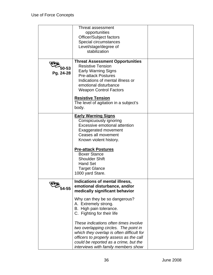|                    | Threat assessment<br>opportunities<br>Officer/Subject factors<br>Special circumstances<br>Level/stage/degree of<br>stabilization                                                                                                                                                                                   |  |
|--------------------|--------------------------------------------------------------------------------------------------------------------------------------------------------------------------------------------------------------------------------------------------------------------------------------------------------------------|--|
| 50-53<br>Pg. 24-28 | <b>Threat Assessment Opportunities</b><br><b>Resistive Tension</b><br><b>Early Warning Signs</b><br><b>Pre-attack Postures</b><br>Indications of mental illness or<br>emotional disturbance<br><b>Weapon Control Factors</b>                                                                                       |  |
|                    | <b>Resistive Tension</b><br>The level of agitation in a subject's<br>body.                                                                                                                                                                                                                                         |  |
|                    | <b>Early Warning Signs</b><br>Conspicuously ignoring<br>Excessive emotional attention<br><b>Exaggerated movement</b><br>Ceases all movement<br>Known violent history.<br><b>Pre-attack Postures</b><br><b>Boxer Stance</b><br><b>Shoulder Shift</b><br><b>Hand Set</b><br><b>Target Glance</b><br>1000 yard Stare. |  |
| $\sum_{54-55}$     | Indications of mental illness,<br>emotional disturbance, and/or<br>medically significant behavior<br>Why can they be so dangerous?                                                                                                                                                                                 |  |
|                    | A. Extremely strong.<br>B. High pain tolerance.<br>C. Fighting for their life                                                                                                                                                                                                                                      |  |
|                    | These indications often times involve<br>two overlapping circles. The point in<br>which they overlap is often difficult for<br>officers to properly assess as the call<br>could be reported as a crime, but the<br>interviews with family members show                                                             |  |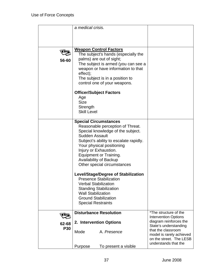|                     | a medical crisis.                                                                                                                                                                                                                                                                                                        |                                                                                                         |
|---------------------|--------------------------------------------------------------------------------------------------------------------------------------------------------------------------------------------------------------------------------------------------------------------------------------------------------------------------|---------------------------------------------------------------------------------------------------------|
| 56-60               | <b>Weapon Control Factors</b><br>The subject's hands (especially the<br>palms) are out of sight;<br>The subject is armed (you can see a<br>weapon or have information to that<br>effect);<br>The subject is in a position to<br>control one of your weapons.                                                             |                                                                                                         |
|                     | <b>Officer/Subject Factors</b><br>Age<br><b>Size</b><br>Strength<br><b>Skill Level</b>                                                                                                                                                                                                                                   |                                                                                                         |
|                     | <b>Special Circumstances</b><br>Reasonable perception of Threat.<br>Special knowledge of the subject.<br><b>Sudden Assault</b><br>Subject's ability to escalate rapidly.<br>Your physical positioning<br>Injury or Exhaustion.<br>Equipment or Training.<br><b>Availability of Backup</b><br>Other special circumstances |                                                                                                         |
|                     | <b>Level/Stage/Degree of Stabilization</b><br>Presence Stabilization<br><b>Verbal Stabilization</b><br><b>Standing Stabilization</b><br><b>Wall Stabilization</b><br><b>Ground Stabilization</b><br><b>Special Restraints</b>                                                                                            |                                                                                                         |
| 62-68<br><b>P30</b> | <b>Disturbance Resolution</b><br>2. Intervention Options                                                                                                                                                                                                                                                                 | *The structure of the<br><b>Intervention Options</b><br>diagram reinforces the<br>State's understanding |
|                     | Mode<br>A. Presence<br>To present a visible<br>Purpose                                                                                                                                                                                                                                                                   | that the classroom<br>model is rarely achieved<br>on the street. The LESB<br>understands that the       |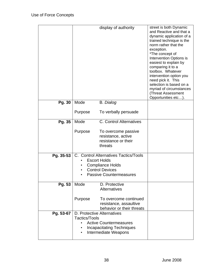|           |                      | display of authority                                                                                                                                | street is both Dynamic<br>and Reactive and that a<br>dynamic application of a<br>trained technique is the<br>norm rather that the<br>exception.<br>*The concept of<br>Intervention Options is<br>easiest to explain by<br>comparing it to a<br>toolbox. Whatever<br>intervention option you<br>need pick it. This<br>selection is based on a<br>myriad of circumstances<br>(Threat Assessment<br>Opportunities etc). |
|-----------|----------------------|-----------------------------------------------------------------------------------------------------------------------------------------------------|----------------------------------------------------------------------------------------------------------------------------------------------------------------------------------------------------------------------------------------------------------------------------------------------------------------------------------------------------------------------------------------------------------------------|
| Pg. 30    | Mode                 | <b>B.</b> Dialog                                                                                                                                    |                                                                                                                                                                                                                                                                                                                                                                                                                      |
|           | Purpose              | To verbally persuade                                                                                                                                |                                                                                                                                                                                                                                                                                                                                                                                                                      |
| Pg. 35    | Mode                 | C. Control Alternatives                                                                                                                             |                                                                                                                                                                                                                                                                                                                                                                                                                      |
|           | Purpose              | To overcome passive<br>resistance, active<br>resistance or their<br>threats                                                                         |                                                                                                                                                                                                                                                                                                                                                                                                                      |
| Pg. 35-53 |                      | C. Control Alternatives Tactics/Tools<br><b>Escort Holds</b><br><b>Compliance Holds</b><br><b>Control Devices</b><br><b>Passive Countermeasures</b> |                                                                                                                                                                                                                                                                                                                                                                                                                      |
| Pg. 53    | Mode                 | D. Protective<br><b>Alternatives</b>                                                                                                                |                                                                                                                                                                                                                                                                                                                                                                                                                      |
|           | Purpose              | To overcome continued<br>resistance, assaultive<br>behavior or their threats                                                                        |                                                                                                                                                                                                                                                                                                                                                                                                                      |
| Pg. 53-67 | <b>Tactics/Tools</b> | D. Protective Alternatives<br><b>Active Countermeasures</b><br><b>Incapacitating Techniques</b><br>Intermediate Weapons                             |                                                                                                                                                                                                                                                                                                                                                                                                                      |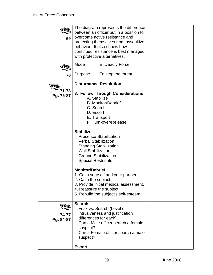|           | The diagram represents the difference   |  |
|-----------|-----------------------------------------|--|
|           | between an officer put in a position to |  |
| 69        | overcome active resistance and          |  |
|           | protecting themselves from assaultive   |  |
|           | behavior. It also shows how             |  |
|           |                                         |  |
|           | continued resistance is best managed    |  |
|           | with protective alternatives.           |  |
|           |                                         |  |
|           | Mode<br>E. Deadly Force                 |  |
|           |                                         |  |
| 70        | Purpose<br>To stop the threat           |  |
|           |                                         |  |
|           | <b>Disturbance Resolution</b>           |  |
|           |                                         |  |
| 71-73     |                                         |  |
| Pg. 75-87 | 3. Follow Through Considerations        |  |
|           | A. Stabilize                            |  |
|           | <b>B.</b> Monitor/Debrief               |  |
|           | C. Search                               |  |
|           | D. Escort                               |  |
|           | E. Transport                            |  |
|           |                                         |  |
|           | F. Turn-over/Release                    |  |
|           |                                         |  |
|           | <b>Stabilize</b>                        |  |
|           | <b>Presence Stabilization</b>           |  |
|           | <b>Verbal Stabilization</b>             |  |
|           | <b>Standing Stabilization</b>           |  |
|           |                                         |  |
|           | <b>Wall Stabilization</b>               |  |
|           | <b>Ground Stabilization</b>             |  |
|           | <b>Special Restraints</b>               |  |
|           |                                         |  |
|           | <b>Monitor/Debrief</b>                  |  |
|           | 1. Calm yourself and your partner.      |  |
|           |                                         |  |
|           | 2. Calm the subject.                    |  |
|           | 3. Provide initial medical assessment.  |  |
|           | 4. Reassure the subject.                |  |
|           | 5. Rebuild the subject's self-esteem.   |  |
|           |                                         |  |
|           | <b>Search</b>                           |  |
|           |                                         |  |
|           | Frisk vs. Search (Level of              |  |
| 74-77     | intrusiveness and justification         |  |
| Pg. 84-87 | differences for each)                   |  |
|           | Can a Male officer search a female      |  |
|           | suspect?                                |  |
|           | Can a Female officer search a male      |  |
|           |                                         |  |
|           | suspect?                                |  |
|           |                                         |  |
|           | <b>Escort</b>                           |  |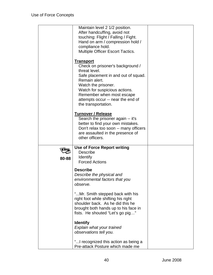|       | Maintain level 2 1/2 position.          |  |
|-------|-----------------------------------------|--|
|       |                                         |  |
|       | After handcuffing, avoid not            |  |
|       | touching: Flight / Falling / Fight.     |  |
|       | Hand on arm / compression hold /        |  |
|       | compliance hold.                        |  |
|       | <b>Multiple Officer Escort Tactics.</b> |  |
|       |                                         |  |
|       | <b>Transport</b>                        |  |
|       | Check on prisoner's background /        |  |
|       | threat level.                           |  |
|       | Safe placement in and out of squad.     |  |
|       | Remain alert.                           |  |
|       | Watch the prisoner.                     |  |
|       | Watch for suspicious actions.           |  |
|       | Remember when most escape               |  |
|       | attempts occur -- near the end of       |  |
|       | the transportation.                     |  |
|       |                                         |  |
|       | <b>Turnover / Release</b>               |  |
|       | Search the prisoner again -- it's       |  |
|       | better to find your own mistakes.       |  |
|       | Don't relax too soon -- many officers   |  |
|       | are assaulted in the presence of        |  |
|       | other officers.                         |  |
|       |                                         |  |
|       | <b>Use of Force Report writing</b>      |  |
|       | <b>Describe</b>                         |  |
|       | <b>Identify</b>                         |  |
| 80-88 | <b>Forced Actions</b>                   |  |
|       |                                         |  |
|       | <b>Describe</b>                         |  |
|       | Describe the physical and               |  |
|       | environmental factors that you          |  |
|       | observe.                                |  |
|       |                                         |  |
|       | "Mr. Smith stepped back with his        |  |
|       | right foot while shifting his right     |  |
|       | shoulder back. As he did this he        |  |
|       | brought both hands up to his face in    |  |
|       | fists. He shouted "Let's go pig"        |  |
|       |                                         |  |
|       | <b>Identify</b>                         |  |
|       | Explain what your trained               |  |
|       | observations tell you.                  |  |
|       |                                         |  |
|       | "I recognized this action as being a    |  |
|       | Pre-attack Posture which made me        |  |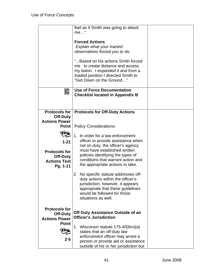|                      | feel as if Smith was going to attack                               |  |
|----------------------|--------------------------------------------------------------------|--|
|                      | $me$ "                                                             |  |
|                      |                                                                    |  |
|                      |                                                                    |  |
|                      | <b>Forced Actions</b>                                              |  |
|                      | Explain what your trained                                          |  |
|                      | observations forced you to do.                                     |  |
|                      |                                                                    |  |
|                      | "Based on his actions Smith forced                                 |  |
|                      | me to create distance and access                                   |  |
|                      | my baton. I expanded it and from a                                 |  |
|                      | loaded position I directed Smith to                                |  |
|                      | "Get Down on the Ground"                                           |  |
|                      |                                                                    |  |
|                      | <b>Use of Force Documentation</b>                                  |  |
| E                    | <b>Checklist located in Appendix B</b>                             |  |
|                      |                                                                    |  |
|                      |                                                                    |  |
|                      |                                                                    |  |
| <b>Protocols for</b> | <b>Protocols for Off-Duty Actions</b>                              |  |
| <b>Off-Duty</b>      |                                                                    |  |
| <b>Actions Power</b> |                                                                    |  |
| <b>Point</b>         | <b>Policy Considerations:</b>                                      |  |
|                      |                                                                    |  |
|                      | 1. In order for a law enforcement                                  |  |
|                      | officer to provide assistance when                                 |  |
| $1 - 21$             |                                                                    |  |
|                      | not on duty, the officer's agency<br>must have established written |  |
| <b>Protocols for</b> |                                                                    |  |
| <b>Off-Duty</b>      | policies identifying the types of                                  |  |
| <b>Actions Text</b>  | conditions that warrant action and                                 |  |
| Pg. 1-11             | the appropriate actions to take.                                   |  |
|                      |                                                                    |  |
|                      | 2. No specific statute addresses off-                              |  |
|                      | duty actions within the officer's                                  |  |
|                      | jurisdiction; however, it appears                                  |  |
|                      | appropriate that these guidelines                                  |  |
|                      | would be followed for those                                        |  |
|                      | situations as well.                                                |  |
|                      |                                                                    |  |
| <b>Protocols for</b> |                                                                    |  |
| <b>Off-Duty</b>      | Off Duty Assistance Outside of an                                  |  |
| <b>Actions Power</b> | <b>Officer's Jurisdiction.</b>                                     |  |
| <b>Point</b>         |                                                                    |  |
|                      | 1. Wisconsin statute 175.40(6m)(a)                                 |  |
|                      | states that an off-duty law                                        |  |
|                      | enforcement officer may arrest a                                   |  |
| 2-5                  | person or provide aid or assistance                                |  |
|                      |                                                                    |  |
|                      | outside of his or her jurisdiction but                             |  |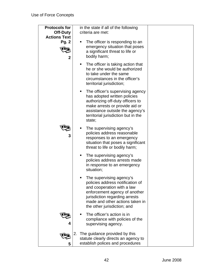|  | in the state if all of the following                                                                                                                                                                                            | <b>Protocols for</b> |
|--|---------------------------------------------------------------------------------------------------------------------------------------------------------------------------------------------------------------------------------|----------------------|
|  | criteria are met:                                                                                                                                                                                                               | <b>Off-Duty</b>      |
|  |                                                                                                                                                                                                                                 | <b>Actions Text</b>  |
|  | The officer is responding to an<br>٠                                                                                                                                                                                            | <b>Pg. 2</b>         |
|  | emergency situation that poses                                                                                                                                                                                                  |                      |
|  | a significant threat to life or                                                                                                                                                                                                 |                      |
|  | bodily harm;                                                                                                                                                                                                                    | 2                    |
|  | The officer is taking action that<br>he or she would be authorized<br>to take under the same<br>circumstances in the officer's<br>territorial jurisdiction;                                                                     |                      |
|  | The officer's supervising agency<br>п<br>has adopted written policies<br>authorizing off-duty officers to<br>make arrests or provide aid or<br>assistance outside the agency's<br>territorial jurisdiction but in the<br>state; |                      |
|  | The supervising agency's<br>policies address reasonable<br>responses to an emergency<br>situation that poses a significant<br>threat to life or bodily harm;                                                                    |                      |
|  | The supervising agency's<br>п<br>policies address arrests made<br>in response to an emergency<br>situation;                                                                                                                     |                      |
|  | The supervising agency's<br>policies address notification of<br>and cooperation with a law<br>enforcement agency of another<br>jurisdiction regarding arrests<br>made and other actions taken in<br>the other jurisdiction; and |                      |
|  | The officer's action is in<br>compliance with policies of the<br>supervising agency.                                                                                                                                            |                      |
|  | The guidance provided by this<br>statute clearly directs an agency to                                                                                                                                                           |                      |
|  | establish polices and procedures                                                                                                                                                                                                | b                    |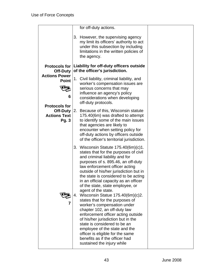| <b>Protocols for</b> | for off-duty actions.<br>3. However, the supervising agency<br>my limit its officers' authority to act<br>under this subsection by including<br>limitations in the written policies of<br>the agency.<br>Liability for off-duty officers outside                                                                                                                                                                                                                                                                                                                                                                                                                                                                                             |  |
|----------------------|----------------------------------------------------------------------------------------------------------------------------------------------------------------------------------------------------------------------------------------------------------------------------------------------------------------------------------------------------------------------------------------------------------------------------------------------------------------------------------------------------------------------------------------------------------------------------------------------------------------------------------------------------------------------------------------------------------------------------------------------|--|
|                      | of the officer's jurisdiction.                                                                                                                                                                                                                                                                                                                                                                                                                                                                                                                                                                                                                                                                                                               |  |
| <b>Off-Duty</b>      |                                                                                                                                                                                                                                                                                                                                                                                                                                                                                                                                                                                                                                                                                                                                              |  |
| <b>Actions Power</b> | Civil liability, criminal liability, and<br>1.                                                                                                                                                                                                                                                                                                                                                                                                                                                                                                                                                                                                                                                                                               |  |
| <b>Point</b>         | worker's compensation issues are                                                                                                                                                                                                                                                                                                                                                                                                                                                                                                                                                                                                                                                                                                             |  |
|                      | serious concerns that may                                                                                                                                                                                                                                                                                                                                                                                                                                                                                                                                                                                                                                                                                                                    |  |
|                      | influence an agency's policy                                                                                                                                                                                                                                                                                                                                                                                                                                                                                                                                                                                                                                                                                                                 |  |
| 6                    | considerations when developing                                                                                                                                                                                                                                                                                                                                                                                                                                                                                                                                                                                                                                                                                                               |  |
| <b>Protocols for</b> | off-duty protocols.                                                                                                                                                                                                                                                                                                                                                                                                                                                                                                                                                                                                                                                                                                                          |  |
| <b>Off-Duty</b>      | Because of this, Wisconsin statute<br>2.                                                                                                                                                                                                                                                                                                                                                                                                                                                                                                                                                                                                                                                                                                     |  |
| <b>Actions Text</b>  | 175.40(6m) was drafted to attempt                                                                                                                                                                                                                                                                                                                                                                                                                                                                                                                                                                                                                                                                                                            |  |
| <b>Pg. 3</b>         | to identify some of the main issues                                                                                                                                                                                                                                                                                                                                                                                                                                                                                                                                                                                                                                                                                                          |  |
|                      | that agencies are likely to                                                                                                                                                                                                                                                                                                                                                                                                                                                                                                                                                                                                                                                                                                                  |  |
|                      | encounter when setting policy for                                                                                                                                                                                                                                                                                                                                                                                                                                                                                                                                                                                                                                                                                                            |  |
|                      | off-duty actions by officers outside                                                                                                                                                                                                                                                                                                                                                                                                                                                                                                                                                                                                                                                                                                         |  |
|                      | of the officer's territorial jurisdiction.                                                                                                                                                                                                                                                                                                                                                                                                                                                                                                                                                                                                                                                                                                   |  |
|                      | 3. Wisconsin Statute 175.40(6m)(c)1.<br>states that for the purposes of civil<br>and criminal liability and for<br>purposes of s. 895.46, an off-duty<br>law enforcement officer acting<br>outside of his/her jurisdiction but in<br>the state is considered to be acting<br>in an official capacity as an officer<br>of the state, state employee, or<br>agent of the state.<br>Wisconsin Statue 175.40(6m)(c)2.<br>4.<br>states that for the purposes of<br>worker's compensation under<br>chapter 102, an off-duty law<br>enforcement officer acting outside<br>of his/her jurisdiction but in the<br>state is considered to be an<br>employee of the state and the<br>officer is eligible for the same<br>benefits as if the officer had |  |
|                      | sustained the injury while                                                                                                                                                                                                                                                                                                                                                                                                                                                                                                                                                                                                                                                                                                                   |  |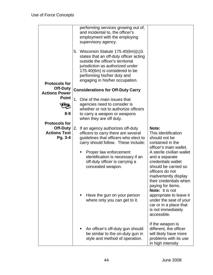|                                         |         | performing services growing out of,<br>and incidental to, the officer's<br>employment with the employing<br>supervisory agency.                                                                                                                             |                                                                                                                                                                                      |
|-----------------------------------------|---------|-------------------------------------------------------------------------------------------------------------------------------------------------------------------------------------------------------------------------------------------------------------|--------------------------------------------------------------------------------------------------------------------------------------------------------------------------------------|
| <b>Protocols for</b>                    |         | 5. Wisconsin Statute 175.40(6m)(c)3.<br>states that an off-duty officer acting<br>outside the officer's territorial<br>jurisdiction as authorized under<br>175.40(6m) is considered to be<br>performing his/her duty and<br>engaging in his/her occupation. |                                                                                                                                                                                      |
| <b>Off-Duty</b><br><b>Actions Power</b> |         | <b>Considerations for Off-Duty Carry</b>                                                                                                                                                                                                                    |                                                                                                                                                                                      |
| <b>Point</b>                            | $1_{-}$ | One of the main issues that                                                                                                                                                                                                                                 |                                                                                                                                                                                      |
|                                         |         | agencies need to consider is                                                                                                                                                                                                                                |                                                                                                                                                                                      |
|                                         |         | whether or not to authorize officers                                                                                                                                                                                                                        |                                                                                                                                                                                      |
| $8 - 9$                                 |         | to carry a weapon or weapons<br>when they are off duty.                                                                                                                                                                                                     |                                                                                                                                                                                      |
| <b>Protocols for</b>                    |         |                                                                                                                                                                                                                                                             |                                                                                                                                                                                      |
| <b>Off-Duty</b>                         | 2.      | If an agency authorizes off-duty                                                                                                                                                                                                                            | Note:                                                                                                                                                                                |
| <b>Actions Text</b><br>Pg. 3-4          |         | officers to carry there are several<br>guidelines that officers who elect to<br>carry should follow. These include:                                                                                                                                         | This identification<br>should not be<br>contained in the<br>officer's main wallet.                                                                                                   |
|                                         |         | Proper law enforcement<br>П<br>identification is necessary if an<br>off-duty officer is carrying a<br>concealed weapon.                                                                                                                                     | A sterile civilian wallet<br>and a separate<br>credentials wallet<br>should be carried so<br>officers do not<br>inadvertently display<br>their credentials when<br>paying for items. |
|                                         |         | Have the gun on your person<br>п<br>where only you can get to it.                                                                                                                                                                                           | Note: It is not<br>appropriate to leave it<br>under the seat of your<br>car or in a place that<br>is not immediately<br>accessible.                                                  |
|                                         |         | An officer's off-duty gun should<br>п<br>be similar to the on-duty gun in<br>style and method of operation.                                                                                                                                                 | If the weapon is<br>different, the officer<br>will likely have more<br>problems with its use<br>in high intensity                                                                    |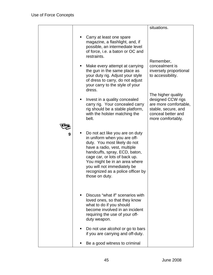|                                                                                                                                                                                                                                                                                                                               | situations.                                                                                                                        |
|-------------------------------------------------------------------------------------------------------------------------------------------------------------------------------------------------------------------------------------------------------------------------------------------------------------------------------|------------------------------------------------------------------------------------------------------------------------------------|
| Carry at least one spare<br>п<br>magazine, a flashlight, and, if<br>possible, an intermediate level<br>of force, i.e. a baton or OC and<br>restraints.                                                                                                                                                                        |                                                                                                                                    |
| Make every attempt at carrying<br>п<br>the gun in the same place as<br>your duty rig. Adjust your style<br>of dress to carry, do not adjust<br>your carry to the style of your<br>dress.                                                                                                                                      | Remember,<br>concealment is<br>inversely proportional<br>to accessibility.                                                         |
| Invest in a quality concealed<br>п<br>carry rig. Your concealed carry<br>rig should be a stable platform,<br>with the holster matching the<br>belt.                                                                                                                                                                           | The higher quality<br>designed CCW rigs<br>are more comfortable,<br>stable, secure, and<br>conceal better and<br>more comfortably. |
| Do not act like you are on duty<br>п<br>in uniform when you are off-<br>duty. You most likely do not<br>have a radio, vest, multiple<br>handcuffs, spray, ECD, baton,<br>cage car, or lots of back up.<br>You might be in an area where<br>you will not immediately be<br>recognized as a police officer by<br>those on duty. |                                                                                                                                    |
| Discuss "what if" scenarios with<br>loved ones, so that they know<br>what to do if you should<br>become involved in an incident<br>requiring the use of your off-<br>duty weapon.                                                                                                                                             |                                                                                                                                    |
| Do not use alcohol or go to bars<br>п<br>if you are carrying and off-duty.                                                                                                                                                                                                                                                    |                                                                                                                                    |
| Be a good witness to criminal                                                                                                                                                                                                                                                                                                 |                                                                                                                                    |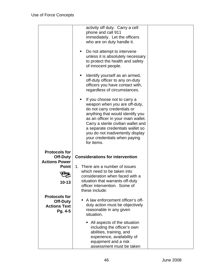|                                                                           | activity off duty. Carry a cell<br>phone and call 911<br>immediately. Let the officers<br>who are on duty handle it.                                                                                                                                                                                                                     |  |
|---------------------------------------------------------------------------|------------------------------------------------------------------------------------------------------------------------------------------------------------------------------------------------------------------------------------------------------------------------------------------------------------------------------------------|--|
|                                                                           | Do not attempt to intervene<br>٠<br>unless it is absolutely necessary<br>to protect the health and safety<br>of innocent people.                                                                                                                                                                                                         |  |
|                                                                           | Identify yourself as an armed,<br>٠<br>off-duty officer to any on-duty<br>officers you have contact with,<br>regardless of circumstances.                                                                                                                                                                                                |  |
|                                                                           | If you choose not to carry a<br>٠<br>weapon when you are off-duty,<br>do not carry credentials or<br>anything that would identify you<br>as an officer in your main wallet.<br>Carry a sterile civilian wallet and<br>a separate credentials wallet so<br>you do not inadvertently display<br>your credentials when paying<br>for items. |  |
| <b>Protocols for</b><br><b>Off-Duty</b>                                   | <b>Considerations for intervention</b>                                                                                                                                                                                                                                                                                                   |  |
| <b>Actions Power</b>                                                      |                                                                                                                                                                                                                                                                                                                                          |  |
| <b>Point</b>                                                              | There are a number of issues<br>1.                                                                                                                                                                                                                                                                                                       |  |
| $10 - 13$                                                                 | which need to be taken into<br>consideration when faced with a<br>situation that warrants off-duty<br>officer intervention. Some of<br>these include:                                                                                                                                                                                    |  |
| <b>Protocols for</b><br><b>Off-Duty</b><br><b>Actions Text</b><br>Pg. 4-5 | A law enforcement officer's off-<br>duty action must be objectively<br>reasonable in any given<br>situation.                                                                                                                                                                                                                             |  |
|                                                                           | All aspects of the situation<br>including the officer's own<br>abilities, training, and<br>experience, availability of<br>equipment and a risk<br>assessment must be taken                                                                                                                                                               |  |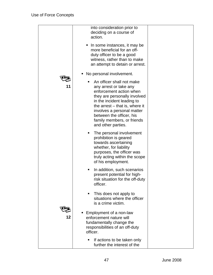|    | into consideration prior to<br>deciding on a course of<br>action.<br>In some instances, it may be                                                                                                                                                                                              |  |
|----|------------------------------------------------------------------------------------------------------------------------------------------------------------------------------------------------------------------------------------------------------------------------------------------------|--|
|    | more beneficial for an off-<br>duty officer to be a good<br>witness, rather than to make<br>an attempt to detain or arrest.                                                                                                                                                                    |  |
|    | No personal involvement.                                                                                                                                                                                                                                                                       |  |
| 11 | An officer shall not make<br>any arrest or take any<br>enforcement action when<br>they are personally involved<br>in the incident leading to<br>the arrest $-$ that is, where it<br>involves a personal matter<br>between the officer, his<br>family members, or friends<br>and other parties. |  |
|    | The personal involvement<br>٠<br>prohibition is geared<br>towards ascertaining<br>whether, for liability<br>purposes, the officer was<br>truly acting within the scope<br>of his employment.                                                                                                   |  |
|    | In addition, such scenarios<br>٠<br>present potential for high-<br>risk situation for the off-duty<br>officer.                                                                                                                                                                                 |  |
|    | This does not apply to<br>п<br>situations where the officer<br>is a crime victim.                                                                                                                                                                                                              |  |
| 12 | Employment of a non-law<br>enforcement nature will<br>fundamentally change the<br>responsibilities of an off-duty<br>officer.                                                                                                                                                                  |  |
|    | If actions to be taken only<br>further the interest of the                                                                                                                                                                                                                                     |  |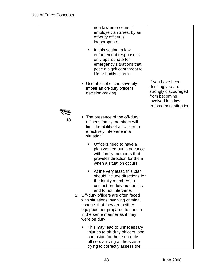|    | non-law enforcement<br>employer, an arrest by an<br>off-duty officer is<br>inappropriate.                                                                                                                                                                                                                                                                  |                                                                                                                             |
|----|------------------------------------------------------------------------------------------------------------------------------------------------------------------------------------------------------------------------------------------------------------------------------------------------------------------------------------------------------------|-----------------------------------------------------------------------------------------------------------------------------|
|    | In this setting, a law<br>٠<br>enforcement response is<br>only appropriate for<br>emergency situations that<br>pose a significant threat to<br>life or bodily. Harm.                                                                                                                                                                                       |                                                                                                                             |
|    | • Use of alcohol can severely<br>impair an off-duty officer's<br>decision-making.                                                                                                                                                                                                                                                                          | If you have been<br>drinking you are<br>strongly discouraged<br>from becoming<br>involved in a law<br>enforcement situation |
| 13 | The presence of the off-duty<br>officer's family members will<br>limit the ability of an officer to<br>effectively intervene in a<br>situation.                                                                                                                                                                                                            |                                                                                                                             |
|    | Officers need to have a<br>п<br>plan worked out in advance<br>with family members that<br>provides direction for them<br>when a situation occurs.                                                                                                                                                                                                          |                                                                                                                             |
|    | At the very least, this plan<br>п<br>should include directions for<br>the family members to<br>contact on-duty authorities<br>and to not intervene.<br>Off-duty officers are often faced<br>2.<br>with situations involving criminal<br>conduct that they are neither<br>equipped nor prepared to handle<br>in the same manner as if they<br>were on duty. |                                                                                                                             |
|    | This may lead to unnecessary<br>injuries to off-duty officers, and<br>confusion for those on-duty<br>officers arriving at the scene<br>trying to correctly assess the                                                                                                                                                                                      |                                                                                                                             |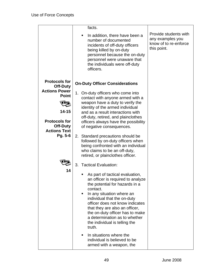|                                                                | facts.                                                                                                                                                                                                                                                                                                                                                                  |                                                                                   |
|----------------------------------------------------------------|-------------------------------------------------------------------------------------------------------------------------------------------------------------------------------------------------------------------------------------------------------------------------------------------------------------------------------------------------------------------------|-----------------------------------------------------------------------------------|
|                                                                | In addition, there have been a<br>٠<br>number of documented<br>incidents of off-duty officers<br>being killed by on-duty<br>personnel because the on-duty<br>personnel were unaware that<br>the individuals were off-duty<br>officers.                                                                                                                                  | Provide students with<br>any examples you<br>know of to re-enforce<br>this point. |
| <b>Protocols for</b><br><b>Off-Duty</b>                        | <b>On-Duty Officer Considerations</b>                                                                                                                                                                                                                                                                                                                                   |                                                                                   |
| <b>Actions Power</b><br><b>Point</b>                           | 1. On-duty officers who come into<br>contact with anyone armed with a                                                                                                                                                                                                                                                                                                   |                                                                                   |
| $14 - 15$                                                      | weapon have a duty to verify the<br>identity of the armed individual<br>and as a result interactions with                                                                                                                                                                                                                                                               |                                                                                   |
| <b>Protocols for</b><br><b>Off-Duty</b><br><b>Actions Text</b> | off-duty, retired, and plainclothes<br>officers always have the possibility<br>of negative consequences.                                                                                                                                                                                                                                                                |                                                                                   |
| Pg. 5-6                                                        | 2. Standard precautions should be<br>followed by on-duty officers when<br>being confronted with an individual<br>who claims to be an off-duty,<br>retired, or plainclothes officer.                                                                                                                                                                                     |                                                                                   |
|                                                                | 3. Tactical Evaluation:                                                                                                                                                                                                                                                                                                                                                 |                                                                                   |
| 14                                                             | As part of tactical evaluation,<br>an officer is required to analyze<br>the potential for hazards in a<br>contact.<br>In any situation where an<br>٠<br>individual that the on-duty<br>officer does not know indicates<br>that they are also an officer,<br>the on-duty officer has to make<br>a determination as to whether<br>the individual is telling the<br>truth. |                                                                                   |
|                                                                | In situations where the<br>individual is believed to be<br>armed with a weapon, the                                                                                                                                                                                                                                                                                     |                                                                                   |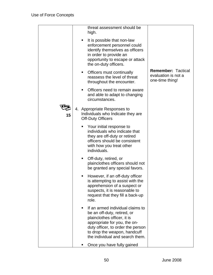|    |   | threat assessment should be<br>high.                                                                                                                                                                                                   |                                                                     |
|----|---|----------------------------------------------------------------------------------------------------------------------------------------------------------------------------------------------------------------------------------------|---------------------------------------------------------------------|
|    | ٠ | It is possible that non-law<br>enforcement personnel could<br>identify themselves as officers<br>in order to provide an<br>opportunity to escape or attack<br>the on-duty officers.                                                    |                                                                     |
|    | ٠ | Officers must continually<br>reassess the level of threat<br>throughout the encounter.                                                                                                                                                 | <b>Remember: Tactical</b><br>evaluation is not a<br>one-time thing! |
|    | ٠ | Officers need to remain aware<br>and able to adapt to changing<br>circumstances.                                                                                                                                                       |                                                                     |
| 15 |   | 4. Appropriate Responses to<br>Individuals who Indicate they are<br><b>Off-Duty Officers</b>                                                                                                                                           |                                                                     |
|    |   | Your initial response to<br>individuals who indicate that<br>they are off-duty or retired<br>officers should be consistent<br>with how you treat other<br>individuals.                                                                 |                                                                     |
|    | ٠ | Off-duty, retired, or<br>plainclothes officers should not<br>be granted any special favors.                                                                                                                                            |                                                                     |
|    | ٠ | However, if an off-duty officer<br>is attempting to assist with the<br>apprehension of a suspect or<br>suspects, it is reasonable to<br>request that they fill a back-up<br>role.                                                      |                                                                     |
|    |   | If an armed individual claims to<br>be an off-duty, retired, or<br>plainclothes officer, it is<br>appropriate for you, the on-<br>duty officer, to order the person<br>to drop the weapon, handcuff<br>the individual and search them. |                                                                     |
|    |   | Once you have fully gained                                                                                                                                                                                                             |                                                                     |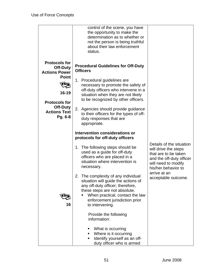|                                                                                                                                                                    | control of the scene, you have<br>the opportunity to make the<br>determination as to whether or<br>not the person is being truthful<br>about their law enforcement<br>status.                                                                                                                                                                                                                                                                                                                                                                                                                                                               |                                                                                                                                                                                           |
|--------------------------------------------------------------------------------------------------------------------------------------------------------------------|---------------------------------------------------------------------------------------------------------------------------------------------------------------------------------------------------------------------------------------------------------------------------------------------------------------------------------------------------------------------------------------------------------------------------------------------------------------------------------------------------------------------------------------------------------------------------------------------------------------------------------------------|-------------------------------------------------------------------------------------------------------------------------------------------------------------------------------------------|
| <b>Protocols for</b><br><b>Off-Duty</b><br><b>Actions Power</b><br><b>Point</b><br>$16 - 19$<br><b>Protocols for</b><br>Off-Duty<br><b>Actions Text</b><br>Pg. 6-8 | <b>Procedural Guidelines for Off-Duty</b><br><b>Officers</b><br>1. Procedural guidelines are<br>necessary to promote the safety of<br>off-duty officers who intervene in a<br>situation when they are not likely<br>to be recognized by other officers.<br>2. Agencies should provide guidance<br>to their officers for the types of off-<br>duty responses that are<br>appropriate.                                                                                                                                                                                                                                                        |                                                                                                                                                                                           |
| 16                                                                                                                                                                 | <b>Intervention considerations or</b><br>protocols for off-duty officers<br>1. The following steps should be<br>used as a guide for off-duty<br>officers who are placed in a<br>situation where intervention is<br>necessary.<br>2. The complexity of any individual<br>situation will guide the actions of<br>any off-duty officer; therefore,<br>these steps are not absolute.<br>When practical, contact the law<br>enforcement jurisdiction prior<br>to intervening.<br>Provide the following<br>information:<br>What is occurring<br>٠<br>Where is it occurring<br>٠<br>Identify yourself as an off-<br>٠<br>duty officer who is armed | Details of the situation<br>will drive the steps<br>that are to be taken<br>and the off-duty officer<br>will need to modify<br>his/her behavior to<br>arrive at an<br>acceptable outcome. |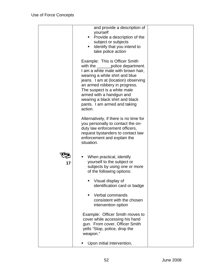|    | and provide a description of<br>yourself<br>Provide a description of the<br>٠<br>subject or subjects<br>Identify that you intend to<br>٠<br>take police action                                                                                                                                                                                            |  |
|----|-----------------------------------------------------------------------------------------------------------------------------------------------------------------------------------------------------------------------------------------------------------------------------------------------------------------------------------------------------------|--|
|    | Example: This is Officer Smith<br>with the<br>police department.<br>I am a white male with brown hair,<br>wearing a white shirt and blue<br>jeans. I am at (location) observing<br>an armed robbery in progress.<br>The suspect is a white male<br>armed with a handgun and<br>wearing a black shirt and black<br>pants. I am armed and taking<br>action. |  |
|    | Alternatively, if there is no time for<br>you personally to contact the on-<br>duty law enforcement officers,<br>request bystanders to contact law<br>enforcement and explain the<br>situation.                                                                                                                                                           |  |
| 17 | When practical, identify<br>yourself to the subject or<br>subjects by using one or more<br>of the following options:<br>Visual display of<br>identification card or badge                                                                                                                                                                                 |  |
|    | Verbal commands<br>п<br>consistent with the chosen<br>intervention option                                                                                                                                                                                                                                                                                 |  |
|    | Example: Officer Smith moves to<br>cover while accessing his hand<br>gun. From cover, Officer Smith<br>yells "Stop, police, drop the<br>weapon."                                                                                                                                                                                                          |  |
|    | Upon initial intervention,                                                                                                                                                                                                                                                                                                                                |  |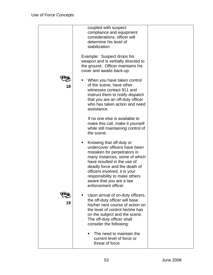|    | coupled with suspect<br>compliance and equipment<br>considerations, officer will                                                                                                                                                                                                                                      |  |
|----|-----------------------------------------------------------------------------------------------------------------------------------------------------------------------------------------------------------------------------------------------------------------------------------------------------------------------|--|
|    | determine his level of                                                                                                                                                                                                                                                                                                |  |
|    | stabilization:                                                                                                                                                                                                                                                                                                        |  |
|    | Example: Suspect drops his<br>weapon and is verbally directed to<br>the ground. Officer maintains his                                                                                                                                                                                                                 |  |
|    | cover and awaits back-up.                                                                                                                                                                                                                                                                                             |  |
| 18 | When you have taken control<br>of the scene, have other<br>witnesses contact 911 and<br>instruct them to notify dispatch<br>that you are an off-duty officer<br>who has taken action and need<br>assistance.                                                                                                          |  |
|    | If no one else is available to<br>make this call, make it yourself<br>while still maintaining control of<br>the scene.                                                                                                                                                                                                |  |
|    | Knowing that off-duty or<br>п<br>undercover officers have been<br>mistaken for perpetrators in<br>many instances, some of which<br>have resulted in the use of<br>deadly force and the death of<br>officers involved, it is your<br>responsibility to make others<br>aware that you are a law<br>enforcement officer. |  |
| 19 | Upon arrival of on-duty officers,<br>п<br>the off-duty officer will base<br>his/her next course of action on<br>the level of control he/she has<br>on the subject and the scene.<br>The off-duty officer shall<br>consider the following:                                                                             |  |
|    | The need to maintain the<br>current level of force or<br>threat of force                                                                                                                                                                                                                                              |  |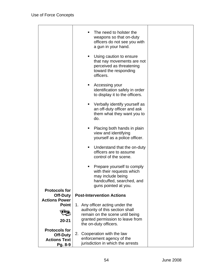|                                      | The need to holster the<br>weapons so that on-duty<br>officers do not see you with<br>a gun in your hand.<br>Using caution to ensure<br>ш<br>that nay movements are not<br>perceived as threatening<br>toward the responding<br>officers. |  |
|--------------------------------------|-------------------------------------------------------------------------------------------------------------------------------------------------------------------------------------------------------------------------------------------|--|
|                                      | Accessing your<br>٠<br>identification safely in order<br>to display it to the officers.                                                                                                                                                   |  |
|                                      | Verbally identify yourself as<br>٠<br>an off-duty officer and ask<br>them what they want you to<br>do.                                                                                                                                    |  |
|                                      | Placing both hands in plain<br>ш<br>view and identifying<br>yourself as a police officer.                                                                                                                                                 |  |
|                                      | Understand that the on-duty<br>п,<br>officers are to assume<br>control of the scene.                                                                                                                                                      |  |
|                                      | Prepare yourself to comply<br>п<br>with their requests which<br>may include being<br>handcuffed, searched, and<br>guns pointed at you.                                                                                                    |  |
| <b>Protocols for</b>                 |                                                                                                                                                                                                                                           |  |
| <b>Off-Duty</b>                      | <b>Post-Intervention Actions</b>                                                                                                                                                                                                          |  |
| <b>Actions Power</b><br><b>Point</b> | 1. Any officer acting under the                                                                                                                                                                                                           |  |
|                                      | authority of this section shall                                                                                                                                                                                                           |  |
|                                      | remain on the scene until being                                                                                                                                                                                                           |  |
| $20 - 21$                            | granted permission to leave from<br>the on-duty officers.                                                                                                                                                                                 |  |
| <b>Protocols for</b>                 |                                                                                                                                                                                                                                           |  |
| Off-Duty                             | 2.<br>Cooperation with the law                                                                                                                                                                                                            |  |
| <b>Actions Text</b>                  | enforcement agency of the<br>jurisdiction in which the arrests                                                                                                                                                                            |  |
| Pg. 8-9                              |                                                                                                                                                                                                                                           |  |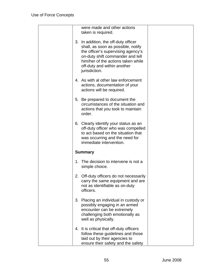| were made and other actions<br>taken is required.                                                                                                                                                                         |
|---------------------------------------------------------------------------------------------------------------------------------------------------------------------------------------------------------------------------|
| 3. In addition, the off-duty officer<br>shall, as soon as possible, notify<br>the officer's supervising agency's<br>on-duty shift commander and tell<br>him/her of the actions taken while<br>off-duty and within another |
| jurisdiction.<br>4. As with al other law enforcement<br>actions, documentation of your<br>actions will be required.                                                                                                       |
| 5. Be prepared to document the<br>circumstances of the situation and<br>actions that you took to maintain<br>order.                                                                                                       |
| 6. Clearly identify your status as an<br>off-duty officer who was compelled<br>to act based on the situation that<br>was occurring and the need for<br>immediate intervention.                                            |
| <b>Summary</b>                                                                                                                                                                                                            |
| 1. The decision to intervene is not a<br>simple choice.                                                                                                                                                                   |
| 2. Off-duty officers do not necessarily<br>carry the same equipment and are<br>not as identifiable as on-duty<br>officers.                                                                                                |
| 3. Placing an individual in custody or<br>possibly engaging in an armed<br>encounter can be extremely<br>challenging both emotionally as<br>well as physically.                                                           |
| 4. It is critical that off-duty officers<br>follow these guidelines and those<br>laid out by their agencies to<br>ensure their safety and the safety                                                                      |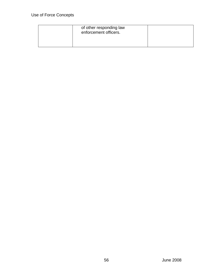| of other responding law<br>enforcement officers. |  |
|--------------------------------------------------|--|
|                                                  |  |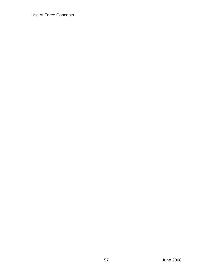Use of Force Concepts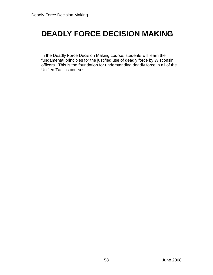# **DEADLY FORCE DECISION MAKING**

In the Deadly Force Decision Making course, students will learn the fundamental principles for the justified use of deadly force by Wisconsin officers. This is the foundation for understanding deadly force in all of the Unified Tactics courses.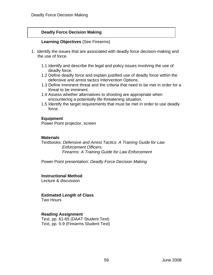## **Deadly Force Decision Making**

## **Learning Objectives** (See Firearms)

- 1. Identify the issues that are associated with deadly force decision-making and the use of force.
	- 1.1 Identify and describe the legal and policy issues involving the use of deadly force.
	- 1.2 Define deadly force and explain justified use of deadly force within the defensive and arrest tactics Intervention Options.
	- 1.3 Define imminent threat and the criteria that need to be met in order for a threat to be imminent.
	- 1.4 Assess whether alternatives to shooting are appropriate when encountering a potentially life threatening situation.
	- 1.5 Identify the target requirements that must be met in order to use deadly force.

### **Equipment**

Power Point projector, screen

### **Materials**

Textbooks: *Defensive and Arrest Tactics: A Training Guide for Law Enforcement Officers; Firearms: A Training Guide for Law Enforcement* 

Power Point presentation: *Deadly Force Decision Making* 

#### **Instructional Method**

Lecture & discussion

## **Estimated Length of Class**

Two Hours

## **Reading Assignment**

Text, pp. 61-65 (DAAT Student Text) Text, pp. 5-9 (Firearms Student Text)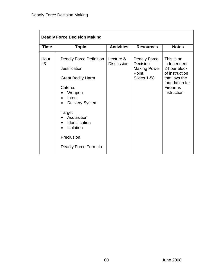| <b>Deadly Force Decision Making</b> |                                                                                                                                                                                                                                                                             |                                |                                                                   |                                                                                                                                   |  |  |
|-------------------------------------|-----------------------------------------------------------------------------------------------------------------------------------------------------------------------------------------------------------------------------------------------------------------------------|--------------------------------|-------------------------------------------------------------------|-----------------------------------------------------------------------------------------------------------------------------------|--|--|
| Time                                | <b>Topic</b>                                                                                                                                                                                                                                                                | <b>Activities</b>              | <b>Resources</b>                                                  | <b>Notes</b>                                                                                                                      |  |  |
| Hour<br>#3                          | <b>Deadly Force Definition</b><br>Justification<br><b>Great Bodily Harm</b><br>Criteria:<br>Weapon<br>Intent<br>$\bullet$<br><b>Delivery System</b><br>$\bullet$<br>Target<br>Acquisition<br>Identification<br>$\bullet$<br>Isolation<br>Preclusion<br>Deadly Force Formula | Lecture &<br><b>Discussion</b> | Deadly Force<br>Decision<br>Making Power<br>Point:<br>Slides 1-58 | This is an<br>independent<br>2-hour block<br>of instruction<br>that lays the<br>foundation for<br><b>Firearms</b><br>instruction. |  |  |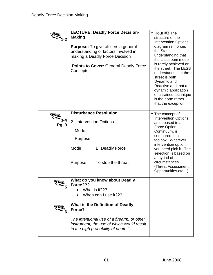| $\mathbf{C}_{1-2}$    | <b>LECTURE: Deadly Force Decision-</b><br><b>Making</b><br><b>Purpose:</b> To give officers a general<br>understanding of factors involved in<br>making a Deadly Force Decision<br><b>Points to Cover: General Deadly Force</b><br>Concepts                       | • Hour #3 The<br>structure of the<br><b>Intervention Options</b><br>diagram reinforces<br>the State's<br>understanding that<br>the classroom model<br>is rarely achieved on<br>the street. The LESB<br>understands that the<br>street is both<br>Dynamic and<br>Reactive and that a<br>dynamic application<br>of a trained technique<br>is the norm rather<br>that the exception. |
|-----------------------|-------------------------------------------------------------------------------------------------------------------------------------------------------------------------------------------------------------------------------------------------------------------|-----------------------------------------------------------------------------------------------------------------------------------------------------------------------------------------------------------------------------------------------------------------------------------------------------------------------------------------------------------------------------------|
| $\frac{3-4}{9}$       | <b>Disturbance Resolution</b><br>2. Intervention Options<br>Mode<br>Purpose<br>Mode<br>E. Deadly Force<br>Purpose<br>To stop the threat                                                                                                                           | • The concept of<br>Intervention Options,<br>as opposed to a<br><b>Force Option</b><br>Continuum, is<br>compared to a<br>toolbox. Whatever<br>intervention option<br>you need pick it. This<br>selection is based on<br>a myriad of<br>circumstances<br>(Threat Assessment<br>Opportunities etc).                                                                                 |
| W<br>$\mathfrak{S}_5$ | What do you know about Deadly<br>Force???<br>What is it???<br>When can I use it???<br>What is the Definition of Deadly<br>Force?<br>The intentional use of a firearm, or other<br>instrument, the use of which would result<br>in the high probability of death." |                                                                                                                                                                                                                                                                                                                                                                                   |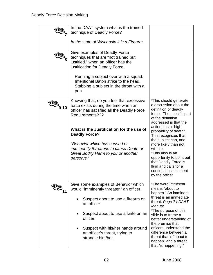|                 | In the DAAT system what is the trained<br>technique of Deadly Force?<br>In the state of Wisconsin it is a Firearm.                                                                      |                                                                                                                                                                               |
|-----------------|-----------------------------------------------------------------------------------------------------------------------------------------------------------------------------------------|-------------------------------------------------------------------------------------------------------------------------------------------------------------------------------|
|                 | Give examples of Deadly Force<br>techniques that are "not trained but<br>justified." when an officer has the<br>justification for Deadly Force.<br>Running a subject over with a squad. |                                                                                                                                                                               |
|                 | Intentional Baton strike to the head.<br>Stabbing a subject in the throat with a<br>pen                                                                                                 |                                                                                                                                                                               |
| <b>EED</b> 9-10 | Knowing that, do you feel that excessive<br>force exists during the time when an<br>officer has satisfied all the Deadly Force<br>Requirements???                                       | *This should generate<br>a discussion about the<br>definition of deadly<br>force. The specific part<br>of the definition<br>addressed is that the                             |
|                 | What is the Justification for the use of<br><b>Deadly Force?</b>                                                                                                                        | action has a "high<br>probability of death".<br>This recognizes that<br>the subject can, and                                                                                  |
|                 | "Behavior which has caused or<br><i>imminently threatens to cause Death or</i><br>Great Bodily Harm to you or another<br>person/s."                                                     | more likely than not,<br>will die.<br>*This also is an<br>opportunity to point out<br>that Deadly Force is<br>fluid and calls for a<br>continual assessment<br>by the officer |
|                 | Give some examples of Behavior which<br>would "imminently threaten" an officer.                                                                                                         | *The word <i>imminent</i><br>means "about to<br>happen." An imminent                                                                                                          |
|                 | Suspect about to use a firearm on<br>an officer.                                                                                                                                        | threat is an immediate<br>threat. Page 74 DAAT<br><b>Manual</b>                                                                                                               |
|                 | Suspect about to use a knife on an<br>officer.                                                                                                                                          | *The purpose of this<br>slide is to frame a<br>better understanding of<br>the premise that                                                                                    |
|                 | Suspect with his/her hands around<br>an officer's throat, trying to<br>strangle him/her.                                                                                                | officers understand the<br>difference between a<br>threat that is "about to<br>happen" and a threat<br>that "is happening."                                                   |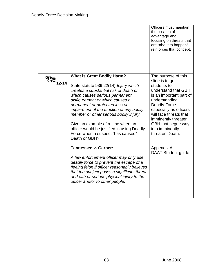|       |                                                                                                                                                                                                                                                                                                                                                                                                                                                                                                                                                                                                                                                                                                                                                         | Officers must maintain<br>the position of<br>advantage and<br>focusing on threats that<br>are "about to happen"<br>reinforces that concept.                                                                                                                                                                                       |
|-------|---------------------------------------------------------------------------------------------------------------------------------------------------------------------------------------------------------------------------------------------------------------------------------------------------------------------------------------------------------------------------------------------------------------------------------------------------------------------------------------------------------------------------------------------------------------------------------------------------------------------------------------------------------------------------------------------------------------------------------------------------------|-----------------------------------------------------------------------------------------------------------------------------------------------------------------------------------------------------------------------------------------------------------------------------------------------------------------------------------|
| 24.14 | <b>What is Great Bodily Harm?</b><br>State statute 939.22(14)-Injury which<br>creates a substantial risk of death or<br>which causes serious permanent<br>disfigurement or which causes a<br>permanent or protected loss or<br>impairment of the function of any bodily<br>member or other serious bodily injury.<br>Give an example of a time when an<br>officer would be justified in using Deadly<br>Force when a suspect "has caused"<br>Death or GBH?<br>Tennessee v. Garner:<br>A law enforcement officer may only use<br>deadly force to prevent the escape of a<br>fleeing felon if officer reasonably believes<br>that the subject poses a significant threat<br>of death or serious physical injury to the<br>officer and/or to other people. | The purpose of this<br>slide is to get<br>students to<br>understand that GBH<br>is an important part of<br>understanding<br><b>Deadly Force</b><br>especially as officers<br>will face threats that<br>imminently threaten<br>GBH that segue way<br>into imminently<br>threaten Death.<br>Appendix A<br><b>DAAT Student guide</b> |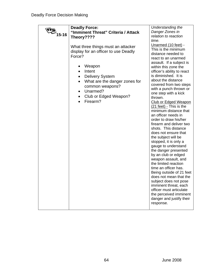| $\sum_{15-16}$ | <b>Deadly Force:</b><br>"Imminent Threat" Criteria / Attack<br>Theory????                                                                                                                                                                                         | Understanding the<br>Danger Zones in<br>relation to reaction                                                                                                                                                                                                                                                                                                                                                                                                                                                                                                                                                                                                                                                                                                                                                                                                                                                                             |
|----------------|-------------------------------------------------------------------------------------------------------------------------------------------------------------------------------------------------------------------------------------------------------------------|------------------------------------------------------------------------------------------------------------------------------------------------------------------------------------------------------------------------------------------------------------------------------------------------------------------------------------------------------------------------------------------------------------------------------------------------------------------------------------------------------------------------------------------------------------------------------------------------------------------------------------------------------------------------------------------------------------------------------------------------------------------------------------------------------------------------------------------------------------------------------------------------------------------------------------------|
|                | What three things must an attacker<br>display for an officer to use Deadly<br>Force?<br>Weapon<br>Intent<br><b>Delivery System</b><br>What are the danger zones for<br>$\bullet$<br>common weapons?<br>Unarmed?<br>$\bullet$<br>Club or Edged Weapon?<br>Firearm? | time.<br>Unarmed (10 feet) -<br>This is the minimum<br>distance needed to<br>react to an unarmed<br>assault. If a subject is<br>within this zone the<br>officer's ability to react<br>is diminished. It is<br>about the distance<br>covered from two steps<br>with a punch thrown or<br>one step with a kick<br>thrown.<br><b>Club or Edged Weapon</b><br>(21 feet) - This is the<br>minimum distance that<br>an officer needs in<br>order to draw his/her<br>firearm and deliver two<br>shots. This distance<br>does not ensure that<br>the subject will be<br>stopped, it is only a<br>gauge to understand<br>the danger presented<br>by an club or edged<br>weapon assault, and<br>the limited reaction<br>time an officer has.<br>Being outside of 21 feet<br>does not mean that the<br>subject does not pose<br>imminent threat, each<br>officer must articulate<br>the perceived imminent<br>danger and justify their<br>response. |
|                |                                                                                                                                                                                                                                                                   |                                                                                                                                                                                                                                                                                                                                                                                                                                                                                                                                                                                                                                                                                                                                                                                                                                                                                                                                          |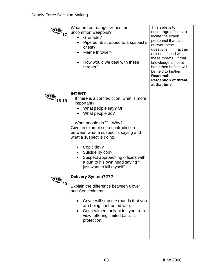|                   | What are our danger zones for<br>uncommon weapons?<br>Grenade?<br>Pipe bomb strapped to a suspect's<br>chest?<br>Flame thrower?<br>How would we deal with these<br>threats?                                                                                                                                                                                                                | This slide is to<br>encourage officers to<br>locate the expert<br>personnel that can<br>answer these<br>questions, if in fact an<br>officer is faced with<br>these threats. If that<br>knowledge is not at<br>hand then he/she will<br>be held to his/her<br><b>Reasonable</b><br><b>Perception of threat</b><br>at that time. |
|-------------------|--------------------------------------------------------------------------------------------------------------------------------------------------------------------------------------------------------------------------------------------------------------------------------------------------------------------------------------------------------------------------------------------|--------------------------------------------------------------------------------------------------------------------------------------------------------------------------------------------------------------------------------------------------------------------------------------------------------------------------------|
| <b>PED</b> 18-19  | <b>INTENT</b><br>If there is a contradiction, what is more<br>important?<br>What people say? Or<br>What people do?<br>What people do?"Why?<br>Give an example of a contradiction<br>between what a suspect is saying and<br>what a suspect is doing.<br>Copicide??<br>Suicide by cop?<br>Suspect approaching officers with<br>a gun to his own head saying "I<br>just want to kill myself" |                                                                                                                                                                                                                                                                                                                                |
| $\approx_{_{20}}$ | <b>Delivery System????</b><br>Explain the difference between Cover<br>and Concealment<br>Cover will stop the rounds that you<br>are being confronted with.<br>Concealment only hides you from<br>view, offering limited ballistic<br>protection.                                                                                                                                           |                                                                                                                                                                                                                                                                                                                                |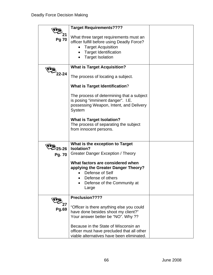|                      | <b>Target Requirements????</b>                                                                                                                                                                                                                                  |  |
|----------------------|-----------------------------------------------------------------------------------------------------------------------------------------------------------------------------------------------------------------------------------------------------------------|--|
| Pg 70                | What three target requirements must an<br>officer fulfill before using Deadly Force?<br><b>Target Acquisition</b><br><b>Target Identification</b><br><b>Target Isolation</b><br>$\bullet$                                                                       |  |
|                      |                                                                                                                                                                                                                                                                 |  |
| $22-24$              | <b>What is Target Acquisition?</b><br>The process of locating a subject.<br><b>What is Target Identification?</b><br>The process of determining that a subject<br>is posing "imminent danger". I.E.<br>possessing Weapon, Intent, and Delivery<br><b>System</b> |  |
|                      | <b>What is Target Isolation?</b><br>The process of separating the subject<br>from innocent persons.                                                                                                                                                             |  |
| 225-26               | What is the exception to Target<br><b>Isolation?</b>                                                                                                                                                                                                            |  |
| Pg. 70               | Greater Danger Exception / Theory                                                                                                                                                                                                                               |  |
|                      | What factors are considered when<br>applying the Greater Danger Theory?<br>Defense of Self<br>Defense of others<br>$\bullet$<br>Defense of the Community at<br>Large                                                                                            |  |
| ່ 27<br><b>Pg.69</b> | Preclusion????<br>"Officer is there anything else you could<br>have done besides shoot my client?"<br>Your answer better be "NO". Why ??                                                                                                                        |  |
|                      | Because in the State of Wisconsin an<br>officer must have precluded that all other<br>viable alternatives have been eliminated.                                                                                                                                 |  |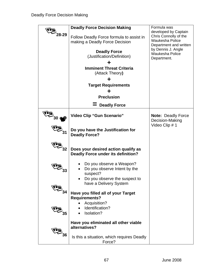|         | <b>Deadly Force Decision Making</b>        | Formula was               |
|---------|--------------------------------------------|---------------------------|
|         |                                            | developed by Captain      |
| 28-29   | Follow Deadly Force formula to assist in   | Chris Connolly of the     |
|         | making a Deadly Force Decision             | <b>Waukesha Police</b>    |
|         |                                            | Department and written    |
|         | <b>Deadly Force</b>                        | by Dennis J. Angle        |
|         | (Justification/Definition)                 | <b>Waukesha Police</b>    |
|         | ÷                                          | Department.               |
|         | <b>Imminent Threat Criteria</b>            |                           |
|         | (Attack Theory)                            |                           |
|         |                                            |                           |
|         | ÷                                          |                           |
|         | <b>Target Requirements</b>                 |                           |
|         |                                            |                           |
|         | <b>Preclusion</b>                          |                           |
|         | <b>Deadly Force</b>                        |                           |
|         |                                            |                           |
| 30 4 30 | <b>Video Clip "Gun Scenario"</b>           | <b>Note: Deadly Force</b> |
|         |                                            | Decision-Making           |
|         |                                            | Video Clip # 1            |
|         | Do you have the Justification for          |                           |
|         | <b>Deadly Force?</b>                       |                           |
|         |                                            |                           |
|         |                                            |                           |
| ั่32    | Does your desired action qualify as        |                           |
|         | <b>Deadly Force under its definition?</b>  |                           |
|         |                                            |                           |
|         | Do you observe a Weapon?                   |                           |
| 33      | Do you observe Intent by the               |                           |
|         | suspect?                                   |                           |
|         | Do you observe the suspect to              |                           |
|         | have a Delivery System                     |                           |
|         |                                            |                           |
|         | Have you filled all of your Target         |                           |
|         | <b>Requirements?</b>                       |                           |
|         | Acquisition?<br>Identification?            |                           |
|         | Isolation?                                 |                           |
|         |                                            |                           |
|         | Have you eliminated all other viable       |                           |
|         | alternatives?                              |                           |
|         |                                            |                           |
| 36      | Is this a situation, which requires Deadly |                           |
|         | Force?                                     |                           |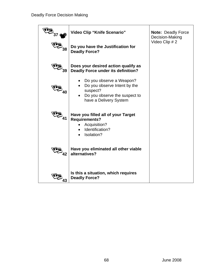| 37 6 2    | <b>Video Clip "Knife Scenario"</b>                                                                                                | <b>Note: Deadly Force</b><br>Decision-Making |
|-----------|-----------------------------------------------------------------------------------------------------------------------------------|----------------------------------------------|
| 44 38     | Do you have the Justification for<br><b>Deadly Force?</b>                                                                         | Video Clip #2                                |
| 39        | Does your desired action qualify as<br><b>Deadly Force under its definition?</b>                                                  |                                              |
| <b>40</b> | Do you observe a Weapon?<br>• Do you observe Intent by the<br>suspect?<br>Do you observe the suspect to<br>have a Delivery System |                                              |
| 41 ک      | Have you filled all of your Target<br><b>Requirements?</b><br>• Acquisition?<br>Identification?<br>Isolation?                     |                                              |
| 2242      | Have you eliminated all other viable<br>alternatives?                                                                             |                                              |
|           | Is this a situation, which requires<br><b>Deadly Force?</b>                                                                       |                                              |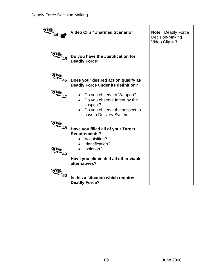| 44 6 3     | <b>Video Clip "Unarmed Scenario"</b>                                                                                                           | <b>Note: Deadly Force</b><br>Decision-Making<br>Video Clip # 3 |
|------------|------------------------------------------------------------------------------------------------------------------------------------------------|----------------------------------------------------------------|
| <b>EAS</b> | Do you have the Justification for<br><b>Deadly Force?</b>                                                                                      |                                                                |
| $-46$      | Does your desired action qualify as<br><b>Deadly Force under its definition?</b>                                                               |                                                                |
| ΄47        | Do you observe a Weapon?<br>• Do you observe Intent by the<br>suspect?<br>Do you observe the suspect to<br>$\bullet$<br>have a Delivery System |                                                                |
| -48        | Have you filled all of your Target<br><b>Requirements?</b><br>Acquisition?<br>Identification?<br>Isolation?                                    |                                                                |
| 49         | Have you eliminated all other viable<br>alternatives?                                                                                          |                                                                |
| 50         | Is this a situation which requires<br><b>Deadly Force?</b>                                                                                     |                                                                |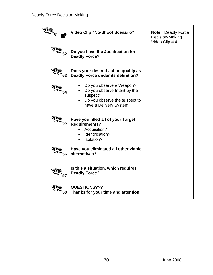| 3168 | <b>Video Clip "No-Shoot Scenario"</b>                                                                                             | <b>Note: Deadly Force</b><br>Decision-Making<br>Video Clip # 4 |
|------|-----------------------------------------------------------------------------------------------------------------------------------|----------------------------------------------------------------|
| ້52  | Do you have the Justification for<br><b>Deadly Force?</b>                                                                         |                                                                |
| 53.  | Does your desired action qualify as<br><b>Deadly Force under its definition?</b>                                                  |                                                                |
| -54  | Do you observe a Weapon?<br>• Do you observe Intent by the<br>suspect?<br>Do you observe the suspect to<br>have a Delivery System |                                                                |
| 55   | Have you filled all of your Target<br><b>Requirements?</b><br>Acquisition?<br>Identification?<br>Isolation?                       |                                                                |
| ั56  | Have you eliminated all other viable<br>alternatives?                                                                             |                                                                |
| -57  | Is this a situation, which requires<br><b>Deadly Force?</b>                                                                       |                                                                |
| 58   | QUESTIONS???<br>Thanks for your time and attention.                                                                               |                                                                |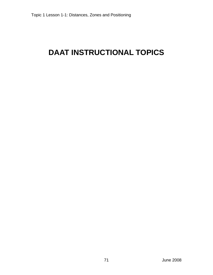# **DAAT INSTRUCTIONAL TOPICS**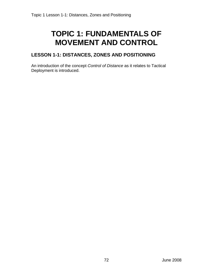## **TOPIC 1: FUNDAMENTALS OF MOVEMENT AND CONTROL**

## **LESSON 1-1: DISTANCES, ZONES AND POSITIONING**

An introduction of the concept *Control of Distance* as it relates to Tactical Deployment is introduced.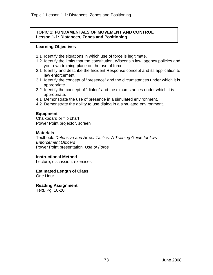## **TOPIC 1: FUNDAMENTALS OF MOVEMENT AND CONTROL Lesson 1-1: Distances, Zones and Positioning**

#### **Learning Objectives**

- 1.1 Identify the situations in which use of force is legitimate.
- 1.2 Identify the limits that the constitution, Wisconsin law, agency policies and your own training place on the use of force.
- 2.1 Identify and describe the Incident Response concept and its application to law enforcement.
- 3.1 Identify the concept of "presence" and the circumstances under which it is appropriate.
- 3.2 Identify the concept of "dialog" and the circumstances under which it is appropriate.
- 4.1 Demonstrate the use of presence in a simulated environment.
- 4.2 Demonstrate the ability to use dialog in a simulated environment.

## **Equipment**

Chalkboard or flip chart Power Point projector, screen

## **Materials**

Textbook: *Defensive and Arrest Tactics: A Training Guide for Law Enforcement Officers*  Power Point presentation: *Use of Force* 

## **Instructional Method**

Lecture, discussion, exercises

# **Estimated Length of Class**

One Hour

## **Reading Assignment**

Text, Pg. 18-20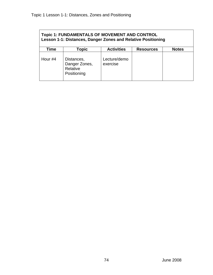| Topic 1: FUNDAMENTALS OF MOVEMENT AND CONTROL<br>Lesson 1-1: Distances, Danger Zones and Relative Positioning |                                                        |                          |                  |              |
|---------------------------------------------------------------------------------------------------------------|--------------------------------------------------------|--------------------------|------------------|--------------|
| Time                                                                                                          | Topic                                                  | <b>Activities</b>        | <b>Resources</b> | <b>Notes</b> |
| Hour #4                                                                                                       | Distances,<br>Danger Zones,<br>Relative<br>Positioning | Lecture/demo<br>exercise |                  |              |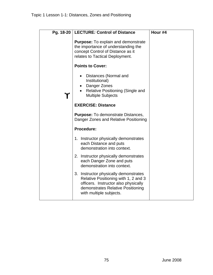| Pg. 18-20 | <b>LECTURE: Control of Distance</b>                                                                                                                                                   | Hour #4 |
|-----------|---------------------------------------------------------------------------------------------------------------------------------------------------------------------------------------|---------|
|           | <b>Purpose:</b> To explain and demonstrate<br>the importance of understanding the<br>concept Control of Distance as it<br>relates to Tactical Deployment.                             |         |
|           | <b>Points to Cover:</b>                                                                                                                                                               |         |
|           | Distances (Normal and<br>Institutional)<br>Danger Zones<br><b>Relative Positioning (Single and</b><br><b>Multiple Subjects</b>                                                        |         |
|           | <b>EXERCISE: Distance</b>                                                                                                                                                             |         |
|           | <b>Purpose:</b> To demonstrate Distances,<br>Danger Zones and Relative Positioning                                                                                                    |         |
|           | Procedure:                                                                                                                                                                            |         |
|           | 1. Instructor physically demonstrates<br>each Distance and puts<br>demonstration into context.                                                                                        |         |
|           | 2. Instructor physically demonstrates<br>each Danger Zone and puts<br>demonstration into context.                                                                                     |         |
|           | 3. Instructor physically demonstrates<br>Relative Positioning with 1, 2 and 3<br>officers. Instructor also physically<br>demonstrates Relative Positioning<br>with multiple subjects. |         |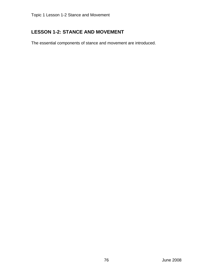# **LESSON 1-2: STANCE AND MOVEMENT**

The essential components of stance and movement are introduced.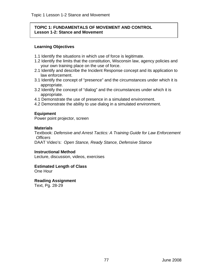#### **TOPIC 1: FUNDAMENTALS OF MOVEMENT AND CONTROL Lesson 1-2: Stance and Movement**

#### **Learning Objectives**

- 1.1 Identify the situations in which use of force is legitimate.
- 1.2 Identify the limits that the constitution, Wisconsin law, agency policies and your own training place on the use of force.
- 2.1 Identify and describe the Incident Response concept and its application to law enforcement.
- 3.1 Identify the concept of "presence" and the circumstances under which it is appropriate.
- 3.2 Identify the concept of "dialog" and the circumstances under which it is appropriate.
- 4.1 Demonstrate the use of presence in a simulated environment.
- 4.2 Demonstrate the ability to use dialog in a simulated environment.

#### **Equipment**

Power point projector, screen

#### **Materials**

Textbook: *Defensive and Arrest Tactics: A Training Guide for Law Enforcement Officers*  DAAT Video's: *Open Stance, Ready Stance, Defensive Stance*

#### **Instructional Method**

Lecture, discussion, videos, exercises

#### **Estimated Length of Class**

One Hour

**Reading Assignment** 

Text, Pg. 28-29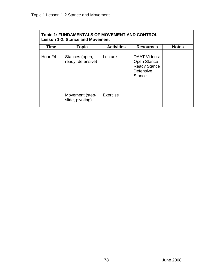| <b>Topic 1: FUNDAMENTALS OF MOVEMENT AND CONTROL</b><br><b>Lesson 1-2: Stance and Movement</b> |                                     |                   |                                                                                         |              |
|------------------------------------------------------------------------------------------------|-------------------------------------|-------------------|-----------------------------------------------------------------------------------------|--------------|
| <b>Time</b>                                                                                    | <b>Topic</b>                        | <b>Activities</b> | <b>Resources</b>                                                                        | <b>Notes</b> |
| Hour #4                                                                                        | Stances (open,<br>ready, defensive) | Lecture           | DAAT Videos:<br><b>Open Stance</b><br><b>Ready Stance</b><br>Defensive<br><b>Stance</b> |              |
|                                                                                                | Movement (step-<br>slide, pivoting) | Exercise          |                                                                                         |              |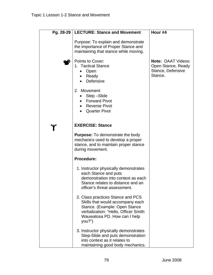| Pg. 28-29 | <b>LECTURE: Stance and Movement</b>                                                                                                                                                      | Hour #4                                                                         |
|-----------|------------------------------------------------------------------------------------------------------------------------------------------------------------------------------------------|---------------------------------------------------------------------------------|
|           | Purpose: To explain and demonstrate<br>the importance of Proper Stance and<br>maintaining that stance while moving.                                                                      |                                                                                 |
|           | Points to Cover:<br>1. Tactical Stance<br>Open<br>Ready<br>Defensive                                                                                                                     | <b>Note: DAAT Videos:</b><br>Open Stance, Ready<br>Stance, Defensive<br>Stance. |
|           | 2. Movement<br>Step-Slide<br>• Forward Pivot<br><b>Reverse Pivot</b><br><b>Quarter Pivot</b>                                                                                             |                                                                                 |
|           | <b>EXERCISE: Stance</b>                                                                                                                                                                  |                                                                                 |
|           | <b>Purpose:</b> To demonstrate the body<br>mechanics used to develop a proper<br>stance, and to maintain proper stance<br>during movement.                                               |                                                                                 |
|           | Procedure:                                                                                                                                                                               |                                                                                 |
|           | 1. Instructor physically demonstrates<br>each Stance and puts<br>demonstration into context as each<br>Stance relates to distance and an<br>officer's threat assessment.                 |                                                                                 |
|           | 2. Class practices Stance and PCS<br>Skills that would accompany each<br>Stance. (Example: Open Stance<br>verbalization: "Hello, Officer Smith<br>Wauwatosa PD. How can I help<br>you?") |                                                                                 |
|           | 3. Instructor physically demonstrates<br>Step-Slide and puts demonstration<br>into context as it relates to<br>maintaining good body mechanics.                                          |                                                                                 |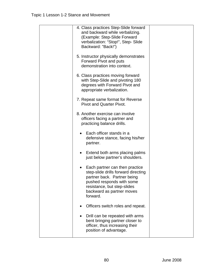| 4. Class practices Step-Slide forward<br>and backward while verbalizing.<br>(Example: Step-Slide Forward<br>verbalization: "Stop!", Step- Slide<br>Backward: "Back!")                                     |
|-----------------------------------------------------------------------------------------------------------------------------------------------------------------------------------------------------------|
| 5. Instructor physically demonstrates<br>Forward Pivot and puts<br>demonstration into context.                                                                                                            |
| 6. Class practices moving forward<br>with Step-Slide and pivoting 180<br>degrees with Forward Pivot and<br>appropriate verbalization.                                                                     |
| 7. Repeat same format for Reverse<br><b>Pivot and Quarter Pivot.</b>                                                                                                                                      |
| 8. Another exercise can involve<br>officers facing a partner and<br>practicing balance drills.                                                                                                            |
| Each officer stands in a<br>$\bullet$<br>defensive stance, facing his/her<br>partner.                                                                                                                     |
| Extend both arms placing palms<br>just below partner's shoulders.                                                                                                                                         |
| Each partner can then practice<br>step-slide drills forward directing<br>partner back. Partner being<br>pushed responds with some<br>resistance, but step-slides<br>backward as partner moves<br>forward. |
| Officers switch roles and repeat.                                                                                                                                                                         |
| Drill can be repeated with arms<br>bent bringing partner closer to<br>officer, thus increasing their<br>position of advantage.                                                                            |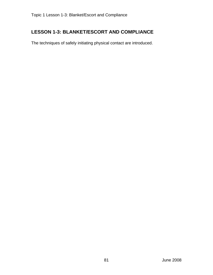# **LESSON 1-3: BLANKET/ESCORT AND COMPLIANCE**

The techniques of safely initiating physical contact are introduced.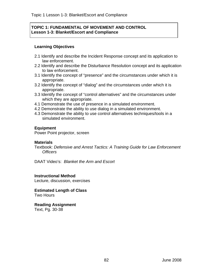## **TOPIC 1: FUNDAMENTAL OF MOVEMENT AND CONTROL Lesson 1-3: Blanket/Escort and Compliance**

# **Learning Objectives**

- 2.1 Identify and describe the Incident Response concept and its application to law enforcement.
- 2.2 Identify and describe the Disturbance Resolution concept and its application to law enforcement.
- 3.1 Identify the concept of "presence" and the circumstances under which it is appropriate.
- 3.2 Identify the concept of "dialog" and the circumstances under which it is appropriate.
- 3.3 Identify the concept of "control alternatives" and the circumstances under which they are appropriate.
- 4.1 Demonstrate the use of presence in a simulated environment.
- 4.2 Demonstrate the ability to use dialog in a simulated environment.
- 4.3 Demonstrate the ability to use control alternatives techniques/tools in a simulated environment.

## **Equipment**

Power Point projector, screen

## **Materials**

Textbook: *Defensive and Arrest Tactics: A Training Guide for Law Enforcement Officers* 

DAAT Video's: *Blanket the Arm and Escort*

## **Instructional Method**

Lecture, discussion, exercises

#### **Estimated Length of Class**  Two Hours

**Reading Assignment**  Text, Pg. 30-38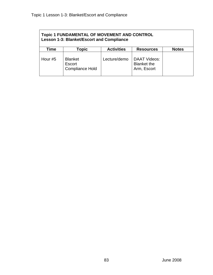| Topic 1 FUNDAMENTAL OF MOVEMENT AND CONTROL<br>Lesson 1-3: Blanket/Escort and Compliance |                                                    |                   |                                                          |              |
|------------------------------------------------------------------------------------------|----------------------------------------------------|-------------------|----------------------------------------------------------|--------------|
| Time                                                                                     | Topic                                              | <b>Activities</b> | <b>Resources</b>                                         | <b>Notes</b> |
| Hour #5                                                                                  | <b>Blanket</b><br>Escort<br><b>Compliance Hold</b> | Lecture/demo      | <b>DAAT Videos:</b><br><b>Blanket the</b><br>Arm, Escort |              |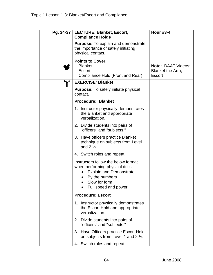| Pg. 34-37   LECTURE: Blanket, Escort,<br><b>Compliance Holds</b>                                                                                                     | <b>Hour #3-4</b>                                        |
|----------------------------------------------------------------------------------------------------------------------------------------------------------------------|---------------------------------------------------------|
| <b>Purpose:</b> To explain and demonstrate<br>the importance of safely initiating<br>physical contact.                                                               |                                                         |
| <b>Points to Cover:</b><br><b>Blanket</b><br>Escort<br>Compliance Hold (Front and Rear)                                                                              | <b>Note: DAAT Videos:</b><br>Blanket the Arm,<br>Escort |
| <b>EXERCISE: Blanket</b>                                                                                                                                             |                                                         |
| <b>Purpose:</b> To safely initiate physical<br>contact.                                                                                                              |                                                         |
| <b>Procedure: Blanket</b>                                                                                                                                            |                                                         |
| 1. Instructor physically demonstrates<br>the Blanket and appropriate<br>verbalization.                                                                               |                                                         |
| 2. Divide students into pairs of<br>"officers" and "subjects."                                                                                                       |                                                         |
| 3. Have officers practice Blanket<br>technique on subjects from Level 1<br>and $2\frac{1}{2}$ .                                                                      |                                                         |
| 4. Switch roles and repeat.                                                                                                                                          |                                                         |
| Instructors follow the below format<br>when performing physical drills:<br><b>Explain and Demonstrate</b><br>By the numbers<br>Slow for form<br>Full speed and power |                                                         |
| <b>Procedure: Escort</b>                                                                                                                                             |                                                         |
| 1. Instructor physically demonstrates<br>the Escort Hold and appropriate<br>verbalization.                                                                           |                                                         |
| 2. Divide students into pairs of<br>"officers" and "subjects."                                                                                                       |                                                         |
| 3. Have Officers practice Escort Hold<br>on subjects from Level 1 and 2 $\frac{1}{2}$ .                                                                              |                                                         |
| Switch roles and repeat.<br>4.                                                                                                                                       |                                                         |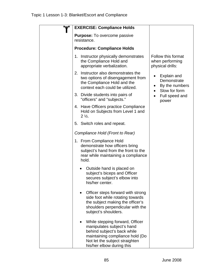| <b>EXERCISE: Compliance Holds</b>                                                                                                                                                              |                                                               |
|------------------------------------------------------------------------------------------------------------------------------------------------------------------------------------------------|---------------------------------------------------------------|
| <b>Purpose:</b> To overcome passive<br>resistance.                                                                                                                                             |                                                               |
| <b>Procedure: Compliance Holds</b>                                                                                                                                                             |                                                               |
| 1. Instructor physically demonstrates<br>the Compliance Hold and<br>appropriate verbalization.                                                                                                 | Follow this format<br>when performing<br>physical drills:     |
| 2. Instructor also demonstrates the<br>two options of disengagement from<br>the Compliance Hold and the<br>context each could be utilized.                                                     | Explain and<br>Demonstrate<br>By the numbers<br>Slow for form |
| 3. Divide students into pairs of<br>"officers" and "subjects."                                                                                                                                 | Full speed and<br>power                                       |
| 4. Have Officers practice Compliance<br>Hold on Subjects from Level 1 and<br>$2\frac{1}{2}$ .                                                                                                  |                                                               |
| 5. Switch roles and repeat.                                                                                                                                                                    |                                                               |
| Compliance Hold (Front to Rear)                                                                                                                                                                |                                                               |
| 1. From Compliance Hold<br>demonstrate how officers bring<br>subject's hand from the front to the<br>rear while maintaining a compliance<br>hold.                                              |                                                               |
| Outside hand is placed on<br>subject's biceps and Officer<br>secures subject's elbow into<br>his/her center.                                                                                   |                                                               |
| Officer steps forward with strong<br>side foot while rotating towards<br>the subject making the officer's<br>shoulders perpendicular with the<br>subject's shoulders.                          |                                                               |
| While stepping forward, Officer<br>manipulates subject's hand<br>behind subject's back while<br>maintaining compliance hold (Do<br>Not let the subject straighten<br>his/her elbow during this |                                                               |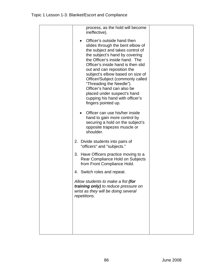| process, as the hold will become<br>ineffective).                                                                                                                                                                                                     |  |
|-------------------------------------------------------------------------------------------------------------------------------------------------------------------------------------------------------------------------------------------------------|--|
| Officer's outside hand then<br>slides through the bent elbow of<br>the subject and takes control of<br>the subject's hand by covering<br>the Officer's inside hand. The<br>Officer's inside hand is then slid                                         |  |
| out and can reposition the<br>subject's elbow based on size of<br>Officer/Subject (commonly called<br>"Threading the Needle").<br>Officer's hand can also be<br>placed under suspect's hand<br>cupping his hand with officer's<br>fingers pointed up. |  |
| Officer can use his/her inside<br>hand to gain more control by<br>securing a hold on the subject's<br>opposite trapezes muscle or<br>shoulder.                                                                                                        |  |
| 2. Divide students into pairs of<br>"officers" and "subjects."                                                                                                                                                                                        |  |
| 3. Have Officers practice moving to a<br>Rear Compliance Hold on Subjects<br>from Front Compliance Hold.                                                                                                                                              |  |
| 4. Switch roles and repeat.                                                                                                                                                                                                                           |  |
| Allow students to make a fist (for<br>training only) to reduce pressure on<br>wrist as they will be doing several<br>repetitions.                                                                                                                     |  |
|                                                                                                                                                                                                                                                       |  |
|                                                                                                                                                                                                                                                       |  |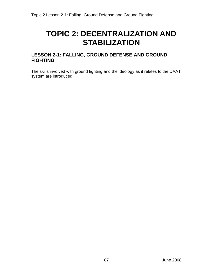# **TOPIC 2: DECENTRALIZATION AND STABILIZATION**

# **LESSON 2-1: FALLING, GROUND DEFENSE AND GROUND FIGHTING**

The skills involved with ground fighting and the ideology as it relates to the DAAT system are introduced.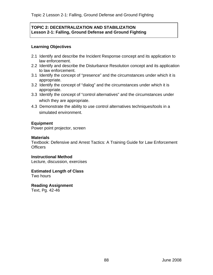#### **TOPIC 2: DECENTRALIZATION AND STABILIZATION Lesson 2-1: Falling, Ground Defense and Ground Fighting**

## **Learning Objectives**

- 2.1 Identify and describe the Incident Response concept and its application to law enforcement.
- 2.2 Identify and describe the Disturbance Resolution concept and its application to law enforcement.
- 3.1 Identify the concept of "presence" and the circumstances under which it is appropriate.
- 3.2 Identify the concept of "dialog" and the circumstances under which it is appropriate.
- 3.3 Identify the concept of "control alternatives" and the circumstances under which they are appropriate.
- 4.3 Demonstrate the ability to use control alternatives techniques/tools in a simulated environment.

## **Equipment**

Power point projector, screen

## **Materials**

Textbook: Defensive and Arrest Tactics: A Training Guide for Law Enforcement **Officers** 

#### **Instructional Method**

Lecture, discussion, exercises

# **Estimated Length of Class**

Two hours

# **Reading Assignment**

Text, Pg. 42-46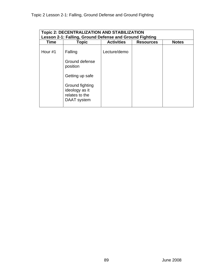| <b>Topic 2: DECENTRALIZATION AND STABILIZATION</b><br>Lesson 2-1: Falling, Ground Defense and Ground Fighting |                                                                    |                   |                  |              |
|---------------------------------------------------------------------------------------------------------------|--------------------------------------------------------------------|-------------------|------------------|--------------|
| <b>Time</b>                                                                                                   | Topic                                                              | <b>Activities</b> | <b>Resources</b> | <b>Notes</b> |
| Hour #1                                                                                                       | Falling                                                            | Lecture/demo      |                  |              |
|                                                                                                               | Ground defense<br>position                                         |                   |                  |              |
|                                                                                                               | Getting up safe                                                    |                   |                  |              |
|                                                                                                               | Ground fighting<br>ideology as it<br>relates to the<br>DAAT system |                   |                  |              |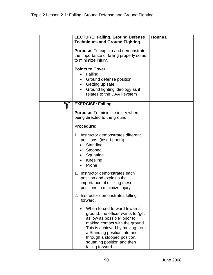| <b>LECTURE: Falling, Ground Defense</b><br><b>Techniques and Ground Fighting</b><br><b>Purpose:</b> To explain and demonstrate<br>the importance of falling properly so as<br>to minimize injury.<br><b>Points to Cover:</b><br>Falling<br>$\bullet$<br>• Ground defense position<br>• Getting up safe<br>Ground fighting ideology as it<br>relates to the DAAT system | Hour #1 |
|------------------------------------------------------------------------------------------------------------------------------------------------------------------------------------------------------------------------------------------------------------------------------------------------------------------------------------------------------------------------|---------|
| <b>EXERCISE: Falling</b><br><b>Purpose:</b> To minimize injury when<br>being directed to the ground.                                                                                                                                                                                                                                                                   |         |
| Procedure:<br>1. Instructor demonstrates different<br>positions. (insert photo)<br>Standing<br>• Stooped<br>Squatting<br>Kneeling<br>Prone                                                                                                                                                                                                                             |         |
| 1. Instructor demonstrates each<br>position and explains the<br>importance of utilizing these<br>positions to minimize injury.                                                                                                                                                                                                                                         |         |
| 2. Instructor demonstrates falling<br>forward.                                                                                                                                                                                                                                                                                                                         |         |
| When forced forward towards<br>ground, the officer wants to "get"<br>as low as possible" prior to<br>making contact with the ground.<br>This is achieved by moving from<br>a Standing position into and<br>through a stooped position,<br>squatting position and then<br>falling forward.                                                                              |         |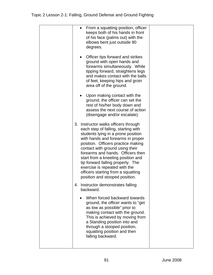| From a squatting position, officer<br>keeps both of his hands in front<br>of his face (palms out) with the<br>elbows bent just outside 90<br>degrees.                                                                                                                                                                                                                                                                                                    |
|----------------------------------------------------------------------------------------------------------------------------------------------------------------------------------------------------------------------------------------------------------------------------------------------------------------------------------------------------------------------------------------------------------------------------------------------------------|
| Officer tips forward and strikes<br>ground with open hands and<br>forearms simultaneously. While<br>tipping forward, straightens legs<br>and makes contact with the balls<br>of feet, keeping hips and groin<br>area off of the ground.                                                                                                                                                                                                                  |
| Upon making contact with the<br>ground, the officer can set the<br>rest of his/her body down and<br>assess the next course of action<br>(disengage and/or escalate).                                                                                                                                                                                                                                                                                     |
| 3. Instructor walks officers through<br>each step of falling, starting with<br>students lying in a prone position<br>with hands and forearms in proper<br>position. Officers practice making<br>contact with ground using their<br>forearms and hands. Officers then<br>start from a kneeling position and<br>tip forward falling properly. The<br>exercise is repeated with the<br>officers starting from a squatting<br>position and stooped position. |
| 4. Instructor demonstrates falling<br>backward.                                                                                                                                                                                                                                                                                                                                                                                                          |
| When forced backward towards<br>ground, the officer wants to "get"<br>as low as possible" prior to<br>making contact with the ground.<br>This is achieved by moving from<br>a Standing position into and<br>through a stooped position,<br>squatting position and then<br>falling backward.                                                                                                                                                              |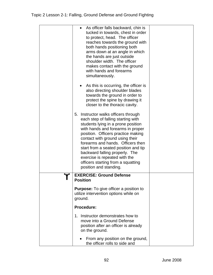|    | As officer falls backward, chin is<br>$\bullet$<br>tucked in towards, chest in order<br>to protect, head. The officer<br>reaches towards the ground with<br>both hands positioning both<br>arms down at an angle in which<br>the hands are just outside<br>shoulder width. The officer<br>makes contact with the ground<br>with hands and forearms<br>simultaneously.                                                                          |  |
|----|------------------------------------------------------------------------------------------------------------------------------------------------------------------------------------------------------------------------------------------------------------------------------------------------------------------------------------------------------------------------------------------------------------------------------------------------|--|
|    | As this is occurring, the officer is<br>$\bullet$<br>also directing shoulder blades<br>towards the ground in order to<br>protect the spine by drawing it<br>closer to the thoracic cavity.                                                                                                                                                                                                                                                     |  |
|    | 5. Instructor walks officers through<br>each step of falling starting with<br>students lying in a prone position<br>with hands and forearms in proper<br>position. Officers practice making<br>contact with ground using their<br>forearms and hands. Officers then<br>start from a seated position and tip<br>backward falling properly. The<br>exercise is repeated with the<br>officers starting from a squatting<br>position and standing. |  |
| ש' | <b>EXERCISE: Ground Defense</b><br><b>Position</b>                                                                                                                                                                                                                                                                                                                                                                                             |  |
|    | <b>Purpose:</b> To give officer a position to<br>utilize intervention options while on<br>ground.                                                                                                                                                                                                                                                                                                                                              |  |
|    | Procedure:                                                                                                                                                                                                                                                                                                                                                                                                                                     |  |
|    | Instructor demonstrates how to<br>1.<br>move into a Ground Defense<br>position after an officer is already<br>on the ground.                                                                                                                                                                                                                                                                                                                   |  |
|    | From any position on the ground,<br>the officer rolls to side and                                                                                                                                                                                                                                                                                                                                                                              |  |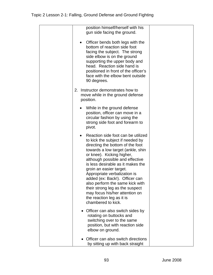| position himself/herself with his<br>gun side facing the ground.                                                                                                                                                                                                                                                                                                                                                                                                                                                          |  |
|---------------------------------------------------------------------------------------------------------------------------------------------------------------------------------------------------------------------------------------------------------------------------------------------------------------------------------------------------------------------------------------------------------------------------------------------------------------------------------------------------------------------------|--|
| Officer bends both legs with the<br>$\bullet$<br>bottom of reaction side foot<br>facing the subject. The strong<br>side elbow is on the ground<br>supporting the upper body and<br>head. Reaction side hand is<br>positioned in front of the officer's<br>face with the elbow bent outside<br>90 degrees.                                                                                                                                                                                                                 |  |
| Instructor demonstrates how to<br>2.<br>move while in the ground defense<br>position.                                                                                                                                                                                                                                                                                                                                                                                                                                     |  |
| While in the ground defense<br>$\bullet$<br>position, officer can move in a<br>circular fashion by using the<br>strong side foot and forearm to<br>pivot.                                                                                                                                                                                                                                                                                                                                                                 |  |
| Reaction side foot can be utilized<br>$\bullet$<br>to kick the subject if needed by<br>directing the bottom of the foot<br>towards a low target (ankle, shin<br>or knee). Kicking higher,<br>although possible and effective<br>is less desirable as it makes the<br>groin an easier target.<br>Appropriate verbalization is<br>added (ex: Back!). Officer can<br>also perform the same kick with<br>their strong leg as the suspect<br>may focus his/her attention on<br>the reaction leg as it is<br>chambered to kick. |  |
| • Officer can also switch sides by<br>rotating on buttocks and<br>switching over to the same<br>position, but with reaction side<br>elbow on ground.                                                                                                                                                                                                                                                                                                                                                                      |  |
| Officer can also switch directions<br>by sitting up with back straight                                                                                                                                                                                                                                                                                                                                                                                                                                                    |  |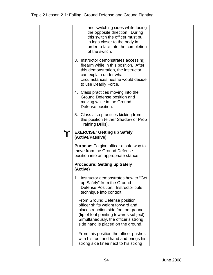| and switching sides while facing<br>the opposite direction. During<br>this switch the officer must pull<br>in legs closer to the body in<br>order to facilitate the completion<br>of the switch.                                  |  |
|-----------------------------------------------------------------------------------------------------------------------------------------------------------------------------------------------------------------------------------|--|
| 3. Instructor demonstrates accessing<br>firearm while in this position. After<br>this demonstration, the instructor<br>can explain under what<br>circumstances he/she would decide<br>to use Deadly Force.                        |  |
| 4. Class practices moving into the<br>Ground Defense position and<br>moving while in the Ground<br>Defense position.                                                                                                              |  |
| 5. Class also practices kicking from<br>this position (either Shadow or Prop<br>Training Drills).                                                                                                                                 |  |
| <b>EXERCISE: Getting up Safely</b><br>(Active/Passive)                                                                                                                                                                            |  |
| <b>Purpose:</b> To give officer a safe way to<br>move from the Ground Defense<br>position into an appropriate stance.                                                                                                             |  |
| <b>Procedure: Getting up Safely</b><br>(Active)                                                                                                                                                                                   |  |
| 1. Instructor demonstrates how to "Get"<br>up Safely" from the Ground<br>Defense Position. Instructor puts<br>technique into context.                                                                                             |  |
| From Ground Defense position<br>officer shifts weight forward and<br>places reaction side foot on ground<br>(tip of foot pointing towards subject).<br>Simultaneously, the officer's strong<br>side hand is placed on the ground. |  |
| From this position the officer pushes<br>with his foot and hand and brings his<br>strong side knee next to his strong                                                                                                             |  |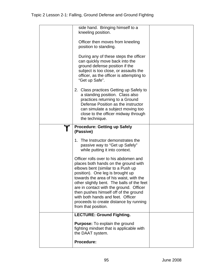|              | side hand. Bringing himself to a<br>kneeling position.<br>Officer then moves from kneeling<br>position to standing.                                                                                                                                                                                                                                                                                                                       |  |
|--------------|-------------------------------------------------------------------------------------------------------------------------------------------------------------------------------------------------------------------------------------------------------------------------------------------------------------------------------------------------------------------------------------------------------------------------------------------|--|
|              | During any of these steps the officer<br>can quickly move back into the<br>ground defense position if the<br>subject is too close, or assaults the<br>officer, as the officer is attempting to<br>"Get up Safe".                                                                                                                                                                                                                          |  |
|              | 2. Class practices Getting up Safely to<br>a standing position. Class also<br>practices returning to a Ground<br>Defense Position as the instructor<br>can simulate a subject moving too<br>close to the officer midway through<br>the technique.                                                                                                                                                                                         |  |
| $\mathbf{v}$ | <b>Procedure: Getting up Safely</b><br>(Passive)                                                                                                                                                                                                                                                                                                                                                                                          |  |
|              | The Instructor demonstrates the<br>1.<br>passive way to "Get up Safely"<br>while putting it into context.                                                                                                                                                                                                                                                                                                                                 |  |
|              | Officer rolls over to his abdomen and<br>places both hands on the ground with<br>elbows bent (similar to a Push up<br>position). One leg is brought up<br>towards the area of his waist, with the<br>other slightly bent. The balls of the feet<br>are in contact with the ground. Officer<br>then pushes himself off of the ground<br>with both hands and feet. Officer<br>proceeds to create distance by running<br>from that position. |  |
|              | <b>LECTURE: Ground Fighting.</b>                                                                                                                                                                                                                                                                                                                                                                                                          |  |
|              | <b>Purpose:</b> To explain the ground<br>fighting mindset that is applicable with<br>the DAAT system.                                                                                                                                                                                                                                                                                                                                     |  |
|              | Procedure:                                                                                                                                                                                                                                                                                                                                                                                                                                |  |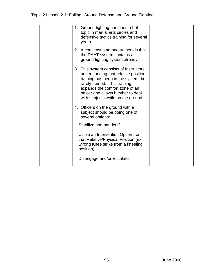| 1. Ground fighting has been a hot<br>topic in martial arts circles and<br>defensive tactics training for several<br>years.                                                                                                                                               |
|--------------------------------------------------------------------------------------------------------------------------------------------------------------------------------------------------------------------------------------------------------------------------|
| 2. A consensus among trainers is that<br>the DAAT system contains a<br>ground fighting system already.                                                                                                                                                                   |
| This system consists of Instructors<br>3.<br>understanding that relative position<br>training has been in the system, but<br>rarely trained. This training<br>expands the comfort zone of an<br>officer and allows him/her to deal<br>with subjects while on the ground. |
| 4. Officers on the ground with a<br>subject should be doing one of<br>several options:<br>Stabilize and handcuff.<br>Utilize an Intervention Option from<br>that Relative/Physical Position (ex:<br>Strong Knee strike from a kneeling<br>position).                     |
| Disengage and/or Escalate.                                                                                                                                                                                                                                               |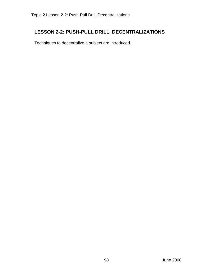# **LESSON 2-2: PUSH-PULL DRILL, DECENTRALIZATIONS**

Techniques to decentralize a subject are introduced.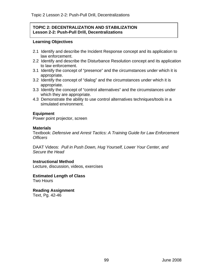#### **TOPIC 2: DECENTRALIZATION AND STABILIZATION Lesson 2-2: Push-Pull Drill, Decentralizations**

## **Learning Objectives**

- 2.1 Identify and describe the Incident Response concept and its application to law enforcement.
- 2.2 Identify and describe the Disturbance Resolution concept and its application to law enforcement.
- 3.1 Identify the concept of "presence" and the circumstances under which it is appropriate.
- 3.2 Identify the concept of "dialog" and the circumstances under which it is appropriate.
- 3.3 Identify the concept of "control alternatives" and the circumstances under which they are appropriate.
- 4.3 Demonstrate the ability to use control alternatives techniques/tools in a simulated environment.

## **Equipment**

Power point projector, screen

## **Materials**

Textbook: *Defensive and Arrest Tactics: A Training Guide for Law Enforcement Officers* 

DAAT Videos: *Pull in Push Down, Hug Yourself, Lower Your Center, and Secure the Head* 

## **Instructional Method**

Lecture, discussion, videos, exercises

# **Estimated Length of Class**

Two Hours

# **Reading Assignment**

Text, Pg. 42-46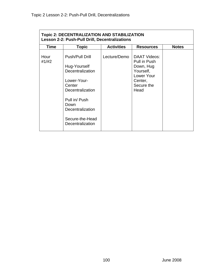$\mathbf{r}$ 

| <b>Topic 2: DECENTRALIZATION AND STABILIZATION</b><br><b>Lesson 2-2: Push-Pull Drill, Decentralizations</b> |                                                                                                                                                                                      |                   |                                                                                                              |              |
|-------------------------------------------------------------------------------------------------------------|--------------------------------------------------------------------------------------------------------------------------------------------------------------------------------------|-------------------|--------------------------------------------------------------------------------------------------------------|--------------|
| Time                                                                                                        | <b>Topic</b>                                                                                                                                                                         | <b>Activities</b> | <b>Resources</b>                                                                                             | <b>Notes</b> |
| Hour<br>#1/#2                                                                                               | Push/Pull Drill<br>Hug-Yourself<br>Decentralization<br>Lower-Your-<br>Center<br>Decentralization<br>Pull in/ Push<br>Down<br>Decentralization<br>Secure-the-Head<br>Decentralization | Lecture/Demo      | <b>DAAT Videos:</b><br>Pull in Push<br>Down, Hug<br>Yourself,<br>Lower Your<br>Center,<br>Secure the<br>Head |              |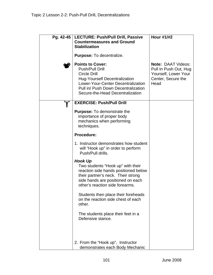| Pg. 42-45<br>LECTURE: Push/Pull Drill, Passive<br><b>Countermeasures and Ground</b><br><b>Stabilization</b> |                                                                                                                                                                                                                            | Hour #1/#2                                                                                               |
|-------------------------------------------------------------------------------------------------------------|----------------------------------------------------------------------------------------------------------------------------------------------------------------------------------------------------------------------------|----------------------------------------------------------------------------------------------------------|
|                                                                                                             | <b>Purpose:</b> To decentralize.                                                                                                                                                                                           |                                                                                                          |
|                                                                                                             | <b>Points to Cover:</b><br><b>Push/Pull Drill</b><br>Circle Drill<br><b>Hug-Yourself Decentralization</b><br>Lower-Your-Center Decentralization<br>Pull in/ Push Down Decentralization<br>Secure-the-Head Decentralization | <b>Note: DAAT Videos:</b><br>Pull In Push Out, Hug<br>Yourself, Lower Your<br>Center, Secure the<br>Head |
|                                                                                                             | <b>EXERCISE: Push/Pull Drill</b>                                                                                                                                                                                           |                                                                                                          |
|                                                                                                             | <b>Purpose:</b> To demonstrate the<br>importance of proper body<br>mechanics when performing<br>techniques.                                                                                                                |                                                                                                          |
|                                                                                                             | <b>Procedure:</b>                                                                                                                                                                                                          |                                                                                                          |
|                                                                                                             | 1. Instructor demonstrates how student<br>will "Hook up" in order to perform<br>Push/Pull drills.                                                                                                                          |                                                                                                          |
|                                                                                                             | <b>Hook Up</b><br>Two students "Hook up" with their<br>reaction side hands positioned below<br>their partner's neck. Their strong<br>side hands are positioned on each<br>other's reaction side forearms.                  |                                                                                                          |
|                                                                                                             | Students then place their foreheads<br>on the reaction side chest of each<br>other.                                                                                                                                        |                                                                                                          |
|                                                                                                             | The students place their feet in a<br>Defensive stance.                                                                                                                                                                    |                                                                                                          |
|                                                                                                             | 2. From the "Hook up", Instructor<br>demonstrates each Body Mechanic                                                                                                                                                       |                                                                                                          |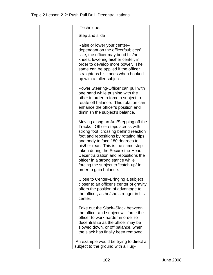| Technique:                                                                                                                                                                                                                                                                                                                                                                                                               |  |
|--------------------------------------------------------------------------------------------------------------------------------------------------------------------------------------------------------------------------------------------------------------------------------------------------------------------------------------------------------------------------------------------------------------------------|--|
| Step and slide                                                                                                                                                                                                                                                                                                                                                                                                           |  |
| Raise or lower your center-<br>dependant on the officer/subjects'<br>size, the officer may bend his/her<br>knees, lowering his/her center, in<br>order to develop more power. The<br>same can be applied if the officer<br>straightens his knees when hooked<br>up with a taller subject.                                                                                                                                |  |
| Power Steering-Officer can pull with<br>one hand while pushing with the<br>other in order to force a subject to<br>rotate off balance. This rotation can<br>enhance the officer's position and<br>diminish the subject's balance.                                                                                                                                                                                        |  |
| Moving along an Arc/Stepping off the<br>Tracks - Officer steps across with<br>strong foot, crossing behind reaction<br>foot and repositions by rotating hips<br>and body to face 180 degrees to<br>his/her rear. This is the same step<br>taken during the Secure-the-Head<br>Decentralization and repositions the<br>officer in a strong stance while<br>forcing the subject to "catch-up" in<br>order to gain balance. |  |
| Close to Center-Bringing a subject<br>closer to an officer's center of gravity<br>offers the position of advantage to<br>the officer, as he/she stronger in his<br>center.                                                                                                                                                                                                                                               |  |
| Take out the Slack-Slack between<br>the officer and subject will force the<br>officer to work harder in order to<br>decentralize as the officer may be<br>slowed down, or off balance, when<br>the slack has finally been removed.                                                                                                                                                                                       |  |
| An example would be trying to direct a<br>subject to the ground with a Hug-                                                                                                                                                                                                                                                                                                                                              |  |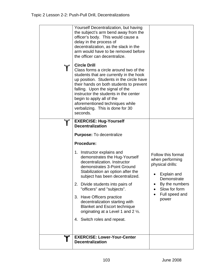| <b>'Y'</b> | Yourself Decentralization, but having<br>the subject's arm bend away from the<br>officer's body. This would cause a<br>delay in the process of<br>decentralization, as the slack in the<br>arm would have to be removed before<br>the officer can decentralize.<br><b>Circle Drill</b><br>Class forms a circle around two of the<br>students that are currently in the hook<br>up position. Students in the circle have<br>their hands on both students to prevent<br>falling. Upon the signal of the<br>instructor the students in the center<br>begin to apply all of the<br>aforementioned techniques while<br>verbalizing. This is done for 30<br>seconds. |                                                                                                                                                       |
|------------|----------------------------------------------------------------------------------------------------------------------------------------------------------------------------------------------------------------------------------------------------------------------------------------------------------------------------------------------------------------------------------------------------------------------------------------------------------------------------------------------------------------------------------------------------------------------------------------------------------------------------------------------------------------|-------------------------------------------------------------------------------------------------------------------------------------------------------|
| 'V'        | <b>EXERCISE: Hug-Yourself</b><br><b>Decentralization</b><br><b>Purpose:</b> To decentralize<br>Procedure:<br>1. Instructor explains and<br>demonstrates the Hug-Yourself<br>decentralization. Instructor<br>demonstrates 3-Point Ground<br>Stabilization an option after the<br>subject has been decentralized.<br>2. Divide students into pairs of<br>"officers" and "subjects".<br>3. Have Officers practice<br>decentralization starting with<br><b>Blanket and Escort technique</b><br>originating at a Level 1 and 2 $\frac{1}{2}$ .<br>4. Switch roles and repeat.<br><b>EXERCISE: Lower-Your-Center</b>                                                 | Follow this format<br>when performing<br>physical drills:<br>Explain and<br>Demonstrate<br>By the numbers<br>Slow for form<br>Full speed and<br>power |
|            | <b>Decentralization</b>                                                                                                                                                                                                                                                                                                                                                                                                                                                                                                                                                                                                                                        |                                                                                                                                                       |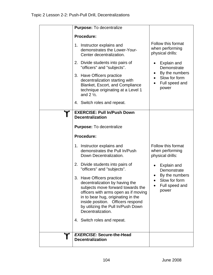| <b>Purpose: To decentralize</b>                                                                                                                                                                                                                                                |                                                            |
|--------------------------------------------------------------------------------------------------------------------------------------------------------------------------------------------------------------------------------------------------------------------------------|------------------------------------------------------------|
| Procedure:                                                                                                                                                                                                                                                                     |                                                            |
| 1. Instructor explains and<br>demonstrates the Lower-Your-<br>Center decentralization.                                                                                                                                                                                         | Follow this format<br>when performing<br>physical drills:  |
| 2. Divide students into pairs of<br>"officers" and "subjects".                                                                                                                                                                                                                 | Explain and<br>Demonstrate                                 |
| 3. Have Officers practice<br>decentralization starting with<br><b>Blanket, Escort, and Compliance</b><br>technique originating at a Level 1<br>and $2\frac{1}{2}$ .                                                                                                            | By the numbers<br>Slow for form<br>Full speed and<br>power |
| 4. Switch roles and repeat.                                                                                                                                                                                                                                                    |                                                            |
| <b>EXERCISE: Pull In/Push Down</b><br><b>Decentralization</b>                                                                                                                                                                                                                  |                                                            |
| <b>Purpose: To decentralize</b>                                                                                                                                                                                                                                                |                                                            |
| Procedure:                                                                                                                                                                                                                                                                     |                                                            |
| 1. Instructor explains and<br>demonstrates the Pull In/Push<br>Down Decentralization.                                                                                                                                                                                          | Follow this format<br>when performing<br>physical drills:  |
| 2. Divide students into pairs of<br>"officers" and "subjects".                                                                                                                                                                                                                 | Explain and<br>Demonstrate                                 |
| 3. Have Officers practice<br>decentralization by having the<br>subjects move forward towards the<br>officers with arms open as if moving<br>in to bear hug, originating in the<br>inside position. Officers respond<br>by utilizing the Pull In/Push Down<br>Decentralization. | By the numbers<br>Slow for form<br>Full speed and<br>power |
| 4. Switch roles and repeat.                                                                                                                                                                                                                                                    |                                                            |
| <b>EXERCISE: Secure-the-Head</b><br><b>Decentralization</b>                                                                                                                                                                                                                    |                                                            |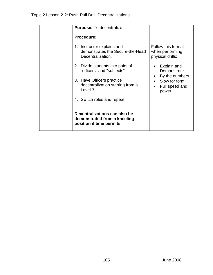| <b>Purpose: To decentralize</b>                                                            |                                                           |
|--------------------------------------------------------------------------------------------|-----------------------------------------------------------|
| Procedure:                                                                                 |                                                           |
| 1. Instructor explains and<br>demonstrates the Secure-the-Head<br>Decentralization.        | Follow this format<br>when performing<br>physical drills: |
| 2. Divide students into pairs of<br>"officers" and "subjects".                             | Explain and<br>Demonstrate<br>By the numbers              |
| 3. Have Officers practice<br>decentralization starting from a<br>Level 3.                  | Slow for form<br>Full speed and<br>power                  |
| 4. Switch roles and repeat.                                                                |                                                           |
| Decentralizations can also be<br>demonstrated from a kneeling<br>position if time permits. |                                                           |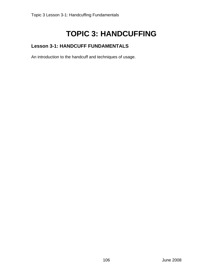# **TOPIC 3: HANDCUFFING**

# **Lesson 3-1: HANDCUFF FUNDAMENTALS**

An introduction to the handcuff and techniques of usage.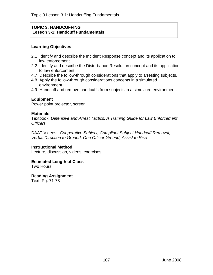#### **TOPIC 3: HANDCUFFING Lesson 3-1: Handcuff Fundamentals**

## **Learning Objectives**

- 2.1 Identify and describe the Incident Response concept and its application to law enforcement.
- 2.2 Identify and describe the Disturbance Resolution concept and its application to law enforcement.
- 4.7 Describe the follow-through considerations that apply to arresting subjects.
- 4.8 Apply the follow-through considerations concepts in a simulated environment.
- 4.9 Handcuff and remove handcuffs from subjects in a simulated environment.

## **Equipment**

Power point projector, screen

#### **Materials**

Textbook: *Defensive and Arrest Tactics: A Training Guide for Law Enforcement Officers* 

DAAT Videos: *Cooperative Subject, Compliant Subject Handcuff Removal, Verbal Direction to Ground, One Officer Ground, Assist to Rise*

## **Instructional Method**

Lecture, discussion, videos, exercises

#### **Estimated Length of Class**

Two Hours

#### **Reading Assignment**

Text, Pg. 71-73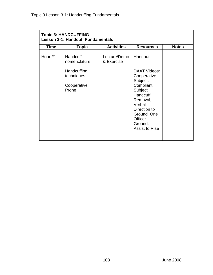| <b>Topic 3: HANDCUFFING</b><br><b>Lesson 3-1: Handcuff Fundamentals</b> |                                 |                            |                                                                                                         |              |
|-------------------------------------------------------------------------|---------------------------------|----------------------------|---------------------------------------------------------------------------------------------------------|--------------|
| <b>Time</b>                                                             | <b>Topic</b>                    | <b>Activities</b>          | <b>Resources</b>                                                                                        | <b>Notes</b> |
| Hour #1                                                                 | <b>Handcuff</b><br>nomenclature | Lecture/Demo<br>& Exercise | Handout                                                                                                 |              |
|                                                                         | Handcuffing<br>techniques:      |                            | <b>DAAT Videos:</b><br>Cooperative<br>Subject,                                                          |              |
|                                                                         | Cooperative<br>Prone            |                            | Compliant<br>Subject<br><b>Handcuff</b><br>Removal,<br>Verbal<br>Direction to<br>Ground, One<br>Officer |              |
|                                                                         |                                 |                            | Ground,<br>Assist to Rise                                                                               |              |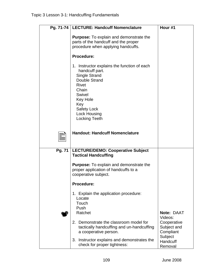|        | Pg. 71-74   LECTURE: Handcuff Nomenclature                                                                                                                                                                                        | Hour #1                                 |
|--------|-----------------------------------------------------------------------------------------------------------------------------------------------------------------------------------------------------------------------------------|-----------------------------------------|
|        | <b>Purpose:</b> To explain and demonstrate the<br>parts of the handcuff and the proper<br>procedure when applying handcuffs.                                                                                                      |                                         |
|        | Procedure:                                                                                                                                                                                                                        |                                         |
|        | 1. Instructor explains the function of each<br>handcuff part.<br>Single Strand<br>Double Strand<br><b>Rivet</b><br>Chain<br>Swivel<br><b>Key Hole</b><br>Key<br><b>Safety Lock</b><br><b>Lock Housing</b><br><b>Locking Teeth</b> |                                         |
|        | <b>Handout: Handcuff Nomenclature</b>                                                                                                                                                                                             |                                         |
| Pg. 71 | <b>LECTURE/DEMO: Cooperative Subject</b><br><b>Tactical Handcuffing</b>                                                                                                                                                           |                                         |
|        | Purpose: To explain and demonstrate the<br>proper application of handcuffs to a<br>cooperative subject.                                                                                                                           |                                         |
|        | Procedure:                                                                                                                                                                                                                        |                                         |
|        | 1. Explain the application procedure:<br>Locate<br>Touch<br>Push<br>Ratchet                                                                                                                                                       | Note: DAAT<br>Videos:                   |
|        | 2. Demonstrate the classroom model for<br>tactically handcuffing and un-handcuffing<br>a cooperative person.                                                                                                                      | Cooperative<br>Subject and<br>Compliant |
|        | 3. Instructor explains and demonstrates the<br>check for proper tightness:                                                                                                                                                        | Subject<br>Handcuff<br>Removal          |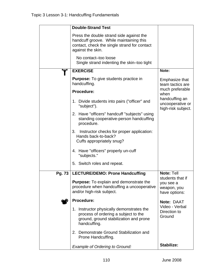|            | <b>Double-Strand Test</b>                                                                                                                                |                                                               |
|------------|----------------------------------------------------------------------------------------------------------------------------------------------------------|---------------------------------------------------------------|
|            | Press the double strand side against the<br>handcuff groove. While maintaining this<br>contact, check the single strand for contact<br>against the skin. |                                                               |
|            | No contact-too loose<br>Single strand indenting the skin-too tight                                                                                       |                                                               |
| <b>'V'</b> | <b>EXERCISE</b>                                                                                                                                          | Note:                                                         |
|            | <b>Purpose:</b> To give students practice in<br>handcuffing.                                                                                             | Emphasize that<br>team tactics are                            |
|            | Procedure:                                                                                                                                               | much preferable<br>when                                       |
|            | 1. Divide students into pairs ("officer" and<br>"subject").                                                                                              | handcuffing an<br>uncooperative or<br>high-risk subject.      |
|            | 2. Have "officers" handcuff "subjects" using<br>standing cooperative-person handcuffing<br>procedure.                                                    |                                                               |
|            | Instructor checks for proper application:<br>3.<br>Hands back-to-back?<br>Cuffs appropriately snug?                                                      |                                                               |
|            | 4. Have "officers" properly un-cuff<br>"subjects."                                                                                                       |                                                               |
|            | 5. Switch roles and repeat.                                                                                                                              |                                                               |
| Pg. 73     | <b>LECTURE/DEMO: Prone Handcuffing</b>                                                                                                                   | Note: Tell                                                    |
|            | Purpose: To explain and demonstrate the<br>procedure when handcuffing a uncooperative<br>and/or high-risk subject.                                       | students that if<br>you see a<br>weapon, you<br>have options: |
|            | Procedure:                                                                                                                                               | Note: DAAT                                                    |
|            | 1. Instructor physically demonstrates the<br>process of ordering a subject to the<br>ground, ground stabilization and prone<br>handcuffing.              | Video - Verbal<br>Direction to<br>Ground                      |
|            | 2. Demonstrate Ground Stabilization and<br>Prone Handcuffing.                                                                                            |                                                               |
|            | <b>Example of Ordering to Ground:</b>                                                                                                                    | Stabilize:                                                    |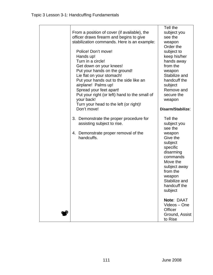|                                               | Tell the          |
|-----------------------------------------------|-------------------|
| From a position of cover (if available), the  | subject you       |
| officer draws firearm and begins to give      | see the           |
| stabilization commands. Here is an example:   | weapon            |
|                                               | Order the         |
| Police! Don't move!                           | subject to        |
| Hands up!                                     | keep his/her      |
| Turn in a circle!                             | hands away        |
| Get down on your knees!                       | from the          |
| Put your hands on the ground!                 | weapon            |
| Lie flat on your stomach!                     | Stabilize and     |
| Put your hands out to the side like an        | handcuff the      |
| airplane! Palms up!                           | subject           |
| Spread your feet apart!                       | Remove and        |
| Put your right (or left) hand to the small of | secure the        |
| your back!                                    | weapon            |
| Turn your head to the left (or right)!        |                   |
| Don't move!                                   | Disarm/Stabilize: |
| 3. Demonstrate the proper procedure for       | Tell the          |
| assisting subject to rise.                    | subject you       |
|                                               | see the           |
| 4. Demonstrate proper removal of the          | weapon            |
| handcuffs.                                    | Give the          |
|                                               | subject           |
|                                               | specific          |
|                                               | disarming         |
|                                               | commands          |
|                                               | Move the          |
|                                               | subject away      |
|                                               | from the          |
|                                               | weapon            |
|                                               | Stabilize and     |
|                                               | handcuff the      |
|                                               | subject           |
|                                               | <b>Note: DAAT</b> |
|                                               | Videos – One      |
|                                               | Officer           |
|                                               | Ground, Assist    |
|                                               | to Rise           |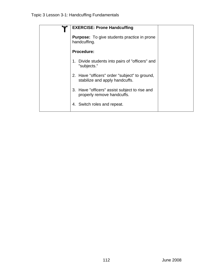| <b>EXERCISE: Prone Handcuffing</b>                                              |
|---------------------------------------------------------------------------------|
| <b>Purpose:</b> To give students practice in prone<br>handcuffing.              |
| <b>Procedure:</b>                                                               |
| 1. Divide students into pairs of "officers" and<br>"subjects."                  |
| 2. Have "officers" order "subject" to ground,<br>stabilize and apply handcuffs. |
| 3. Have "officers" assist subject to rise and<br>properly remove handcuffs.     |
| 4. Switch roles and repeat.                                                     |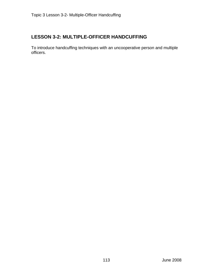# **LESSON 3-2: MULTIPLE-OFFICER HANDCUFFING**

To introduce handcuffing techniques with an uncooperative person and multiple officers.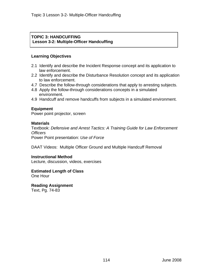# **TOPIC 3: HANDCUFFING Lesson 3-2: Multiple-Officer Handcuffing**

# **Learning Objectives**

- 2.1 Identify and describe the Incident Response concept and its application to law enforcement.
- 2.2 Identify and describe the Disturbance Resolution concept and its application to law enforcement.
- 4.7 Describe the follow-through considerations that apply to arresting subjects.
- 4.8 Apply the follow-through considerations concepts in a simulated environment.
- 4.9 Handcuff and remove handcuffs from subjects in a simulated environment.

# **Equipment**

Power point projector, screen

#### **Materials**

Textbook: *Defensive and Arrest Tactics: A Training Guide for Law Enforcement Officers*  Power Point presentation: *Use of Force* 

DAAT Videos: Multiple Officer Ground and Multiple Handcuff Removal

#### **Instructional Method**

Lecture, discussion, videos, exercises

# **Estimated Length of Class**

One Hour

# **Reading Assignment**

Text, Pg. 74-83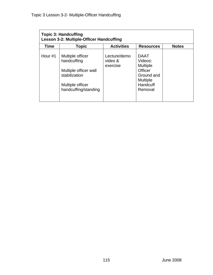| <b>Topic 3: Handcuffing</b><br>Lesson 3-2: Multiple-Officer Handcuffing |                                                                                                                       |                                     |                                                                                                                     |              |
|-------------------------------------------------------------------------|-----------------------------------------------------------------------------------------------------------------------|-------------------------------------|---------------------------------------------------------------------------------------------------------------------|--------------|
| <b>Time</b>                                                             | <b>Topic</b>                                                                                                          | <b>Activities</b>                   | <b>Resources</b>                                                                                                    | <b>Notes</b> |
| Hour #1                                                                 | Multiple officer<br>handcuffing<br>Multiple officer wall<br>stabilization<br>Multiple officer<br>handcuffing/standing | Lecture/demo<br>video &<br>exercise | <b>DAAT</b><br>Videos:<br><b>Multiple</b><br><b>Officer</b><br>Ground and<br><b>Multiple</b><br>Handcuff<br>Removal |              |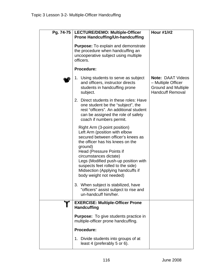| Pg. 74-75   LECTURE/DEMO: Multiple-Officer<br><b>Prone Handcuffing/Un-handcuffing</b><br>Purpose: To explain and demonstrate<br>the procedure when handcuffing an<br>uncooperative subject using multiple<br>officers.                                                                                                                                | Hour #1/#2                                                                                              |
|-------------------------------------------------------------------------------------------------------------------------------------------------------------------------------------------------------------------------------------------------------------------------------------------------------------------------------------------------------|---------------------------------------------------------------------------------------------------------|
| Procedure:                                                                                                                                                                                                                                                                                                                                            |                                                                                                         |
| 1. Using students to serve as subject<br>and officers, instructor directs<br>students in handcuffing prone<br>subject.                                                                                                                                                                                                                                | <b>Note: DAAT Videos</b><br>- Multiple Officer<br><b>Ground and Multiple</b><br><b>Handcuff Removal</b> |
| 2. Direct students in these roles: Have<br>one student be the "subject", the<br>rest "officers". An additional student<br>can be assigned the role of safety<br>coach if numbers permit.                                                                                                                                                              |                                                                                                         |
| Right Arm (3-point position)<br>Left Arm (position with elbow<br>secured between officer's knees as<br>the officer has his knees on the<br>ground)<br>Head (Pressure Points if<br>circumstances dictate)<br>Legs (Modified push-up position with<br>suspects feet rolled to the side)<br>Midsection (Applying handcuffs if<br>body weight not needed) |                                                                                                         |
| 3. When subject is stabilized, have<br>"officers" assist subject to rise and<br>un-handcuff him/her.                                                                                                                                                                                                                                                  |                                                                                                         |
| <b>EXERCISE: Multiple-Officer Prone</b><br><b>Handcuffing</b>                                                                                                                                                                                                                                                                                         |                                                                                                         |
| Purpose: To give students practice in<br>multiple-officer prone handcuffing.                                                                                                                                                                                                                                                                          |                                                                                                         |
| Procedure:                                                                                                                                                                                                                                                                                                                                            |                                                                                                         |
| 1. Divide students into groups of at<br>least 4 (preferably 5 or 6).                                                                                                                                                                                                                                                                                  |                                                                                                         |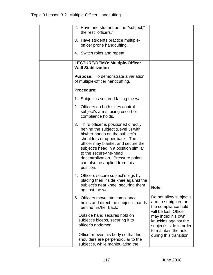| 2. Have one student be the "subject,"<br>the rest "officers."                                                                                                                                                                                                                                                                             |                                                                                                |
|-------------------------------------------------------------------------------------------------------------------------------------------------------------------------------------------------------------------------------------------------------------------------------------------------------------------------------------------|------------------------------------------------------------------------------------------------|
| 3. Have students practice multiple-<br>officer prone handcuffing.                                                                                                                                                                                                                                                                         |                                                                                                |
| 4. Switch roles and repeat.                                                                                                                                                                                                                                                                                                               |                                                                                                |
| LECTURE/DEMO: Multiple-Officer<br><b>Wall Stabilization</b>                                                                                                                                                                                                                                                                               |                                                                                                |
| <b>Purpose:</b> To demonstrate a variation<br>of multiple-officer handcuffing.                                                                                                                                                                                                                                                            |                                                                                                |
| <b>Procedure:</b>                                                                                                                                                                                                                                                                                                                         |                                                                                                |
| 1. Subject is secured facing the wall.                                                                                                                                                                                                                                                                                                    |                                                                                                |
| 2. Officers on both sides control<br>subject's arms, using escort or<br>compliance holds.                                                                                                                                                                                                                                                 |                                                                                                |
| 3. Third officer is positioned directly<br>behind the subject (Level 3) with<br>his/her hands on the subject's<br>shoulders or upper back. The<br>officer may blanket and secure the<br>subject's head in a position similar<br>to the secure-the-head<br>decentralization. Pressure points<br>can also be applied from this<br>position. |                                                                                                |
| 4. Officers secure subject's legs by<br>placing their inside knee against the<br>subject's near knee, securing them<br>against the wall.                                                                                                                                                                                                  | Note:                                                                                          |
| 5. Officers move into compliance<br>holds and direct the subject's hands<br>behind his/her back:                                                                                                                                                                                                                                          | Do not allow subject's<br>arm to straighten or<br>the compliance hold<br>will be lost. Officer |
| Outside hand secures hold on<br>subject's biceps, securing it to<br>officer's abdomen.                                                                                                                                                                                                                                                    | may index his own<br>knuckles against the<br>subject's side in order                           |
| Officer moves his body so that his<br>shoulders are perpendicular to the<br>subject's, while manipulating the                                                                                                                                                                                                                             | to maintain the hold<br>during this transition.                                                |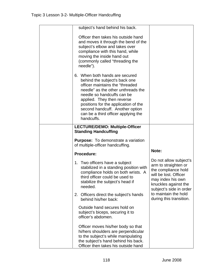| subject's hand behind his back.                                                                                                                                                                                                                                                                                                      |                                                                                                                                                                        |
|--------------------------------------------------------------------------------------------------------------------------------------------------------------------------------------------------------------------------------------------------------------------------------------------------------------------------------------|------------------------------------------------------------------------------------------------------------------------------------------------------------------------|
| Officer then takes his outside hand<br>and moves it through the bend of the<br>subject's elbow and takes over<br>compliance with this hand, while<br>moving the inside hand out<br>(commonly called "threading the<br>needle").                                                                                                      |                                                                                                                                                                        |
| 6. When both hands are secured<br>behind the subject's back one<br>officer maintains the "threaded<br>needle" as the other unthreads the<br>needle so handcuffs can be<br>applied. They then reverse<br>positions for the application of the<br>second handcuff. Another option<br>can be a third officer applying the<br>handcuffs. |                                                                                                                                                                        |
| <b>LECTURE/DEMO: Multiple-Officer</b><br><b>Standing Handcuffing</b>                                                                                                                                                                                                                                                                 |                                                                                                                                                                        |
| <b>Purpose:</b> To demonstrate a variation<br>of multiple-officer handcuffing.                                                                                                                                                                                                                                                       |                                                                                                                                                                        |
| Procedure:                                                                                                                                                                                                                                                                                                                           | Note:                                                                                                                                                                  |
| 1. Two officers have a subject<br>stabilized in a standing position with<br>compliance holds on both wrists. A<br>third officer could be used to<br>stabilize the subject's head if<br>needed.                                                                                                                                       | Do not allow subject's<br>arm to straighten or<br>the compliance hold<br>will be lost. Officer<br>may index his own<br>knuckles against the<br>subject's side in order |
| 2. Officers direct the subject's hands<br>behind his/her back:                                                                                                                                                                                                                                                                       | to maintain the hold<br>during this transition.                                                                                                                        |
| Outside hand secures hold on<br>subject's biceps, securing it to<br>officer's abdomen.                                                                                                                                                                                                                                               |                                                                                                                                                                        |
| Officer moves his/her body so that<br>hi/hers shoulders are perpendicular<br>to the subject's while manipulating<br>the subject's hand behind his back.<br>Officer then takes his outside hand                                                                                                                                       |                                                                                                                                                                        |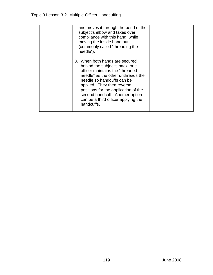| and moves it through the bend of the<br>subject's elbow and takes over<br>compliance with this hand, while<br>moving the inside hand out<br>(commonly called "threading the<br>needle").                                                                                                                                              |  |
|---------------------------------------------------------------------------------------------------------------------------------------------------------------------------------------------------------------------------------------------------------------------------------------------------------------------------------------|--|
| 3. When both hands are secured<br>behind the subject's back, one<br>officer maintains the "threaded<br>needle" as the other unthreads the<br>needle so handcuffs can be<br>applied. They then reverse<br>positions for the application of the<br>second handcuff. Another option<br>can be a third officer applying the<br>handcuffs. |  |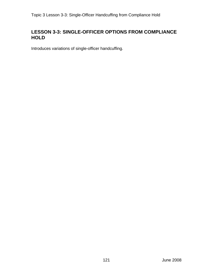# **LESSON 3-3: SINGLE-OFFICER OPTIONS FROM COMPLIANCE HOLD**

Introduces variations of single-officer handcuffing.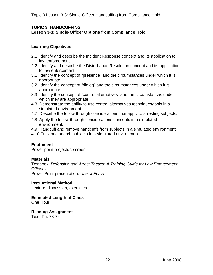#### **TOPIC 3: HANDCUFFING Lesson 3-3: Single-Officer Options from Compliance Hold**

# **Learning Objectives**

- 2.1 Identify and describe the Incident Response concept and its application to law enforcement.
- 2.2 Identify and describe the Disturbance Resolution concept and its application to law enforcement.
- 3.1 Identify the concept of "presence" and the circumstances under which it is appropriate.
- 3.2 Identify the concept of "dialog" and the circumstances under which it is appropriate.
- 3.3 Identify the concept of "control alternatives" and the circumstances under which they are appropriate.
- 4.3 Demonstrate the ability to use control alternatives techniques/tools in a simulated environment.
- 4.7 Describe the follow-through considerations that apply to arresting subjects.
- 4.8 Apply the follow-through considerations concepts in a simulated environment.
- 4.9 Handcuff and remove handcuffs from subjects in a simulated environment.
- 4.10 Frisk and search subjects in a simulated environment.

# **Equipment**

Power point projector, screen

#### **Materials**

Textbook: *Defensive and Arrest Tactics: A Training Guide for Law Enforcement Officers*  Power Point presentation: *Use of Force* 

**Instructional Method** 

Lecture, discussion, exercises

**Estimated Length of Class**  One Hour

**Reading Assignment**  Text, Pg. 73-74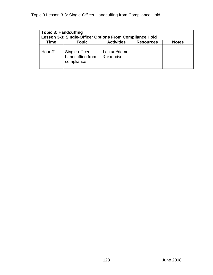| <b>Topic 3: Handcuffing</b><br>Lesson 3-3: Single-Officer Options From Compliance Hold |                                                  |                            |                  |              |
|----------------------------------------------------------------------------------------|--------------------------------------------------|----------------------------|------------------|--------------|
| Time                                                                                   | Topic                                            | <b>Activities</b>          | <b>Resources</b> | <b>Notes</b> |
| Hour #1                                                                                | Single-officer<br>handcuffing from<br>compliance | Lecture/demo<br>& exercise |                  |              |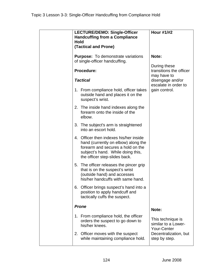| LECTURE/DEMO: Single-Officer<br><b>Handcuffing from a Compliance</b><br>Hold<br><b>(Tactical and Prone)</b>                                                                              | Hour #1/#2                                              |
|------------------------------------------------------------------------------------------------------------------------------------------------------------------------------------------|---------------------------------------------------------|
| <b>Purpose:</b> To demonstrate variations<br>of single-officer handcuffing.                                                                                                              | Note:                                                   |
| Procedure:                                                                                                                                                                               | During these<br>transitions the officer<br>may have to  |
| <b>Tactical</b>                                                                                                                                                                          | disengage and/or<br>escalate in order to                |
| 1. From compliance hold, officer takes<br>outside hand and places it on the<br>suspect's wrist.                                                                                          | gain control.                                           |
| 2. The inside hand indexes along the<br>forearm onto the inside of the<br>elbow.                                                                                                         |                                                         |
| 3. The subject's arm is straightened<br>into an escort hold.                                                                                                                             |                                                         |
| 4. Officer then indexes his/her inside<br>hand (currently on elbow) along the<br>forearm and secures a hold on the<br>subject's hand. While doing this,<br>the officer step-slides back. |                                                         |
| 5. The officer releases the pincer grip<br>that is on the suspect's wrist<br>(outside hand) and accesses<br>his/her handcuffs with same hand.                                            |                                                         |
| 6. Officer brings suspect's hand into a<br>position to apply handcuff and<br>tactically cuffs the suspect.                                                                               |                                                         |
| <b>Prone</b>                                                                                                                                                                             | Note:                                                   |
| 1. From compliance hold, the officer<br>orders the suspect to go down to<br>his/her knees.                                                                                               | This technique is<br>similar to a Lower-<br>Your-Center |
| 2. Officer moves with the suspect<br>while maintaining compliance hold.                                                                                                                  | Decentralization, but<br>step by step.                  |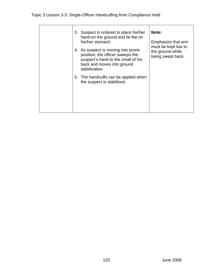| 3. Suspect is ordered to place his/her<br>hand on the ground and lie flat on<br>his/her stomach.<br>4. As suspect is moving into prone<br>position, the officer sweeps the<br>suspect's hand to the small of his<br>back and moves into ground<br>stabilization. | Note:<br>Emphasize that arm<br>must be kept low to<br>the ground while<br>being swept back. |
|------------------------------------------------------------------------------------------------------------------------------------------------------------------------------------------------------------------------------------------------------------------|---------------------------------------------------------------------------------------------|
| 5. The handcuffs can be applied when<br>the suspect is stabilized.                                                                                                                                                                                               |                                                                                             |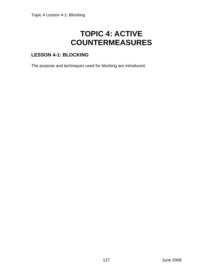# **TOPIC 4: ACTIVE COUNTERMEASURES**

# **LESSON 4-1: BLOCKING**

The purpose and techniques used for blocking are introduced.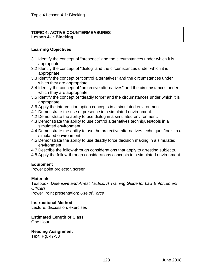# **TOPIC 4: ACTIVE COUNTERMEASURES Lesson 4-1: Blocking**

# **Learning Objectives**

- 3.1 Identify the concept of "presence" and the circumstances under which it is appropriate.
- 3.2 Identify the concept of "dialog" and the circumstances under which it is appropriate.
- 3.3 Identify the concept of "control alternatives" and the circumstances under which they are appropriate.
- 3.4 Identify the concept of "protective alternatives" and the circumstances under which they are appropriate.
- 3.5 Identify the concept of "deadly force" and the circumstances under which it is appropriate.
- 3.6 Apply the intervention option concepts in a simulated environment.
- 4.1 Demonstrate the use of presence in a simulated environment.
- 4.2 Demonstrate the ability to use dialog in a simulated environment.
- 4.3 Demonstrate the ability to use control alternatives techniques/tools in a simulated environment.
- 4.4 Demonstrate the ability to use the protective alternatives techniques/tools in a simulated environment.
- 4.5 Demonstrate the ability to use deadly force decision making in a simulated environment.
- 4.7 Describe the follow-through considerations that apply to arresting subjects.
- 4.8 Apply the follow-through considerations concepts in a simulated environment.

# **Equipment**

Power point projector, screen

#### **Materials**

Textbook: *Defensive and Arrest Tactics: A Training Guide for Law Enforcement Officers*  Power Point presentation: *Use of Force* 

#### **Instructional Method**

Lecture, discussion, exercises

#### **Estimated Length of Class**

One Hour

# **Reading Assignment**

Text, Pg. 47-53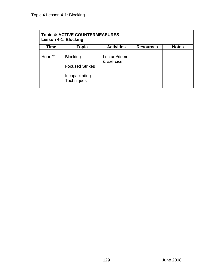| <b>Topic 4: ACTIVE COUNTERMEASURES</b><br><b>Lesson 4-1: Blocking</b> |                                                                                  |                            |  |  |  |  |
|-----------------------------------------------------------------------|----------------------------------------------------------------------------------|----------------------------|--|--|--|--|
| <b>Time</b>                                                           | <b>Activities</b><br><b>Notes</b><br><b>Topic</b><br><b>Resources</b>            |                            |  |  |  |  |
| Hour $#1$                                                             | <b>Blocking</b><br><b>Focused Strikes</b><br>Incapacitating<br><b>Techniques</b> | Lecture/demo<br>& exercise |  |  |  |  |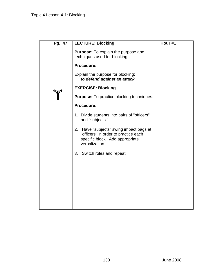| Pg. 47 | <b>LECTURE: Blocking</b>                                                                                                                | Hour #1 |
|--------|-----------------------------------------------------------------------------------------------------------------------------------------|---------|
|        | Purpose: To explain the purpose and<br>techniques used for blocking.                                                                    |         |
|        | Procedure:                                                                                                                              |         |
|        | Explain the purpose for blocking:<br>to defend against an attack                                                                        |         |
|        | <b>EXERCISE: Blocking</b>                                                                                                               |         |
|        | Purpose: To practice blocking techniques.                                                                                               |         |
|        | Procedure:                                                                                                                              |         |
|        | 1. Divide students into pairs of "officers"<br>and "subjects."                                                                          |         |
|        | Have "subjects" swing impact bags at<br>2.<br>"officers" in order to practice each<br>specific block. Add appropriate<br>verbalization. |         |
|        | 3.<br>Switch roles and repeat.                                                                                                          |         |
|        |                                                                                                                                         |         |
|        |                                                                                                                                         |         |
|        |                                                                                                                                         |         |
|        |                                                                                                                                         |         |
|        |                                                                                                                                         |         |
|        |                                                                                                                                         |         |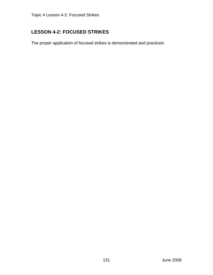# **LESSON 4-2: FOCUSED STRIKES**

The proper application of focused strikes is demonstrated and practiced.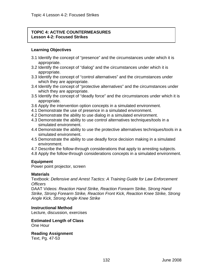# **TOPIC 4: ACTIVE COUNTERMEASURES Lesson 4-2: Focused Strikes**

## **Learning Objectives**

- 3.1 Identify the concept of "presence" and the circumstances under which it is appropriate.
- 3.2 Identify the concept of "dialog" and the circumstances under which it is appropriate.
- 3.3 Identify the concept of "control alternatives" and the circumstances under which they are appropriate.
- 3.4 Identify the concept of "protective alternatives" and the circumstances under which they are appropriate.
- 3.5 Identify the concept of "deadly force" and the circumstances under which it is appropriate.
- 3.6 Apply the intervention option concepts in a simulated environment.
- 4.1 Demonstrate the use of presence in a simulated environment.
- 4.2 Demonstrate the ability to use dialog in a simulated environment.
- 4.3 Demonstrate the ability to use control alternatives techniques/tools in a simulated environment.
- 4.4 Demonstrate the ability to use the protective alternatives techniques/tools in a simulated environment.
- 4.5 Demonstrate the ability to use deadly force decision making in a simulated environment.
- 4.7 Describe the follow-through considerations that apply to arresting subjects.
- 4.8 Apply the follow-through considerations concepts in a simulated environment.

#### **Equipment**

Power point projector, screen

#### **Materials**

Textbook: *Defensive and Arrest Tactics: A Training Guide for Law Enforcement Officers* 

DAAT Videos: *Reaction Hand Strike, Reaction Forearm Strike, Strong Hand Strike, Strong Forearm Strike, Reaction Front Kick, Reaction Knee Strike, Strong Angle Kick, Strong Angle Knee Strike*

#### **Instructional Method**

Lecture, discussion, exercises

**Estimated Length of Class**  One Hour

**Reading Assignment**  Text, Pg. 47-53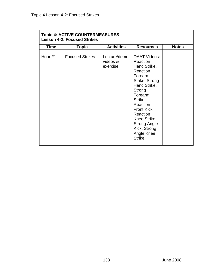| Time    | <b>Topic</b>           | <b>Activities</b>                    | <b>Resources</b>                                                                                                                                                                                                                                                      | <b>Notes</b> |
|---------|------------------------|--------------------------------------|-----------------------------------------------------------------------------------------------------------------------------------------------------------------------------------------------------------------------------------------------------------------------|--------------|
| Hour #1 | <b>Focused Strikes</b> | Lecture/demo<br>videos &<br>exercise | <b>DAAT Videos:</b><br>Reaction<br>Hand Strike,<br>Reaction<br>Forearm<br>Strike, Strong<br>Hand Strike,<br>Strong<br>Forearm<br>Strike,<br>Reaction<br>Front Kick,<br>Reaction<br>Knee Strike,<br><b>Strong Angle</b><br>Kick, Strong<br>Angle Knee<br><b>Strike</b> |              |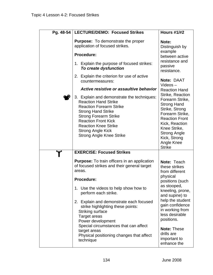| Pg. 48-54 | <b>LECTURE/DEMO: Focused Strikes</b>                                                                                                                                                                                                                                                          | <b>Hours #1/#2</b>                                                                                                                                                                                                              |
|-----------|-----------------------------------------------------------------------------------------------------------------------------------------------------------------------------------------------------------------------------------------------------------------------------------------------|---------------------------------------------------------------------------------------------------------------------------------------------------------------------------------------------------------------------------------|
|           | <b>Purpose:</b> To demonstrate the proper<br>application of focused strikes.                                                                                                                                                                                                                  | Note:<br>Distinguish by<br>example                                                                                                                                                                                              |
|           | Procedure:                                                                                                                                                                                                                                                                                    | between active                                                                                                                                                                                                                  |
|           | 1. Explain the purpose of focused strikes:<br>To create dysfunction                                                                                                                                                                                                                           | resistance and<br>passive<br>resistance.                                                                                                                                                                                        |
|           | 2. Explain the criterion for use of active<br>countermeasures:                                                                                                                                                                                                                                | Note: DAAT<br>$Videos -$                                                                                                                                                                                                        |
|           | Active resistive or assaultive behavior                                                                                                                                                                                                                                                       | <b>Reaction Hand</b>                                                                                                                                                                                                            |
|           | 3. Explain and demonstrate the techniques:<br><b>Reaction Hand Strike</b><br><b>Reaction Forearm Strike</b><br><b>Strong Hand Strike</b><br><b>Strong Forearm Strike</b><br><b>Reaction Front Kick</b><br><b>Reaction Knee Strike</b><br><b>Strong Angle Kick</b><br>Strong Angle Knee Strike | Strike, Reaction<br>Forearm Strike,<br><b>Strong Hand</b><br>Strike, Strong<br>Forearm Strike,<br><b>Reaction Front</b><br>Kick, Reaction<br>Knee Strike,<br><b>Strong Angle</b><br>Kick, Strong<br>Angle Knee<br><b>Strike</b> |
|           | <b>EXERCISE: Focused Strikes</b>                                                                                                                                                                                                                                                              |                                                                                                                                                                                                                                 |
|           | <b>Purpose:</b> To train officers in an application<br>of focused strikes and their general target<br>areas.                                                                                                                                                                                  | Note: Teach<br>these strikes<br>from different<br>physical                                                                                                                                                                      |
|           | Procedure:                                                                                                                                                                                                                                                                                    | positions (such                                                                                                                                                                                                                 |
|           | 1. Use the videos to help show how to<br>perform each strike.                                                                                                                                                                                                                                 | as stooped,<br>kneeling, prone,<br>and supine) to                                                                                                                                                                               |
|           | 2. Explain and demonstrate each focused<br>strike highlighting these points:<br>Striking surface<br><b>Target areas</b><br>Power development                                                                                                                                                  | help the student<br>gain confidence<br>in working from<br>less desirable<br>positions.                                                                                                                                          |
|           | Special circumstances that can affect<br>target areas<br>Physical positioning changes that affect<br>technique                                                                                                                                                                                | <b>Note: These</b><br>drills are<br>important to<br>enhance the                                                                                                                                                                 |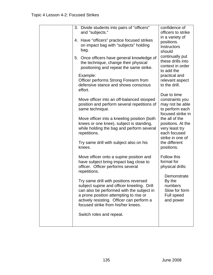| 3. Divide students into pairs of "officers"<br>and "subjects."                                                                                                                                                                                                 | confidence of<br>officers to strike                                                       |
|----------------------------------------------------------------------------------------------------------------------------------------------------------------------------------------------------------------------------------------------------------------|-------------------------------------------------------------------------------------------|
| 4. Have "officers" practice focused strikes<br>on impact bag with "subjects" holding<br>bag.                                                                                                                                                                   | in a variety of<br>positions.<br><b>Instructors</b><br>should                             |
| 5. Once officers have general knowledge of<br>the technique, change their physical<br>positioning and repeat the same strike.                                                                                                                                  | continually put<br>these drills into<br>context in order<br>to add the                    |
| Example:<br>Officer performs Strong Forearm from<br>defensive stance and shows conscious<br>effort.                                                                                                                                                            | practical and<br>relevant aspect<br>to the drill.                                         |
| Move officer into an off-balanced stooped<br>position and perform several repetitions of<br>same technique.                                                                                                                                                    | Due to time<br>constraints you<br>may not be able<br>to perform each<br>focused strike in |
| Move officer into a kneeling position (both<br>knees or one knee), subject is standing,<br>while holding the bag and perform several<br>repetitions.                                                                                                           | the all of the<br>positions. At the<br>very least try<br>each focused<br>strike in one of |
| Try same drill with subject also on his<br>knees.                                                                                                                                                                                                              | the different<br>positions.                                                               |
| Move officer onto a supine position and<br>have subject bring impact bag close to<br>officer. Officer performs several<br>repetitions.                                                                                                                         | <b>Follow this</b><br>format for<br>physical drills:                                      |
| Try same drill with positions reversed<br>subject supine and officer kneeling. Drill<br>can also be performed with the subject in<br>a prone position attempting to rise or<br>actively resisting. Officer can perform a<br>focused strike from his/her knees. | Demonstrate<br>By the<br>numbers<br>Slow for form<br>Full speed<br>and power              |
| Switch roles and repeat.                                                                                                                                                                                                                                       |                                                                                           |
|                                                                                                                                                                                                                                                                |                                                                                           |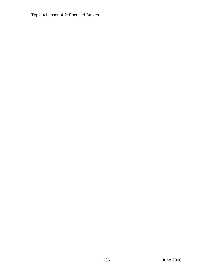Topic 4 Lesson 4-2: Focused Strikes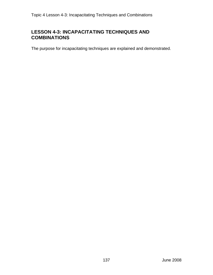# **LESSON 4-3: INCAPACITATING TECHNIQUES AND COMBINATIONS**

The purpose for incapacitating techniques are explained and demonstrated.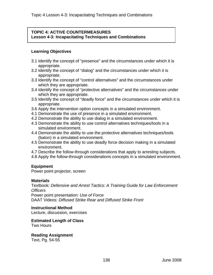# **TOPIC 4: ACTIVE COUNTERMEASURES Lesson 4-3: Incapacitating Techniques and Combinations**

# **Learning Objectives**

- 3.1 Identify the concept of "presence" and the circumstances under which it is appropriate.
- 3.2 Identify the concept of "dialog" and the circumstances under which it is appropriate.
- 3.3 Identify the concept of "control alternatives" and the circumstances under which they are appropriate.
- 3.4 Identify the concept of "protective alternatives" and the circumstances under which they are appropriate.
- 3.5 Identify the concept of "deadly force" and the circumstances under which it is appropriate.
- 3.6 Apply the intervention option concepts in a simulated environment.
- 4.1 Demonstrate the use of presence in a simulated environment.
- 4.2 Demonstrate the ability to use dialog in a simulated environment.
- 4.3 Demonstrate the ability to use control alternatives techniques/tools in a simulated environment.
- 4.4 Demonstrate the ability to use the protective alternatives techniques/tools (baton) in a simulated environment.
- 4.5 Demonstrate the ability to use deadly force decision making in a simulated environment.
- 4.7 Describe the follow-through considerations that apply to arresting subjects.
- 4.8 Apply the follow-through considerations concepts in a simulated environment.

# **Equipment**

Power point projector, screen

# **Materials**

Textbook: *Defensive and Arrest Tactics: A Training Guide for Law Enforcement Officers*  Power point presentation: *Use of Force*  DAAT Videos: *Diffused Strike Rear and Diffused Strike Front*

# **Instructional Method**

Lecture, discussion, exercises

**Estimated Length of Class**  Two Hours

**Reading Assignment**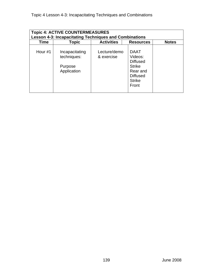| <b>Topic 4: ACTIVE COUNTERMEASURES</b><br><b>Lesson 4-3: Incapacitating Techniques and Combinations</b> |                                                         |                            |                                                                                                                     |              |
|---------------------------------------------------------------------------------------------------------|---------------------------------------------------------|----------------------------|---------------------------------------------------------------------------------------------------------------------|--------------|
| <b>Time</b>                                                                                             | <b>Topic</b>                                            | <b>Activities</b>          | <b>Resources</b>                                                                                                    | <b>Notes</b> |
| Hour $#1$                                                                                               | Incapacitating<br>techniques:<br>Purpose<br>Application | Lecture/demo<br>& exercise | <b>DAAT</b><br>Videos:<br><b>Diffused</b><br><b>Strike</b><br>Rear and<br><b>Diffused</b><br><b>Strike</b><br>Front |              |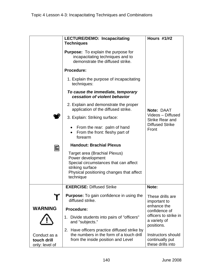|                                               | <b>LECTURE/DEMO: Incapacitating</b><br><b>Techniques</b>                                                                                                                 | <b>Hours #1/#2</b>                                         |
|-----------------------------------------------|--------------------------------------------------------------------------------------------------------------------------------------------------------------------------|------------------------------------------------------------|
|                                               | <b>Purpose:</b> To explain the purpose for<br>incapacitating techniques and to<br>demonstrate the diffused strike.                                                       |                                                            |
|                                               | Procedure:                                                                                                                                                               |                                                            |
|                                               | 1. Explain the purpose of incapacitating<br>techniques:                                                                                                                  |                                                            |
|                                               | To cause the immediate, temporary<br>cessation of violent behavior                                                                                                       |                                                            |
|                                               | 2. Explain and demonstrate the proper<br>application of the diffused strike.                                                                                             | Note: DAAT                                                 |
|                                               | 3. Explain: Striking surface:                                                                                                                                            | Videos - Diffused<br><b>Strike Rear and</b>                |
|                                               | From the rear: palm of hand<br>From the front: fleshy part of<br>$\bullet$<br>forearm                                                                                    | <b>Diffused Strike</b><br>Front                            |
| E                                             | <b>Handout: Brachial Plexus</b>                                                                                                                                          |                                                            |
|                                               | Target area (Brachial Plexus)<br>Power development<br>Special circumstances that can affect<br>striking surface<br>Physical positioning changes that affect<br>technique |                                                            |
|                                               | <b>EXERCISE: Diffused Strike</b>                                                                                                                                         | Note:                                                      |
|                                               | <b>Purpose:</b> To gain confidence in using the<br>diffused strike.                                                                                                      | These drills are<br>important to                           |
| <b>WARNING</b>                                | <b>Procedure:</b>                                                                                                                                                        | enhance the<br>confidence of                               |
|                                               | 1. Divide students into pairs of "officers"<br>and "subjects."                                                                                                           | officers to strike in<br>a variety of<br>positions.        |
| Conduct as a<br>touch drill<br>only: level of | 2. Have officers practice diffused strike by<br>the numbers in the form of a touch drill<br>from the inside position and Level                                           | Instructors should<br>continually put<br>these drills into |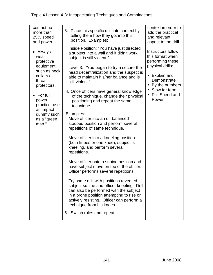| contact no<br>more than<br>25% speed<br>and power                                                                                                                                         | 3. Place this specific drill into context by<br>telling them how they got into this<br>position. Examples:                                                                                                                                                                                                                                                                                                                                                                                                                                                                                                                                                                                                                                                                                                                                                                                                                                                                                                                                                                                              | context in order to<br>add the practical<br>and relevant<br>aspect to the drill.                                                                                             |
|-------------------------------------------------------------------------------------------------------------------------------------------------------------------------------------------|---------------------------------------------------------------------------------------------------------------------------------------------------------------------------------------------------------------------------------------------------------------------------------------------------------------------------------------------------------------------------------------------------------------------------------------------------------------------------------------------------------------------------------------------------------------------------------------------------------------------------------------------------------------------------------------------------------------------------------------------------------------------------------------------------------------------------------------------------------------------------------------------------------------------------------------------------------------------------------------------------------------------------------------------------------------------------------------------------------|------------------------------------------------------------------------------------------------------------------------------------------------------------------------------|
| Always<br>wear<br>protective<br>equipment<br>such as neck<br>collars or<br>throat<br>protectors.<br>For full<br>power<br>practice, use<br>an impact<br>dummy such<br>as a "green<br>man." | Inside Position: "You have just directed<br>a subject into a wall and it didn't work,<br>subject is still violent."<br>Level 3: "You began to try a secure-the-<br>head decentralization and the suspect is<br>able to maintain his/her balance and is<br>still violent."<br>4. Once officers have general knowledge<br>of the technique, change their physical<br>positioning and repeat the same<br>technique.<br>Examples:<br>Move officer into an off balanced<br>stooped position and perform several<br>repetitions of same technique.<br>Move officer into a kneeling position<br>(both knees or one knee), subject is<br>kneeling, and perform several<br>repetitions.<br>Move officer onto a supine position and<br>have subject move on top of the officer.<br>Officer performs several repetitions.<br>Try same drill with positions reversed-<br>subject supine and officer kneeling. Drill<br>can also be performed with the subject<br>in a prone position attempting to rise or<br>actively resisting. Officer can perform a<br>technique from his knees.<br>5. Switch roles and repeat. | Instructors follow<br>this format when<br>performing these<br>physical drills:<br>Explain and<br>Demonstrate<br>By the numbers<br>Slow for form<br>• Full Speed and<br>Power |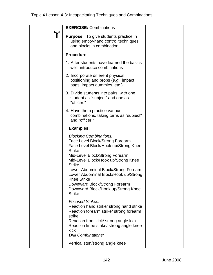| <b>EXERCISE: Combinations</b>                                                                                                                                                                                                                                                                                                                                                                              |  |
|------------------------------------------------------------------------------------------------------------------------------------------------------------------------------------------------------------------------------------------------------------------------------------------------------------------------------------------------------------------------------------------------------------|--|
| <b>Purpose:</b> To give students practice in<br>using empty-hand control techniques<br>and blocks in combination.                                                                                                                                                                                                                                                                                          |  |
| <b>Procedure:</b>                                                                                                                                                                                                                                                                                                                                                                                          |  |
| 1. After students have learned the basics<br>well, introduce combinations                                                                                                                                                                                                                                                                                                                                  |  |
| 2. Incorporate different physical<br>positioning and props (e.g., impact<br>bags, impact dummies, etc.)                                                                                                                                                                                                                                                                                                    |  |
| 3. Divide students into pairs, with one<br>student as "subject" and one as<br>"officer."                                                                                                                                                                                                                                                                                                                   |  |
| 4. Have them practice various<br>combinations, taking turns as "subject"<br>and "officer."                                                                                                                                                                                                                                                                                                                 |  |
| <b>Examples:</b>                                                                                                                                                                                                                                                                                                                                                                                           |  |
| <b>Blocking Combinations:</b><br>Face Level Block/Strong Forearm<br>Face Level Block/Hook up/Strong Knee<br><b>Strike</b><br>Mid-Level Block/Strong Forearm<br>Mid-Level Block/Hook up/Strong Knee<br><b>Strike</b><br>Lower Abdominal Block/Strong Forearm<br>Lower Abdominal Block/Hook up/Strong<br>Knee Strike<br>Downward Block/Strong Forearm<br>Downward Block/Hook up/Strong Knee<br><b>Strike</b> |  |
| <b>Focused Strikes:</b><br>Reaction hand strike/ strong hand strike<br>Reaction forearm strike/ strong forearm<br>strike<br>Reaction front kick/ strong angle kick<br>Reaction knee strike/ strong angle knee<br>kick<br><b>Drill Combinations:</b>                                                                                                                                                        |  |
| Vertical stun/strong angle knee                                                                                                                                                                                                                                                                                                                                                                            |  |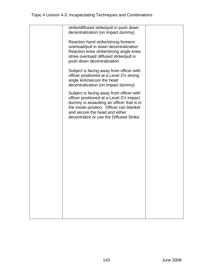| strike/diffused strike/pull in push down<br>decentralization (on impact dummy)                                                                                                                                                                               |  |
|--------------------------------------------------------------------------------------------------------------------------------------------------------------------------------------------------------------------------------------------------------------|--|
| Reaction hand strike/strong forearm<br>overload/pull in down decentralization<br>Reaction knee strike/strong angle knee<br>strike overload/ diffused strike/pull in<br>push down decentralization                                                            |  |
| Subject is facing away from officer with<br>officer positioned at a Level 21/2 strong<br>angle kick/secure the head<br>decentralization (on impact dummy)                                                                                                    |  |
| Subject is facing away from officer with<br>officer positioned at a Level 21/2 impact<br>dummy is assaulting an officer that is in<br>the inside position. Officer can blanket<br>and secure the head and either<br>decentralize or use the Diffused Strike. |  |
|                                                                                                                                                                                                                                                              |  |
|                                                                                                                                                                                                                                                              |  |
|                                                                                                                                                                                                                                                              |  |
|                                                                                                                                                                                                                                                              |  |
|                                                                                                                                                                                                                                                              |  |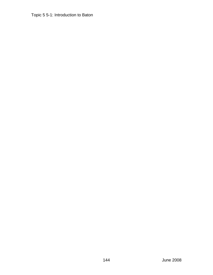Topic 5 5-1: Introduction to Baton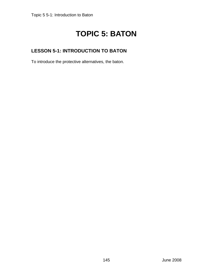# **TOPIC 5: BATON**

# **LESSON 5-1: INTRODUCTION TO BATON**

To introduce the protective alternatives, the baton.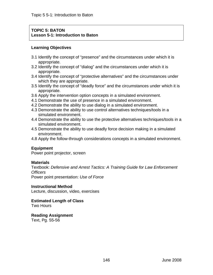#### **TOPIC 5: BATON Lesson 5-1: Introduction to Baton**

#### **Learning Objectives**

- 3.1 Identify the concept of "presence" and the circumstances under which it is appropriate.
- 3.2 Identify the concept of "dialog" and the circumstances under which it is appropriate.
- 3.4 Identify the concept of "protective alternatives" and the circumstances under which they are appropriate.
- 3.5 Identify the concept of "deadly force" and the circumstances under which it is appropriate.
- 3.6 Apply the intervention option concepts in a simulated environment.
- 4.1 Demonstrate the use of presence in a simulated environment.
- 4.2 Demonstrate the ability to use dialog in a simulated environment.
- 4.3 Demonstrate the ability to use control alternatives techniques/tools in a simulated environment.
- 4.4 Demonstrate the ability to use the protective alternatives techniques/tools in a simulated environment.
- 4.5 Demonstrate the ability to use deadly force decision making in a simulated environment.
- 4.8 Apply the follow-through considerations concepts in a simulated environment.

#### **Equipment**

Power point projector, screen

#### **Materials**

Textbook: *Defensive and Arrest Tactics: A Training Guide for Law Enforcement Officers*  Power point presentation: *Use of Force* 

### **Instructional Method**

Lecture, discussion, video, exercises

#### **Estimated Length of Class**

Two Hours

#### **Reading Assignment**

Text, Pg. 55-56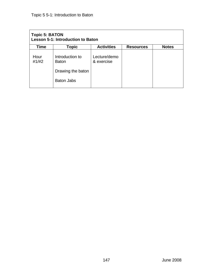|               | <b>Topic 5: BATON</b><br><b>Lesson 5-1: Introduction to Baton</b> |                            |                  |              |
|---------------|-------------------------------------------------------------------|----------------------------|------------------|--------------|
| Time          | Topic                                                             | <b>Activities</b>          | <b>Resources</b> | <b>Notes</b> |
| Hour<br>#1/H2 | Introduction to<br><b>Baton</b>                                   | Lecture/demo<br>& exercise |                  |              |
|               | Drawing the baton                                                 |                            |                  |              |
|               | <b>Baton Jabs</b>                                                 |                            |                  |              |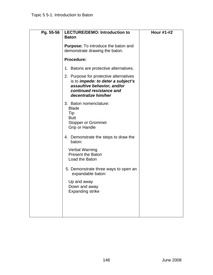| Pg. 55-56 | <b>LECTURE/DEMO: Introduction to</b><br><b>Baton</b>                                                                                                                   | Hour #1-#2 |
|-----------|------------------------------------------------------------------------------------------------------------------------------------------------------------------------|------------|
|           | <b>Purpose:</b> To introduce the baton and<br>demonstrate drawing the baton.                                                                                           |            |
|           | Procedure:                                                                                                                                                             |            |
|           | 1. Batons are protective alternatives.                                                                                                                                 |            |
|           | 2. Purpose for protective alternatives<br>is to <i>impede: to deter a subject's</i><br>assaultive behavior, and/or<br>continued resistance and<br>decentralize him/her |            |
|           | 3. Baton nomenclature:<br><b>Blade</b><br>Tip<br><b>Butt</b><br><b>Stopper or Grommet</b><br><b>Grip or Handle</b>                                                     |            |
|           | 4. Demonstrate the steps to draw the<br>baton:                                                                                                                         |            |
|           | <b>Verbal Warning</b><br><b>Present the Baton</b><br>Load the Baton                                                                                                    |            |
|           | 5. Demonstrate three ways to open an<br>expandable baton:                                                                                                              |            |
|           | Up and away<br>Down and away<br><b>Expanding strike</b>                                                                                                                |            |
|           |                                                                                                                                                                        |            |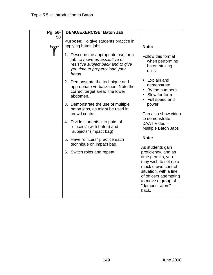| Pg. 56- | <b>DEMO/EXERCISE: Baton Jab</b>                                                                                                                          |                                                                                                                                                                                              |
|---------|----------------------------------------------------------------------------------------------------------------------------------------------------------|----------------------------------------------------------------------------------------------------------------------------------------------------------------------------------------------|
| 58      | <b>Purpose:</b> To give students practice in<br>applying baton jabs.                                                                                     | Note:                                                                                                                                                                                        |
|         | 1. Describe the appropriate use for a<br>jab: to move an assaultive or<br>resistive subject back and to give<br>you time to properly load your<br>baton. | Follow this format<br>when performing<br>baton-striking<br>drills:                                                                                                                           |
|         | 2. Demonstrate the technique and<br>appropriate verbalization. Note the<br>correct target area: the lower<br>abdomen.                                    | Explain and<br>demonstrate<br>• By the numbers<br>Slow for form<br>• Full speed and                                                                                                          |
|         | 3. Demonstrate the use of multiple<br>baton jabs, as might be used in<br>crowd control.                                                                  | power<br>Can also show video                                                                                                                                                                 |
|         | 4. Divide students into pairs of<br>"officers" (with baton) and<br>"subjects" (impact bag).                                                              | to demonstrate.<br>DAAT Video -<br>Multiple Baton Jabs                                                                                                                                       |
|         | 5. Have "officers" practice each<br>technique on impact bag.                                                                                             | Note:<br>As students gain                                                                                                                                                                    |
|         | 6. Switch roles and repeat.                                                                                                                              | proficiency, and as<br>time permits, you<br>may wish to set up a<br>mock crowd control<br>situation, with a line<br>of officers attempting<br>to move a group of<br>"demonstrators"<br>back. |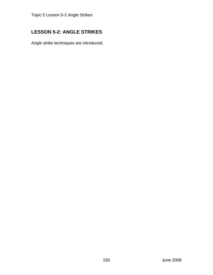# **LESSON 5-2: ANGLE STRIKES**

Angle strike techniques are introduced.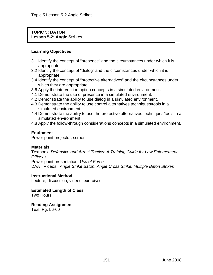#### **TOPIC 5: BATON Lesson 5-2: Angle Strikes**

#### **Learning Objectives**

- 3.1 Identify the concept of "presence" and the circumstances under which it is appropriate.
- 3.2 Identify the concept of "dialog" and the circumstances under which it is appropriate.
- 3.4 Identify the concept of "protective alternatives" and the circumstances under which they are appropriate.
- 3.6 Apply the intervention option concepts in a simulated environment.
- 4.1 Demonstrate the use of presence in a simulated environment.
- 4.2 Demonstrate the ability to use dialog in a simulated environment.
- 4.3 Demonstrate the ability to use control alternatives techniques/tools in a simulated environment.
- 4.4 Demonstrate the ability to use the protective alternatives techniques/tools in a simulated environment.
- 4.8 Apply the follow-through considerations concepts in a simulated environment.

#### **Equipment**

Power point projector, screen

#### **Materials**

Textbook: *Defensive and Arrest Tactics: A Training Guide for Law Enforcement Officers* 

Power point presentation: *Use of Force* 

DAAT Videos: *Angle Strike Baton, Angle Cross Strike, Multiple Baton Strikes*

#### **Instructional Method**

Lecture, discussion, videos, exercises

# **Estimated Length of Class**

Two Hours

**Reading Assignment**  Text, Pg. 56-60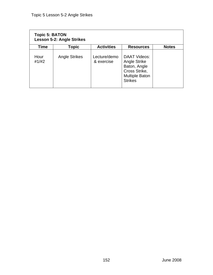| <b>Topic 5: BATON</b><br><b>Lesson 5-2: Angle Strikes</b> |                      |                            |                                                                                                                        |              |
|-----------------------------------------------------------|----------------------|----------------------------|------------------------------------------------------------------------------------------------------------------------|--------------|
| Time                                                      | <b>Topic</b>         | <b>Activities</b>          | <b>Resources</b>                                                                                                       | <b>Notes</b> |
| Hour<br>#1/#2                                             | <b>Angle Strikes</b> | Lecture/demo<br>& exercise | <b>DAAT Videos:</b><br><b>Angle Strike</b><br>Baton, Angle<br>Cross Strike,<br><b>Multiple Baton</b><br><b>Strikes</b> |              |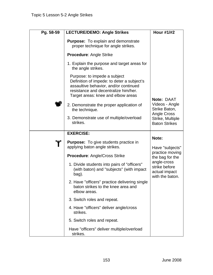| Pg. 58-59 | <b>LECTURE/DEMO: Angle Strikes</b>                                                                                                                                                                | Hour #1/#2                                                       |
|-----------|---------------------------------------------------------------------------------------------------------------------------------------------------------------------------------------------------|------------------------------------------------------------------|
|           | <b>Purpose:</b> To explain and demonstrate<br>proper technique for angle strikes.                                                                                                                 |                                                                  |
|           | <b>Procedure: Angle Strike</b>                                                                                                                                                                    |                                                                  |
|           | 1. Explain the purpose and target areas for<br>the angle strikes.                                                                                                                                 |                                                                  |
|           | Purpose: to impede a subject<br>Definition of impede: to deter a subject's<br>assaultive behavior, and/or continued<br>resistance and decentralize him/her.<br>Target areas: knee and elbow areas | Note: DAAT                                                       |
|           | 2. Demonstrate the proper application of<br>the technique.                                                                                                                                        | Videos - Angle<br>Strike Baton,                                  |
|           | 3. Demonstrate use of multiple/overload<br>strikes.                                                                                                                                               | Angle Cross<br>Strike, Multiple<br><b>Baton Strikes</b>          |
|           | <b>EXERCISE:</b>                                                                                                                                                                                  |                                                                  |
|           | <b>Purpose:</b> To give students practice in<br>applying baton angle strikes.                                                                                                                     | Note:<br>Have "subjects"                                         |
|           | <b>Procedure: Angle/Cross Strike</b>                                                                                                                                                              | practice moving<br>the bag for the                               |
|           | 1. Divide students into pairs of "officers"<br>(with baton) and "subjects" (with impact<br>bag).                                                                                                  | angle-cross<br>strike before<br>actual impact<br>with the baton. |
|           | 2. Have "officers" practice delivering single<br>baton strikes to the knee area and<br>elbow areas.                                                                                               |                                                                  |
|           | 3. Switch roles and repeat.                                                                                                                                                                       |                                                                  |
|           | 4. Have "officers" deliver angle/cross<br>strikes.                                                                                                                                                |                                                                  |
|           | 5. Switch roles and repeat.                                                                                                                                                                       |                                                                  |
|           | Have "officers" deliver multiple/overload<br>strikes.                                                                                                                                             |                                                                  |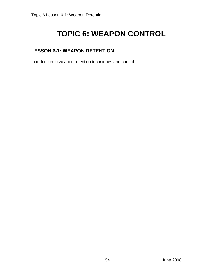# **TOPIC 6: WEAPON CONTROL**

## **LESSON 6-1: WEAPON RETENTION**

Introduction to weapon retention techniques and control.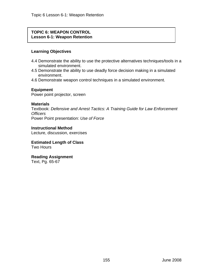#### **TOPIC 6: WEAPON CONTROL Lesson 6-1: Weapon Retention**

#### **Learning Objectives**

- 4.4 Demonstrate the ability to use the protective alternatives techniques/tools in a simulated environment.
- 4.5 Demonstrate the ability to use deadly force decision making in a simulated environment.
- 4.6 Demonstrate weapon control techniques in a simulated environment.

#### **Equipment**

Power point projector, screen

#### **Materials**

Textbook: *Defensive and Arrest Tactics: A Training Guide for Law Enforcement Officers*  Power Point presentation: *Use of Force* 

**Instructional Method**  Lecture, discussion, exercises

### **Estimated Length of Class**

Two Hours

#### **Reading Assignment**

Text, Pg. 65-67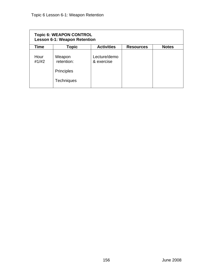|               | <b>Topic 6: WEAPON CONTROL</b><br><b>Lesson 6-1: Weapon Retention</b> |                            |                  |              |
|---------------|-----------------------------------------------------------------------|----------------------------|------------------|--------------|
| <b>Time</b>   | Topic                                                                 | <b>Activities</b>          | <b>Resources</b> | <b>Notes</b> |
| Hour<br>#1/H2 | Weapon<br>retention:<br><b>Principles</b>                             | Lecture/demo<br>& exercise |                  |              |
|               | <b>Techniques</b>                                                     |                            |                  |              |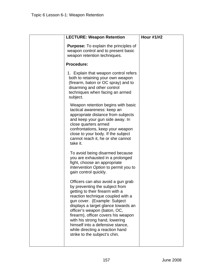| <b>LECTURE: Weapon Retention</b>                                                                                                                                                                                                                                                                                                                                                                                                     | Hour #1/#2 |
|--------------------------------------------------------------------------------------------------------------------------------------------------------------------------------------------------------------------------------------------------------------------------------------------------------------------------------------------------------------------------------------------------------------------------------------|------------|
| <b>Purpose:</b> To explain the principles of<br>weapon control and to present basic<br>weapon retention techniques.                                                                                                                                                                                                                                                                                                                  |            |
| Procedure:                                                                                                                                                                                                                                                                                                                                                                                                                           |            |
| 1. Explain that weapon control refers<br>both to retaining your own weapon<br>(firearm, baton or OC spray) and to<br>disarming and other control<br>techniques when facing an armed<br>subject.                                                                                                                                                                                                                                      |            |
| Weapon retention begins with basic<br>tactical awareness: keep an<br>appropriate distance from subjects<br>and keep your gun side away. In<br>close quarters armed<br>confrontations, keep your weapon<br>close to your body. If the subject<br>cannot reach it, he or she cannot<br>take it.                                                                                                                                        |            |
| To avoid being disarmed because<br>you are exhausted in a prolonged<br>fight, choose an appropriate<br>Intervention Option to permit you to<br>gain control quickly.                                                                                                                                                                                                                                                                 |            |
| Officers can also avoid a gun grab<br>by preventing the subject from<br>getting to their firearm with a<br>reaction technique coupled with a<br>gun cover. (Example: Subject<br>displays a target glance towards an<br>officer's weapon (baton, OC,<br>firearm), officer covers his weapon<br>with his strong hand, lowering<br>himself into a defensive stance,<br>while directing a reaction hand<br>strike to the subject's chin. |            |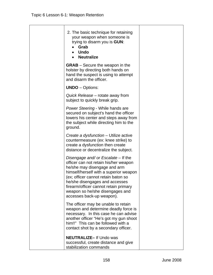| 2. The basic technique for retaining<br>your weapon when someone is<br>trying to disarm you is <b>GUN</b> :<br>Grab<br><b>Undo</b><br>$\bullet$<br><b>Neutralize</b><br><b>GRAB</b> – Secure the weapon in the<br>holster by directing both hands on<br>hand the suspect is using to attempt                                             |  |
|------------------------------------------------------------------------------------------------------------------------------------------------------------------------------------------------------------------------------------------------------------------------------------------------------------------------------------------|--|
| and disarm the officer.                                                                                                                                                                                                                                                                                                                  |  |
| <b>UNDO</b> – Options:                                                                                                                                                                                                                                                                                                                   |  |
| Quick Release – rotate away from<br>subject to quickly break grip.                                                                                                                                                                                                                                                                       |  |
| <b>Power Steering - While hands are</b><br>secured on subject's hand the officer<br>lowers his center and steps away from<br>the subject while directing him to the<br>ground.                                                                                                                                                           |  |
| Create a dysfunction - Utilize active<br>countermeasure (ex: knee strike) to<br>create a dysfunction then create<br>distance or decentralize the subject.                                                                                                                                                                                |  |
| Disengage and/ or Escalate – If the<br>officer can not retain his/her weapon<br>he/she may disengage and arm<br>himself/herself with a superior weapon<br>(ex; officer cannot retain baton so<br>he/she disengages and accesses<br>firearm/officer cannot retain primary<br>weapon so he/she disengages and<br>accesses back-up weapon). |  |
| The officer may be unable to retain<br>weapon and determine deadly force is<br>necessary. In this case he can advise<br>another officer "He's got my gun shoot<br>him!!" This can be followed with a<br>contact shot by a secondary officer.                                                                                             |  |
| <b>NEUTRALIZE- If Undo was</b><br>successful, create distance and give<br>stabilization commands                                                                                                                                                                                                                                         |  |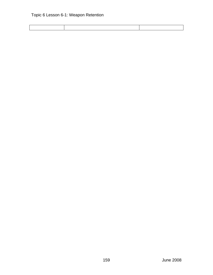### Topic 6 Lesson 6-1: Weapon Retention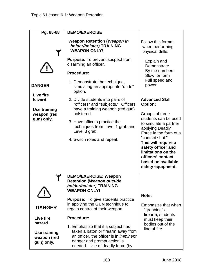| Pg. 65-68                                                                          | <b>DEMO/EXERCISE</b>                                                                                                                                                                                                                                                                                                                                                                                                                                        |                                                                                                                                                                                                                                                                                                                                                                                                            |
|------------------------------------------------------------------------------------|-------------------------------------------------------------------------------------------------------------------------------------------------------------------------------------------------------------------------------------------------------------------------------------------------------------------------------------------------------------------------------------------------------------------------------------------------------------|------------------------------------------------------------------------------------------------------------------------------------------------------------------------------------------------------------------------------------------------------------------------------------------------------------------------------------------------------------------------------------------------------------|
| 'Y'                                                                                | <b>Weapon Retention (Weapon in</b><br>holder/holster) TRAINING<br><b>WEAPON ONLY!</b>                                                                                                                                                                                                                                                                                                                                                                       | Follow this format<br>when performing<br>physical drills:                                                                                                                                                                                                                                                                                                                                                  |
| <b>DANGER</b><br>Live fire<br>hazard.<br>Use training<br>weapon (red<br>gun) only. | <b>Purpose:</b> To prevent suspect from<br>disarming an officer.<br>Procedure:<br>1. Demonstrate the technique,<br>simulating an appropriate "undo"<br>option.<br>2. Divide students into pairs of<br>"officers" and "subjects." "Officers<br>have a training weapon (red gun)<br>holstered.<br>3. Have officers practice the<br>techniques from Level 1 grab and<br>Level 3 grab.<br>4. Switch roles and repeat.                                           | Explain and<br>Demonstrate<br>By the numbers<br>Slow for form<br>Full speed and<br>power<br><b>Advanced Skill</b><br><b>Option:</b><br>Groups of three<br>students can be used<br>to simulate a partner<br>applying Deadly<br>Force in the form of a<br>"contact shot."<br>This will require a<br>safety officer and<br>limitations on the<br>officers' contact<br>based on available<br>safety equipment. |
| <b>DANGER</b><br>Live fire<br>hazard.<br>Use training<br>weapon (red<br>gun) only. | <b>DEMO/EXERCISE: Weapon</b><br><b>Retention (Weapon outside</b><br>holder/holster) TRAINING<br><b>WEAPON ONLY!</b><br><b>Purpose:</b> To give students practice<br>in applying the <b>GUN</b> technique to<br>regain control of their weapon.<br>Procedure:<br>1. Emphasize that if a subject has<br>taken a baton or firearm away from<br>an officer, the officer is in <i>imminent</i><br>danger and prompt action is<br>needed. Use of deadly force (by | Note:<br>Emphasize that when<br>"grabbing" a<br>firearm, students<br>must keep their<br>bodies out of the<br>line of fire.                                                                                                                                                                                                                                                                                 |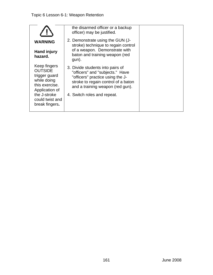|                                                                                                                                                         | the disarmed officer or a backup<br>officer) may be justified.                                                                                                                                                    |  |
|---------------------------------------------------------------------------------------------------------------------------------------------------------|-------------------------------------------------------------------------------------------------------------------------------------------------------------------------------------------------------------------|--|
| <b>WARNING</b>                                                                                                                                          | 2. Demonstrate using the GUN (J-<br>stroke) technique to regain control                                                                                                                                           |  |
| <b>Hand injury</b><br>hazard.                                                                                                                           | of a weapon. Demonstrate with<br>baton and training weapon (red<br>gun).                                                                                                                                          |  |
| Keep fingers<br><b>OUTSIDE</b><br>trigger guard<br>while doing<br>this exercise.<br>Application of<br>the J-stroke<br>could twist and<br>break fingers. | 3. Divide students into pairs of<br>"officers" and "subjects." Have<br>"officers" practice using the J-<br>stroke to regain control of a baton<br>and a training weapon (red gun).<br>4. Switch roles and repeat. |  |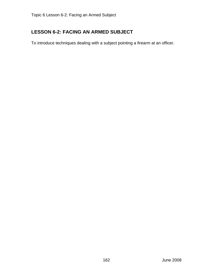# **LESSON 6-2: FACING AN ARMED SUBJECT**

To introduce techniques dealing with a subject pointing a firearm at an officer.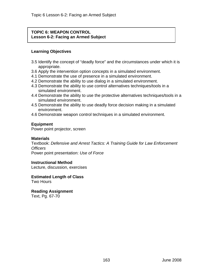#### **TOPIC 6: WEAPON CONTROL Lesson 6-2: Facing an Armed Subject**

#### **Learning Objectives**

- 3.5 Identify the concept of "deadly force" and the circumstances under which it is appropriate.
- 3.6 Apply the intervention option concepts in a simulated environment.
- 4.1 Demonstrate the use of presence in a simulated environment.
- 4.2 Demonstrate the ability to use dialog in a simulated environment.
- 4.3 Demonstrate the ability to use control alternatives techniques/tools in a simulated environment.
- 4.4 Demonstrate the ability to use the protective alternatives techniques/tools in a simulated environment.
- 4.5 Demonstrate the ability to use deadly force decision making in a simulated environment.
- 4.6 Demonstrate weapon control techniques in a simulated environment.

#### **Equipment**

Power point projector, screen

#### **Materials**

Textbook: *Defensive and Arrest Tactics: A Training Guide for Law Enforcement Officers* 

Power point presentation: *Use of Force* 

#### **Instructional Method**

Lecture, discussion, exercises

#### **Estimated Length of Class**

Two Hours

#### **Reading Assignment**

Text, Pg. 67-70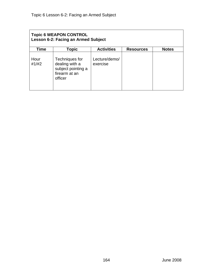| Time          | <b>Topic</b>                                                                       | <b>Activities</b>         | <b>Resources</b> | <b>Notes</b> |
|---------------|------------------------------------------------------------------------------------|---------------------------|------------------|--------------|
| Hour<br>#1/H2 | Techniques for<br>dealing with a<br>subject pointing a<br>firearm at an<br>officer | Lecture/demo/<br>exercise |                  |              |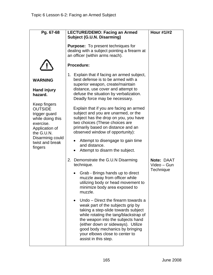| Pg. 67-68                                                                                                                                                                                                             | <b>LECTURE/DEMO: Facing an Armed</b><br><b>Subject (G.U.N. Disarming)</b>                                                                                                                                                                                                                                                                                                                                                                                                                                                                                                                                                                                                                                                                                                                                                                                                                                                                                                                                                                                                                                                           | Hour #1/#2                             |
|-----------------------------------------------------------------------------------------------------------------------------------------------------------------------------------------------------------------------|-------------------------------------------------------------------------------------------------------------------------------------------------------------------------------------------------------------------------------------------------------------------------------------------------------------------------------------------------------------------------------------------------------------------------------------------------------------------------------------------------------------------------------------------------------------------------------------------------------------------------------------------------------------------------------------------------------------------------------------------------------------------------------------------------------------------------------------------------------------------------------------------------------------------------------------------------------------------------------------------------------------------------------------------------------------------------------------------------------------------------------------|----------------------------------------|
|                                                                                                                                                                                                                       | <b>Purpose:</b> To present techniques for<br>dealing with a subject pointing a firearm at<br>an officer (within arms reach).                                                                                                                                                                                                                                                                                                                                                                                                                                                                                                                                                                                                                                                                                                                                                                                                                                                                                                                                                                                                        |                                        |
|                                                                                                                                                                                                                       | Procedure:                                                                                                                                                                                                                                                                                                                                                                                                                                                                                                                                                                                                                                                                                                                                                                                                                                                                                                                                                                                                                                                                                                                          |                                        |
| <b>WARNING</b><br><b>Hand injury</b><br>hazard.<br>Keep fingers<br><b>OUTSIDE</b><br>trigger guard<br>while doing this<br>exercise.<br>Application of<br>the G.U.N.<br>Disarminig could<br>twist and break<br>fingers | 1. Explain that if facing an armed subject,<br>best defense is to be armed with a<br>superior weapon, create/maintain<br>distance, use cover and attempt to<br>defuse the situation by verbalization.<br>Deadly force may be necessary.<br>Explain that if you are facing an armed<br>subject and you are unarmed, or the<br>subject has the drop on you, you have<br>two choices (These choices are<br>primarily based on distance and an<br>observed window of opportunity):<br>Attempt to disengage to gain time<br>and distance.<br>Attempt to disarm the subject.<br>2. Demonstrate the G.U.N Disarming<br>technique.<br>Grab - Brings hands up to direct<br>muzzle away from officer while<br>utilizing body or head movement to<br>minimize body area exposed to<br>muzzle.<br>Undo - Direct the firearm towards a<br>$\bullet$<br>weak part of the subjects grip by<br>taking a step-slide towards subject<br>while rotating the tang/blackstrap of<br>the weapon into the subjects hand<br>(either down or sideways). Utilize<br>good body mechanics by bringing<br>your elbows close to center to<br>assist in this step. | Note: DAAT<br>Video - Gun<br>Technique |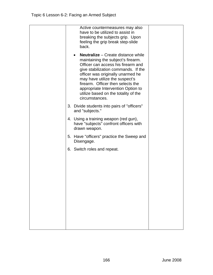| Active countermeasures may also<br>have to be utilized to assist in<br>breaking the subjects grip. Upon<br>feeling the grip break step-slide<br>back.                                                                                                                                                                                                                                 |  |
|---------------------------------------------------------------------------------------------------------------------------------------------------------------------------------------------------------------------------------------------------------------------------------------------------------------------------------------------------------------------------------------|--|
| <b>Neutralize</b> – Create distance while<br>$\bullet$<br>maintaining the subject's firearm.<br>Officer can access his firearm and<br>give stabilization commands. If the<br>officer was originally unarmed he<br>may have utilize the suspect's<br>firearm. Officer then selects the<br>appropriate Intervention Option to<br>utilize based on the totality of the<br>circumstances. |  |
| 3. Divide students into pairs of "officers"<br>and "subjects."                                                                                                                                                                                                                                                                                                                        |  |
| 4. Using a training weapon (red gun),<br>have "subjects" confront officers with<br>drawn weapon.                                                                                                                                                                                                                                                                                      |  |
| 5. Have "officers" practice the Sweep and<br>Disengage.                                                                                                                                                                                                                                                                                                                               |  |
| 6. Switch roles and repeat.                                                                                                                                                                                                                                                                                                                                                           |  |
|                                                                                                                                                                                                                                                                                                                                                                                       |  |
|                                                                                                                                                                                                                                                                                                                                                                                       |  |
|                                                                                                                                                                                                                                                                                                                                                                                       |  |
|                                                                                                                                                                                                                                                                                                                                                                                       |  |
|                                                                                                                                                                                                                                                                                                                                                                                       |  |
|                                                                                                                                                                                                                                                                                                                                                                                       |  |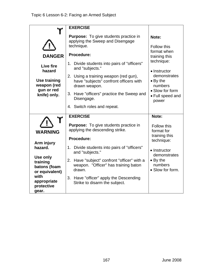|                                                                                  | <b>EXERCISE</b>                                                                                                                                                                                                                                              |                                                                                                                           |
|----------------------------------------------------------------------------------|--------------------------------------------------------------------------------------------------------------------------------------------------------------------------------------------------------------------------------------------------------------|---------------------------------------------------------------------------------------------------------------------------|
| <b>DANGER</b>                                                                    | <b>Purpose:</b> To give students practice in<br>applying the Sweep and Disengage<br>technique.<br><b>Procedure:</b>                                                                                                                                          | Note:<br>Follow this<br>format when<br>training this                                                                      |
| Live fire<br>hazard<br>Use training<br>weapon (red<br>gun or red<br>knife) only. | 1. Divide students into pairs of "officers"<br>and "subjects."<br>2. Using a training weapon (red gun),<br>have "subjects" confront officers with<br>drawn weapon.<br>3. Have "officers" practice the Sweep and<br>Disengage.<br>4. Switch roles and repeat. | technique:<br>• Instructor<br>demonstrates<br>$\bullet$ By the<br>numbers<br>• Slow for form<br>• Full speed and<br>power |
|                                                                                  | <b>EXERCISE</b>                                                                                                                                                                                                                                              | Note:                                                                                                                     |
| <b>WARNING</b>                                                                   | <b>Purpose:</b> To give students practice in<br>applying the descending strike.<br>Procedure:                                                                                                                                                                | <b>Follow this</b><br>format for<br>training this                                                                         |
| Arm injury<br>hazard.                                                            | 1. Divide students into pairs of "officers"<br>and "subjects."                                                                                                                                                                                               | technique:<br>• Instructor                                                                                                |
| Use only<br>training<br>batons (foam<br>or equivalent)                           | 2. Have "subject" confront "officer" with a<br>weapon. "Officer" has training baton<br>drawn.                                                                                                                                                                | demonstrates<br>$\bullet$ By the<br>numbers<br>• Slow for form.                                                           |
| with<br>appropriate<br>protective<br>gear.                                       | 3. Have "officer" apply the Descending<br>Strike to disarm the subject.                                                                                                                                                                                      |                                                                                                                           |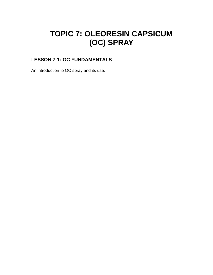# **TOPIC 7: OLEORESIN CAPSICUM (OC) SPRAY**

## **LESSON 7-1: OC FUNDAMENTALS**

An introduction to OC spray and its use.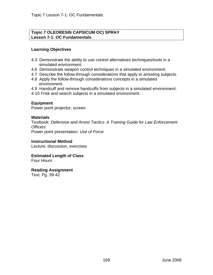#### **Topic 7 OLEORESIN CAPSICUM OC) SPRAY Lesson 7-1: OC Fundamentals**

#### **Learning Objectives**

- 4.3 Demonstrate the ability to use control alternatives techniques/tools in a simulated environment.
- 4.6 Demonstrate weapon control techniques in a simulated environment.
- 4.7 Describe the follow-through considerations that apply to arresting subjects.
- 4.8 Apply the follow-through considerations concepts in a simulated environment.
- 4.9 Handcuff and remove handcuffs from subjects in a simulated environment.
- 4-10 Frisk and search subjects in a simulated environment.

#### **Equipment**

Power point projector, screen

#### **Materials**

Textbook: *Defensive and Arrest Tactics: A Training Guide for Law Enforcement Officers*  Power point presentation: *Use of Force* 

#### **Instructional Method**

Lecture, discussion, exercises

#### **Estimated Length of Class**

Four Hours

#### **Reading Assignment**

Text, Pg. 39-42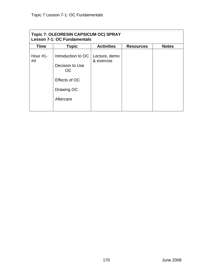| Topic 7: OLEORESIN CAPSICUM OC) SPRAY<br><b>Lesson 7-1: OC Fundamentals</b> |                                             |                             |                  |              |
|-----------------------------------------------------------------------------|---------------------------------------------|-----------------------------|------------------|--------------|
| Time                                                                        | <b>Topic</b>                                | <b>Activities</b>           | <b>Resources</b> | <b>Notes</b> |
| Hour $#1-$<br>#4                                                            | Introduction to OC<br>Decision to Use<br>OC | Lecture, demo<br>& exercise |                  |              |
|                                                                             | Effects of OC                               |                             |                  |              |
|                                                                             | Drawing OC                                  |                             |                  |              |
|                                                                             | Aftercare                                   |                             |                  |              |
|                                                                             |                                             |                             |                  |              |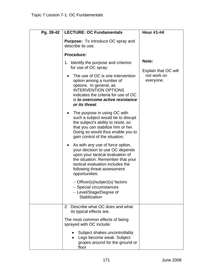| Pg. 39-42 | <b>LECTURE: OC Fundamentals</b>                                                                                                                                                                                                   | Hour #1-#4                    |
|-----------|-----------------------------------------------------------------------------------------------------------------------------------------------------------------------------------------------------------------------------------|-------------------------------|
|           | <b>Purpose:</b> To introduce OC spray and<br>describe its use.                                                                                                                                                                    |                               |
|           | Procedure:                                                                                                                                                                                                                        |                               |
|           | 1. Identify the purpose and criterion<br>for use of OC spray:                                                                                                                                                                     | Note:<br>Explain that OC will |
|           | The use of OC is one intervention<br>option among a number of<br>options. In general, as<br><b>INTERVENTION OPTIONS</b><br>indicates the criteria for use of OC<br>is to overcome active resistance<br>or its threat.             | not work on<br>everyone.      |
|           | The purpose in using OC with<br>such a subject would be to disrupt<br>the subject's ability to resist, so<br>that you can stabilize him or her.<br>Doing so would thus enable you to<br>gain control of the situation.            |                               |
|           | As with any use of force option,<br>your decision to use OC depends<br>upon your tactical evaluation of<br>the situation. Remember that your<br>tactical evaluation includes the<br>following threat assessment<br>opportunities: |                               |
|           | $-$ Officer(s)/subject(s) factors<br>- Special circumstances<br>- Level/Stage/Degree of<br>Stabilization                                                                                                                          |                               |
|           | Describe what OC does and what<br>2.<br>its typical effects are.                                                                                                                                                                  |                               |
|           | The most common effects of being<br>sprayed with OC include:                                                                                                                                                                      |                               |
|           | Subject shakes uncontrollably<br>Legs become weak. Subject<br>gropes around for the ground or<br>floor                                                                                                                            |                               |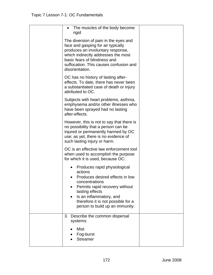| The muscles of the body become<br>$\bullet$<br>rigid                                                                                                                                                                                                  |  |
|-------------------------------------------------------------------------------------------------------------------------------------------------------------------------------------------------------------------------------------------------------|--|
| The diversion of pain in the eyes and<br>face and gasping for air typically<br>produces an involuntary response,<br>which indirectly addresses the most<br>basic fears of blindness and<br>suffocation. This causes confusion and<br>disorientation.  |  |
| OC has no history of lasting after-<br>effects. To date, there has never been<br>a substantiated case of death or injury<br>attributed to OC.                                                                                                         |  |
| Subjects with heart problems, asthma,<br>emphysema and/or other illnesses who<br>have been sprayed had no lasting<br>after-effects.                                                                                                                   |  |
| However, this is not to say that there is<br>no possibility that a person can be<br>injured or permanently harmed by OC<br>use; as yet, there is no evidence of<br>such lasting injury or harm.                                                       |  |
| OC is an effective law enforcement tool<br>when used to accomplish the purpose<br>for which it is used, because OC:                                                                                                                                   |  |
| Produces rapid physiological<br>actions<br>Produces desired effects in low<br>concentrations<br>Permits rapid recovery without<br>lasting effects<br>Is an inflammatory, and<br>therefore it is not possible for a<br>person to build up an immunity. |  |
| Describe the common dispersal<br>3.<br>systems:<br><b>Mist</b><br>Fog-burst<br><b>Streamer</b>                                                                                                                                                        |  |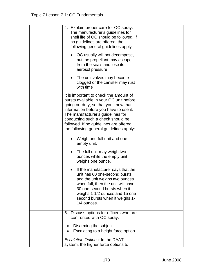| 4. Explain proper care for OC spray.<br>The manufacturer's guidelines for<br>shelf life of OC should be followed. If<br>no guidelines are offered, the<br>following general guidelines apply:                                                                                                                                       |  |
|-------------------------------------------------------------------------------------------------------------------------------------------------------------------------------------------------------------------------------------------------------------------------------------------------------------------------------------|--|
| OC usually will not decompose,<br>$\bullet$<br>but the propellant may escape<br>from the seals and lose its<br>aerosol pressure                                                                                                                                                                                                     |  |
| The unit valves may become<br>clogged or the canister may rust<br>with time                                                                                                                                                                                                                                                         |  |
| It is important to check the amount of<br>bursts available in your OC unit before<br>going on-duty, so that you know that<br>information before you have to use it.<br>The manufacturer's guidelines for<br>conducting such a check should be<br>followed. If no guidelines are offered,<br>the following general guidelines apply: |  |
| Weigh one full unit and one<br>empty unit.                                                                                                                                                                                                                                                                                          |  |
| The full unit may weigh two<br>$\bullet$<br>ounces while the empty unit<br>weighs one ounce.                                                                                                                                                                                                                                        |  |
| If the manufacturer says that the<br>$\bullet$<br>unit has 60 one-second bursts<br>and the unit weighs two ounces<br>when full, then the unit will have<br>30 one-second bursts when it<br>weighs 1-1/2 ounces and 15 one-<br>second bursts when it weighs 1-<br>1/4 ounces.                                                        |  |
| Discuss options for officers who are<br>5.<br>confronted with OC spray.                                                                                                                                                                                                                                                             |  |
| Disarming the subject<br>Escalating to a height force option                                                                                                                                                                                                                                                                        |  |
| <b>Escalation Options: In the DAAT</b><br>system, the higher force options to                                                                                                                                                                                                                                                       |  |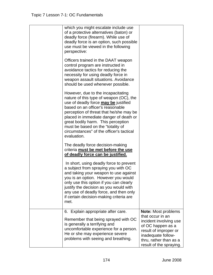| which you might escalate include use<br>of a protective alternatives (baton) or<br>deadly force (firearm). While use of<br>deadly force is an option, such possible<br>use must be viewed in the following<br>perspective:<br>Officers trained in the DAAT weapon<br>control program are instructed in<br>avoidance tactics for reducing the<br>necessity for using deadly force in<br>weapon assault situations. Avoidance |                                                                                                                                                                                                   |
|-----------------------------------------------------------------------------------------------------------------------------------------------------------------------------------------------------------------------------------------------------------------------------------------------------------------------------------------------------------------------------------------------------------------------------|---------------------------------------------------------------------------------------------------------------------------------------------------------------------------------------------------|
| should be used whenever possible.<br>However, due to the incapacitating<br>nature of this type of weapon (OC), the<br>use of deadly force may be justified<br>based on an officer's reasonable<br>perception of threat that he/she may be<br>placed in immediate danger of death or<br>great bodily harm. This perception<br>must be based on the "totality of<br>circumstances" of the officer's tactical<br>evaluation.   |                                                                                                                                                                                                   |
| The deadly force decision-making<br>criteria must be met before the use<br>of deadly force can be justified.                                                                                                                                                                                                                                                                                                                |                                                                                                                                                                                                   |
| In short, using deadly force to prevent<br>a subject from spraying you with OC<br>and taking your weapon to use against<br>you is an option. However you would<br>only use this option if you can clearly<br>justify the decision as you would with<br>any use of deadly force, and then only<br>if certain decision-making criteria are<br>met.                                                                            |                                                                                                                                                                                                   |
| 6. Explain appropriate after care.<br>Remember that being sprayed with OC<br>is generally a terrifying and<br>uncomfortable experience for a person.<br>He or she may experience severe<br>problems with seeing and breathing.                                                                                                                                                                                              | <b>Note:</b> Most problems<br>that occur in an<br>incident involving use<br>of OC happen as a<br>result of improper or<br>inadequate follow-<br>thru, rather than as a<br>result of the spraying. |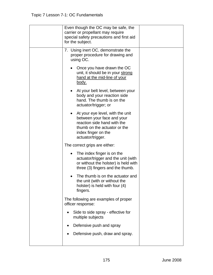| Even though the OC may be safe, the<br>carrier or propellant may require<br>special safety precautions and first aid<br>for the subject.                                               |  |
|----------------------------------------------------------------------------------------------------------------------------------------------------------------------------------------|--|
| 7. Using inert OC, demonstrate the<br>proper procedure for drawing and<br>using OC.                                                                                                    |  |
| Once you have drawn the OC<br>$\bullet$<br>unit, it should be in your strong<br>hand at the mid-line of your<br><u>body.</u>                                                           |  |
| At your belt level, between your<br>body and your reaction side<br>hand. The thumb is on the<br>actuator/trigger; or                                                                   |  |
| At your eye level, with the unit<br>$\bullet$<br>between your face and your<br>reaction side hand with the<br>thumb on the actuator or the<br>index finger on the<br>actuator/trigger. |  |
| The correct grips are either:                                                                                                                                                          |  |
| The index finger is on the<br>$\bullet$<br>actuator/trigger and the unit (with<br>or without the holster) is held with<br>three (3) fingers and the thumb.                             |  |
| The thumb is on the actuator and<br>the unit (with or without the<br>holster) is held with four (4)<br>fingers.                                                                        |  |
| The following are examples of proper<br>officer response:                                                                                                                              |  |
| Side to side spray - effective for<br>multiple subjects                                                                                                                                |  |
| Defensive push and spray                                                                                                                                                               |  |
| Defensive push, draw and spray.                                                                                                                                                        |  |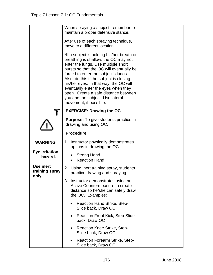|                                      | When spraying a subject, remember to<br>maintain a proper defensive stance.                                                                                                                                                                                                                                                                                                                                                                     |
|--------------------------------------|-------------------------------------------------------------------------------------------------------------------------------------------------------------------------------------------------------------------------------------------------------------------------------------------------------------------------------------------------------------------------------------------------------------------------------------------------|
|                                      | After use of each spraying technique,<br>move to a different location                                                                                                                                                                                                                                                                                                                                                                           |
|                                      | *If a subject is holding his/her breath or<br>breathing is shallow, the OC may not<br>enter the lungs. Use multiple short<br>bursts so that the OC will eventually be<br>forced to enter the subject's lungs.<br>Also, do this if the subject is closing<br>his/her eyes. In that way, the OC will<br>eventually enter the eyes when they<br>open. Create a safe distance between<br>you and the subject. Use lateral<br>movement, if possible. |
| <b>'Y'</b>                           | <b>EXERCISE: Drawing the OC</b>                                                                                                                                                                                                                                                                                                                                                                                                                 |
|                                      | <b>Purpose:</b> To give students practice in<br>drawing and using OC.                                                                                                                                                                                                                                                                                                                                                                           |
|                                      | Procedure:                                                                                                                                                                                                                                                                                                                                                                                                                                      |
| <b>WARNING</b>                       | 1. Instructor physically demonstrates<br>options in drawing the OC.                                                                                                                                                                                                                                                                                                                                                                             |
| <b>Eye irritation</b><br>hazard.     | <b>Strong Hand</b><br><b>Reaction Hand</b>                                                                                                                                                                                                                                                                                                                                                                                                      |
| Use inert<br>training spray<br>only. | 2. Using inert training spray, students<br>practice drawing and spraying.                                                                                                                                                                                                                                                                                                                                                                       |
|                                      | 3. Instructor demonstrates using an<br>Active Countermeasure to create<br>distance so he/she can safely draw<br>the OC. Examples:                                                                                                                                                                                                                                                                                                               |
|                                      | <b>Reaction Hand Strike, Step-</b><br>Slide back, Draw OC                                                                                                                                                                                                                                                                                                                                                                                       |
|                                      | <b>Reaction Front Kick, Step-Slide</b><br>back, Draw OC                                                                                                                                                                                                                                                                                                                                                                                         |
|                                      | <b>Reaction Knee Strike, Step-</b><br>$\bullet$<br>Slide back, Draw OC                                                                                                                                                                                                                                                                                                                                                                          |
|                                      | <b>Reaction Forearm Strike, Step-</b><br>Slide back, Draw OC                                                                                                                                                                                                                                                                                                                                                                                    |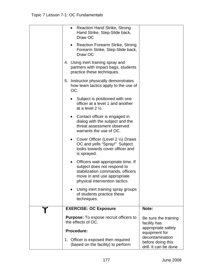|   | <b>Reaction Hand Strike, Strong</b><br>$\bullet$<br>Hand Strike, Step-Slide back,<br>Draw OC                                                                           |                                                               |
|---|------------------------------------------------------------------------------------------------------------------------------------------------------------------------|---------------------------------------------------------------|
|   | <b>Reaction Forearm Strike, Strong</b><br>Forearm Strike, Step-Slide back,<br>Draw OC                                                                                  |                                                               |
|   | 4. Using inert training spray and<br>partners with impact bags, students<br>practice these techniques.                                                                 |                                                               |
|   | 5. Instructor physically demonstrates<br>how team tactics apply to the use of<br>OC.                                                                                   |                                                               |
|   | Subject is positioned with one<br>officer at a level 1 and another<br>at a level $2\frac{1}{2}$ .                                                                      |                                                               |
|   | Contact officer is engaged in<br>$\bullet$<br>dialog with the subject and the<br>threat assessment observed<br>warrants the use of OC.                                 |                                                               |
|   | Cover Officer (Level $2 \frac{1}{2}$ ) Draws<br>$\bullet$<br>OC and yells "Spray!" Subject<br>looks towards cover officer and<br>is sprayed.                           |                                                               |
|   | Officers wait appropriate time. If<br>subject does not respond to<br>stabilization commands, officers<br>move in and use appropriate<br>physical intervention tactics. |                                                               |
|   | Using inert training spray groups<br>of students practice these<br>techniques.                                                                                         |                                                               |
| ₩ | <b>EXERCISE: OC Exposure</b>                                                                                                                                           | Note:                                                         |
|   | <b>Purpose:</b> To expose recruit officers to<br>the effects of OC.                                                                                                    | Be sure the training<br>facility has                          |
|   | Procedure:                                                                                                                                                             | appropriate safety<br>equipment for                           |
|   | 1. Officer is exposed then required<br>(based on the facility) to perform                                                                                              | decontamination<br>before doing this<br>drill. It can be done |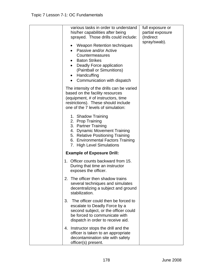|    | various tasks in order to understand<br>his/her capabilities after being<br>sprayed. Those drills could include:<br><b>Weapon Retention techniques</b><br>$\bullet$<br>Passive and/or Active<br>$\bullet$<br>Countermeasures<br><b>Baton Strikes</b><br>Deadly Force application<br>(Paintball or Simunitions)<br>• Handcuffing<br>• Communication with dispatch | full exposure or<br>partial exposure<br>(Indirect<br>spray/swab). |
|----|------------------------------------------------------------------------------------------------------------------------------------------------------------------------------------------------------------------------------------------------------------------------------------------------------------------------------------------------------------------|-------------------------------------------------------------------|
|    | The intensity of the drills can be varied<br>based on the facility resources<br>(equipment, # of instructors, time<br>restrictions). These should include<br>one of the 7 levels of simulation:                                                                                                                                                                  |                                                                   |
|    | 1. Shadow Training<br>2. Prop Training<br>3. Partner Training<br>4. Dynamic Movement Training<br>5. Relative Positioning Training<br>6. Environmental Factors Training<br>7. High Level Simulations                                                                                                                                                              |                                                                   |
|    | <b>Example of Exposure Drill:</b>                                                                                                                                                                                                                                                                                                                                |                                                                   |
|    | 1. Officer counts backward from 15.<br>During that time an instructor<br>exposes the officer.                                                                                                                                                                                                                                                                    |                                                                   |
|    | 2. The officer then shadow trains<br>several techniques and simulates<br>decentralizing a subject and ground<br>stabilization.                                                                                                                                                                                                                                   |                                                                   |
| 3. | The officer could then be forced to<br>escalate to Deadly Force by a<br>second subject, or the officer could<br>be forced to communicate with<br>dispatch in order to receive aid.                                                                                                                                                                               |                                                                   |
|    | 4. Instructor stops the drill and the<br>officer is taken to an appropriate<br>decontamination site with safety<br>officer(s) present.                                                                                                                                                                                                                           |                                                                   |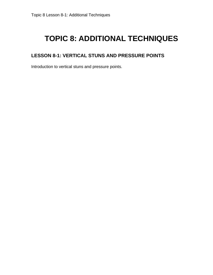# **TOPIC 8: ADDITIONAL TECHNIQUES**

## **LESSON 8-1: VERTICAL STUNS AND PRESSURE POINTS**

Introduction to vertical stuns and pressure points.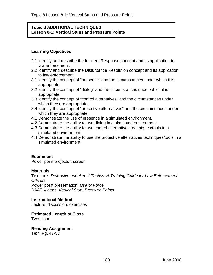#### **Topic 8 ADDITIONAL TECHNIQUES Lesson 8-1: Vertical Stuns and Pressure Points**

#### **Learning Objectives**

- 2.1 Identify and describe the Incident Response concept and its application to law enforcement.
- 2.2 Identify and describe the Disturbance Resolution concept and its application to law enforcement.
- 3.1 Identify the concept of "presence" and the circumstances under which it is appropriate.
- 3.2 Identify the concept of "dialog" and the circumstances under which it is appropriate.
- 3.3 Identify the concept of "control alternatives" and the circumstances under which they are appropriate.
- 3.4 Identify the concept of "protective alternatives" and the circumstances under which they are appropriate.
- 4.1 Demonstrate the use of presence in a simulated environment.
- 4.2 Demonstrate the ability to use dialog in a simulated environment.
- 4.3 Demonstrate the ability to use control alternatives techniques/tools in a simulated environment.
- 4.4 Demonstrate the ability to use the protective alternatives techniques/tools in a simulated environment.

#### **Equipment**

Power point projector, screen

#### **Materials**

Textbook: *Defensive and Arrest Tactics: A Training Guide for Law Enforcement Officers*  Power point presentation: *Use of Force*  DAAT Videos: *Vertical Stun, Pressure Points*

#### **Instructional Method**

Lecture, discussion, exercises

#### **Estimated Length of Class**

Two Hours

### **Reading Assignment**

Text, Pg. 47-53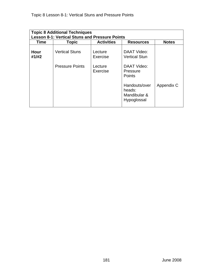| <b>Topic 8 Additional Techniques</b><br><b>Lesson 8-1: Vertical Stuns and Pressure Points</b> |                        |                     |                                                        |              |  |
|-----------------------------------------------------------------------------------------------|------------------------|---------------------|--------------------------------------------------------|--------------|--|
| <b>Time</b>                                                                                   | <b>Topic</b>           | <b>Activities</b>   | <b>Resources</b>                                       | <b>Notes</b> |  |
| Hour<br>#1/H2                                                                                 | <b>Vertical Stuns</b>  | Lecture<br>Exercise | DAAT Video:<br><b>Vertical Stun</b>                    |              |  |
|                                                                                               | <b>Pressure Points</b> | Lecture<br>Exercise | DAAT Video:<br>Pressure<br><b>Points</b>               |              |  |
|                                                                                               |                        |                     | Handouts/over<br>heads:<br>Mandibular &<br>Hypoglossal | Appendix C   |  |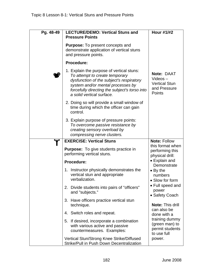| Pg. 48-49 | <b>LECTURE/DEMO: Vertical Stuns and</b><br><b>Pressure Points</b>                                                                                                                                                                          | Hour #1/#2                                                                        |
|-----------|--------------------------------------------------------------------------------------------------------------------------------------------------------------------------------------------------------------------------------------------|-----------------------------------------------------------------------------------|
|           | <b>Purpose:</b> To present concepts and<br>demonstrate application of vertical stuns<br>and pressure points.                                                                                                                               |                                                                                   |
|           | Procedure:                                                                                                                                                                                                                                 |                                                                                   |
|           | 1. Explain the purpose of vertical stuns:<br>To attempt to create temporary<br>dysfunction of the subject's respiratory<br>system and/or mental processes by<br>forcefully directing the subject's torso into<br>a solid vertical surface. | <b>Note: DAAT</b><br>$Videos -$<br><b>Vertical Stun</b><br>and Pressure<br>Points |
|           | 2. Doing so will provide a small window of<br>time during which the officer can gain<br>control.                                                                                                                                           |                                                                                   |
|           | 3. Explain purpose of pressure points:<br>To overcome passive resistance by<br>creating sensory overload by<br>compressing nerve clusters.                                                                                                 |                                                                                   |
|           | <b>EXERCISE: Vertical Stuns</b>                                                                                                                                                                                                            | <b>Note: Follow</b>                                                               |
|           | <b>Purpose:</b> To give students practice in<br>performing vertical stuns.                                                                                                                                                                 | this format when<br>performing this<br>physical drill:                            |
|           | <b>Procedure:</b>                                                                                                                                                                                                                          | • Explain and                                                                     |
|           | 1. Instructor physically demonstrates the<br>vertical stun and appropriate<br>verbalization.                                                                                                                                               | Demonstrate<br>$\bullet$ By the<br>numbers<br>• Slow for form                     |
|           | 2. Divide students into pairs of "officers"<br>and "subjects."                                                                                                                                                                             | • Full speed and<br>power<br>• Safety Coach                                       |
|           | 3. Have officers practice vertical stun<br>technique.                                                                                                                                                                                      | <b>Note: This drill</b>                                                           |
|           |                                                                                                                                                                                                                                            |                                                                                   |
|           | 4. Switch roles and repeat.                                                                                                                                                                                                                | can also be<br>done with a                                                        |
|           | 5. If desired, incorporate a combination<br>with various active and passive<br>countermeasures. Examples:                                                                                                                                  | training dummy<br>(green man) to<br>permit students<br>to use full                |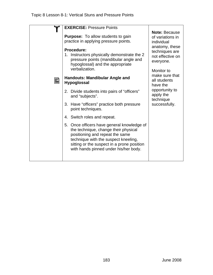| <b>EXERCISE: Pressure Points</b>                                                                                                                                                                                                                     |                                                                                                                |
|------------------------------------------------------------------------------------------------------------------------------------------------------------------------------------------------------------------------------------------------------|----------------------------------------------------------------------------------------------------------------|
| <b>Purpose:</b> To allow students to gain<br>practice in applying pressure points.<br><b>Procedure:</b><br>1. Instructors physically demonstrate the 2<br>pressure points (mandibular angle and                                                      | <b>Note: Because</b><br>of variations in<br>individual<br>anatomy, these<br>techniques are<br>not effective on |
| hypoglossal) and the appropriate                                                                                                                                                                                                                     | everyone.                                                                                                      |
| verbalization.                                                                                                                                                                                                                                       | Monitor to                                                                                                     |
|                                                                                                                                                                                                                                                      | make sure that                                                                                                 |
| <b>Handouts: Mandibular Angle and</b><br><b>Hypoglossal</b>                                                                                                                                                                                          | all students<br>have the                                                                                       |
| 2. Divide students into pairs of "officers"<br>and "subjects".                                                                                                                                                                                       | opportunity to<br>apply the<br>technique                                                                       |
| 3. Have "officers" practice both pressure<br>point techniques.                                                                                                                                                                                       | successfully.                                                                                                  |
| 4. Switch roles and repeat.                                                                                                                                                                                                                          |                                                                                                                |
| 5. Once officers have general knowledge of<br>the technique, change their physical<br>positioning and repeat the same<br>technique with the suspect kneeling,<br>sitting or the suspect in a prone position<br>with hands pinned under his/her body. |                                                                                                                |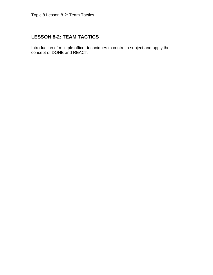# **LESSON 8-2: TEAM TACTICS**

Introduction of multiple officer techniques to control a subject and apply the concept of DONE and REACT.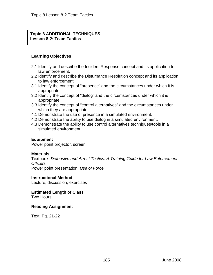### **Topic 8 ADDITIONAL TECHNIQUES Lesson 8-2: Team Tactics**

## **Learning Objectives**

- 2.1 Identify and describe the Incident Response concept and its application to law enforcement.
- 2.2 Identify and describe the Disturbance Resolution concept and its application to law enforcement.
- 3.1 Identify the concept of "presence" and the circumstances under which it is appropriate.
- 3.2 Identify the concept of "dialog" and the circumstances under which it is appropriate.
- 3.3 Identify the concept of "control alternatives" and the circumstances under which they are appropriate.
- 4.1 Demonstrate the use of presence in a simulated environment.
- 4.2 Demonstrate the ability to use dialog in a simulated environment.
- 4.3 Demonstrate the ability to use control alternatives techniques/tools in a simulated environment.

## **Equipment**

Power point projector, screen

## **Materials**

Textbook: *Defensive and Arrest Tactics: A Training Guide for Law Enforcement Officers* 

Power point presentation: *Use of Force* 

#### **Instructional Method**

Lecture, discussion, exercises

# **Estimated Length of Class**

Two Hours

#### **Reading Assignment**

Text, Pg. 21-22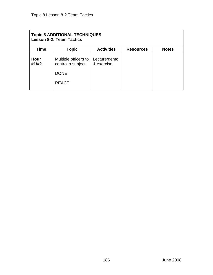| <b>Topic 8 ADDITIONAL TECHNIQUES</b><br><b>Lesson 8-2: Team Tactics</b> |                                           |                            |                  |              |
|-------------------------------------------------------------------------|-------------------------------------------|----------------------------|------------------|--------------|
| Time                                                                    | <b>Topic</b>                              | <b>Activities</b>          | <b>Resources</b> | <b>Notes</b> |
| Hour<br>#1/H2                                                           | Multiple officers to<br>control a subject | Lecture/demo<br>& exercise |                  |              |
|                                                                         | <b>DONE</b>                               |                            |                  |              |
|                                                                         | <b>REACT</b>                              |                            |                  |              |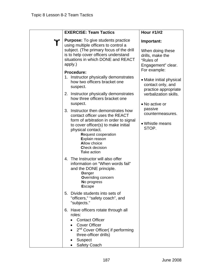|            | <b>EXERCISE: Team Tactics</b>                                                                                                                                                                                                                                                                 | Hour #1/#2                                                                            |
|------------|-----------------------------------------------------------------------------------------------------------------------------------------------------------------------------------------------------------------------------------------------------------------------------------------------|---------------------------------------------------------------------------------------|
| <b>'V'</b> | <b>Purpose:</b> To give students practice<br>using multiple officers to control a<br>subject. (The primary focus of the drill<br>is to help cover officers understand<br>situations in which DONE and REACT<br>apply.)                                                                        | Important:<br>When doing these<br>drills, make the<br>"Rules of<br>Engagement" clear. |
|            | <b>Procedure:</b><br>1. Instructor physically demonstrates<br>how two officers bracket one<br>suspect.                                                                                                                                                                                        | For example:<br>• Make initial physical<br>contact only, and<br>practice appropriate  |
|            | 2. Instructor physically demonstrates<br>how three officers bracket one<br>suspect.                                                                                                                                                                                                           | verbalization skills.<br>• No active or                                               |
|            | Instructor then demonstrates how<br>3.<br>contact officer uses the REACT<br>form of arbitration in order to signal<br>to cover officer(s) to make initial<br>physical contact.<br><b>Request cooperation</b><br><b>Explain reason</b><br>Allow choice<br><b>Check decision</b><br>Take action | passive<br>countermeasures.<br>• Whistle means<br>STOP.                               |
|            | 4. The Instructor will also offer<br>information on "When words fail"<br>and the DONE principle.<br><b>Danger</b><br><b>Overriding concern</b><br>No progress<br><b>Escape</b>                                                                                                                |                                                                                       |
|            | Divide students into sets of<br>5.<br>"officers," "safety coach", and<br>"subjects."                                                                                                                                                                                                          |                                                                                       |
|            | 6. Have officers rotate through all<br>roles:<br><b>Contact Officer</b><br><b>Cover Officer</b><br>• 2 <sup>nd</sup> Cover Officer( if performing<br>three-officer drills)<br><b>Suspect</b><br><b>Safety Coach</b>                                                                           |                                                                                       |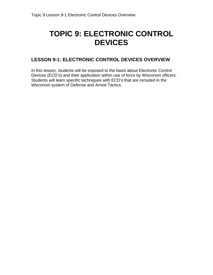# **TOPIC 9: ELECTRONIC CONTROL DEVICES**

## **LESSON 9-1: ELECTRONIC CONTROL DEVICES OVERVIEW**

In this lesson, students will be exposed to the basis about Electronic Control Devices (ECD's) and their application within use of force by Wisconsin officers. Students will learn specific techniques with ECD's that are included in the Wisconsin system of Defense and Arrest Tactics.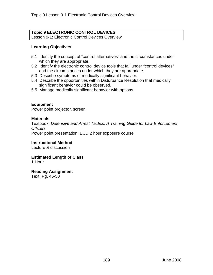#### **Topic 9 ELECTRONIC CONTROL DEVICES** Lesson 9-1: Electronic Control Devices Overview

#### **Learning Objectives**

- 5.1 Identify the concept of "control alternatives" and the circumstances under which they are appropriate.
- 5.2 Identify the electronic control device tools that fall under "control devices" and the circumstances under which they are appropriate.
- 5.3 Describe symptoms of medically significant behavior.
- 5.4 Describe the opportunities within Disturbance Resolution that medically significant behavior could be observed.
- 5.5 Manage medically significant behavior with options.

#### **Equipment**

Power point projector, screen

#### **Materials**

Textbook: *Defensive and Arrest Tactics: A Training Guide for Law Enforcement Officers*  Power point presentation: ECD 2 hour exposure course

#### **Instructional Method**

Lecture & discussion

#### **Estimated Length of Class**

1 Hour

#### **Reading Assignment**

Text, Pg. 46-50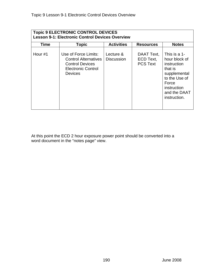| <b>Topic 9 ELECTRONIC CONTROL DEVICES</b><br><b>Lesson 9-1: Electronic Control Devices Overview</b> |                                                                                                                              |                                |                                            |                                                                                                                                                  |
|-----------------------------------------------------------------------------------------------------|------------------------------------------------------------------------------------------------------------------------------|--------------------------------|--------------------------------------------|--------------------------------------------------------------------------------------------------------------------------------------------------|
| <b>Time</b>                                                                                         | <b>Topic</b>                                                                                                                 | <b>Activities</b>              | <b>Resources</b>                           | <b>Notes</b>                                                                                                                                     |
| Hour #1                                                                                             | Use of Force Limits:<br><b>Control Alternatives</b><br><b>Control Devices</b><br><b>Electronic Control</b><br><b>Devices</b> | Lecture &<br><b>Discussion</b> | DAAT Text,<br>ECD Text,<br><b>PCS Text</b> | This is a 1-<br>hour block of<br>instruction<br>that is<br>supplemental<br>to the Use of<br>Force<br>instruction<br>and the DAAT<br>instruction. |

At this point the ECD 2 hour exposure power point should be converted into a word document in the "notes page" view.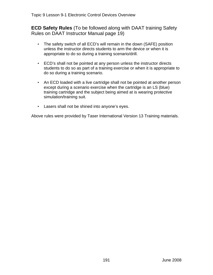**ECD Safety Rules** (To be followed along with DAAT training Safety Rules on DAAT Instructor Manual page 19)

- The safety switch of all ECD's will remain in the down (SAFE) position unless the instructor directs students to arm the device or when it is appropriate to do so during a training scenario/drill.
- ECD's shall not be pointed at any person unless the instructor directs students to do so as part of a training exercise or when it is appropriate to do so during a training scenario.
- An ECD loaded with a live cartridge shall not be pointed at another person except during a scenario exercise when the cartridge is an LS (blue) training cartridge and the subject being aimed at is wearing protective simulation/training suit.
- Lasers shall not be shined into anyone's eyes.

Above rules were provided by Taser International Version 13 Training materials.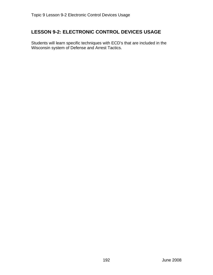# **LESSON 9-2: ELECTRONIC CONTROL DEVICES USAGE**

Students will learn specific techniques with ECD's that are included in the Wisconsin system of Defense and Arrest Tactics.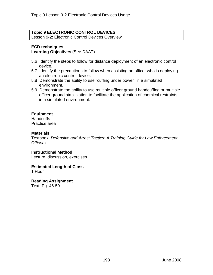#### **Topic 9 ELECTRONIC CONTROL DEVICES** Lesson 9-2: Electronic Control Devices Overview

### **ECD techniques Learning Objectives** (See DAAT)

- 5.6 Identify the steps to follow for distance deployment of an electronic control device.
- 5.7 Identify the precautions to follow when assisting an officer who is deploying an electronic control device.
- 5.8 Demonstrate the ability to use "cuffing under power" in a simulated environment.
- 5.9 Demonstrate the ability to use multiple officer ground handcuffing or multiple officer ground stabilization to facilitate the application of chemical restraints in a simulated environment.

## **Equipment**

**Handcuffs** Practice area

#### **Materials**

Textbook: *Defensive and Arrest Tactics: A Training Guide for Law Enforcement Officers* 

#### **Instructional Method**

Lecture, discussion, exercises

#### **Estimated Length of Class**

1 Hour

**Reading Assignment**  Text, Pg. 46-50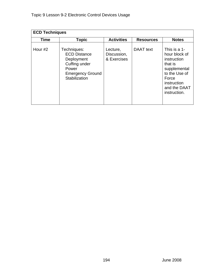| <b>ECD Techniques</b> |                                                                                                                        |                                        |                  |                                                                                                                                                  |
|-----------------------|------------------------------------------------------------------------------------------------------------------------|----------------------------------------|------------------|--------------------------------------------------------------------------------------------------------------------------------------------------|
| <b>Time</b>           | <b>Topic</b>                                                                                                           | <b>Activities</b>                      | <b>Resources</b> | <b>Notes</b>                                                                                                                                     |
| Hour #2               | Techniques:<br><b>ECD Distance</b><br>Deployment<br>Cuffing under<br>Power<br><b>Emergency Ground</b><br>Stabilization | Lecture,<br>Discussion,<br>& Exercises | DAAT text        | This is a 1-<br>hour block of<br>instruction<br>that is<br>supplemental<br>to the Use of<br>Force<br>instruction<br>and the DAAT<br>instruction. |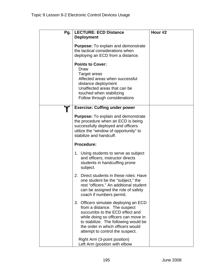| Pg. | <b>LECTURE: ECD Distance</b><br><b>Deployment</b>                                                                                                                                                                                                              | Hour #2 |
|-----|----------------------------------------------------------------------------------------------------------------------------------------------------------------------------------------------------------------------------------------------------------------|---------|
|     | <b>Purpose:</b> To explain and demonstrate<br>the tactical considerations when<br>deploying an ECD from a distance.                                                                                                                                            |         |
|     | <b>Points to Cover:</b><br>Draw<br>Target areas<br>Affected areas when successful<br>distance deployment<br>Unaffected areas that can be<br>touched when stabilizing<br>Follow through considerations                                                          |         |
|     | <b>Exercise: Cuffing under power</b>                                                                                                                                                                                                                           |         |
|     | <b>Purpose:</b> To explain and demonstrate<br>the procedure when an ECD is being<br>successfully deployed and officers<br>utilize the "window of opportunity" to<br>stabilize and handcuff.                                                                    |         |
|     | Procedure:                                                                                                                                                                                                                                                     |         |
|     | 1. Using students to serve as subject<br>and officers, instructor directs<br>students in handcuffing prone<br>subject.                                                                                                                                         |         |
|     | 2. Direct students in these roles: Have<br>one student be the "subject," the<br>rest "officers." An additional student<br>can be assigned the role of safety<br>coach if numbers permit.                                                                       |         |
|     | 3. Officers simulate deploying an ECD<br>from a distance. The suspect<br>succumbs to the ECD effect and<br>while doing so officers can move in<br>to stabilize. The following would be<br>the order in which officers would<br>attempt to control the suspect. |         |
|     | Right Arm (3-point position)<br>Left Arm (position with elbow                                                                                                                                                                                                  |         |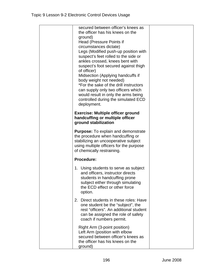| secured between officer's knees as                                              |  |
|---------------------------------------------------------------------------------|--|
| the officer has his knees on the                                                |  |
| ground)                                                                         |  |
| Head (Pressure Points if                                                        |  |
| circumstances dictate)                                                          |  |
| Legs (Modified push-up position with                                            |  |
| suspect's feet rolled to the side or                                            |  |
| ankles crossed, knees bent with                                                 |  |
| suspect's foot secured against thigh                                            |  |
| of officer)                                                                     |  |
| Midsection (Applying handcuffs if                                               |  |
| body weight not needed)                                                         |  |
| *For the sake of the drill instructors                                          |  |
| can supply only two officers which                                              |  |
| would result in only the arms being                                             |  |
| controlled during the simulated ECD                                             |  |
| deployment.                                                                     |  |
| <b>Exercise: Multiple officer ground</b>                                        |  |
| handcuffing or multiple officer                                                 |  |
| ground stabilization                                                            |  |
|                                                                                 |  |
| <b>Purpose:</b> To explain and demonstrate                                      |  |
| the procedure when handcuffing or                                               |  |
| stabilizing an uncooperative subject<br>using multiple officers for the purpose |  |
| of chemically restraining.                                                      |  |
|                                                                                 |  |
| Procedure:                                                                      |  |
| 1. Using students to serve as subject                                           |  |
| and officers, instructor directs                                                |  |
| students in handcuffing prone                                                   |  |
| subject either through simulating                                               |  |
| the ECD effect or other force                                                   |  |
| option.                                                                         |  |
| Direct students in these roles: Have<br>2.                                      |  |
| one student be the "subject", the                                               |  |
| rest "officers". An additional student                                          |  |
| can be assigned the role of safety                                              |  |
| coach if numbers permit.                                                        |  |
| Right Arm (3-point position)                                                    |  |
| Left Arm (position with elbow                                                   |  |
| secured between officer's knees as                                              |  |
| the officer has his knees on the                                                |  |
| ground)                                                                         |  |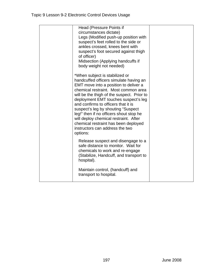| Head (Pressure Points if<br>circumstances dictate)<br>Legs (Modified push-up position with<br>suspect's feet rolled to the side or<br>ankles crossed, knees bent with<br>suspect's foot secured against thigh<br>of officer)<br>Midsection (Applying handcuffs if<br>body weight not needed)                                                                                                                                                                                                             |  |
|----------------------------------------------------------------------------------------------------------------------------------------------------------------------------------------------------------------------------------------------------------------------------------------------------------------------------------------------------------------------------------------------------------------------------------------------------------------------------------------------------------|--|
| *When subject is stabilized or<br>handcuffed officers simulate having an<br>EMT move into a position to deliver a<br>chemical restraint. Most common area<br>will be the thigh of the suspect. Prior to<br>deployment EMT touches suspect's leg<br>and confirms to officers that it is<br>suspect's leg by shouting "Suspect"<br>leg!" then if no officers shout stop he<br>will deploy chemical restraint. After<br>chemical restraint has been deployed<br>instructors can address the two<br>options: |  |
| Release suspect and disengage to a<br>safe distance to monitor. Wait for<br>chemicals to work and re-engage<br>(Stabilize, Handcuff, and transport to<br>hospital).<br>Maintain control, (handcuff) and<br>transport to hospital.                                                                                                                                                                                                                                                                        |  |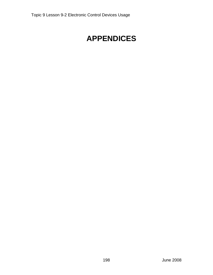# **APPENDICES**